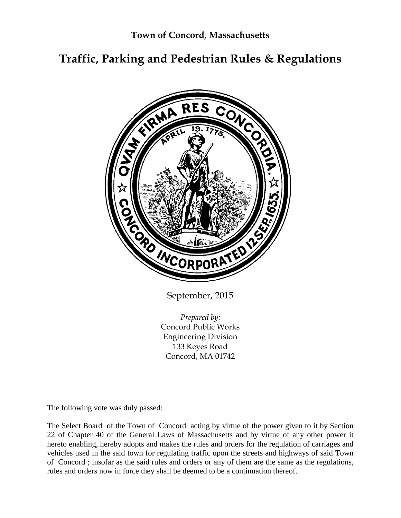# **Traffic, Parking and Pedestrian Rules & Regulations**



September, 2015

*Prepared by:*  Concord Public Works Engineering Division 133 Keyes Road Concord, MA 01742

The following vote was duly passed:

The Select Board of the Town of Concord acting by virtue of the power given to it by Section 22 of Chapter 40 of the General Laws of Massachusetts and by virtue of any other power it hereto enabling, hereby adopts and makes the rules and orders for the regulation of carriages and vehicles used in the said town for regulating traffic upon the streets and highways of said Town of Concord ; insofar as the said rules and orders or any of them are the same as the regulations, rules and orders now in force they shall be deemed to be a continuation thereof.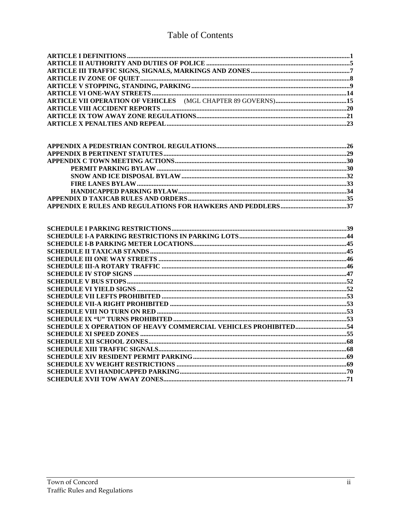# Table of Contents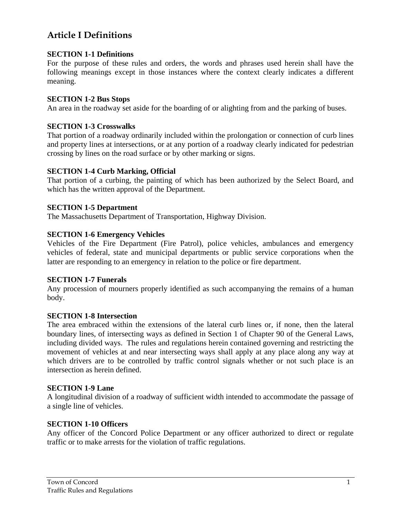# **Article I Definitions**

### **SECTION 1-1 Definitions**

For the purpose of these rules and orders, the words and phrases used herein shall have the following meanings except in those instances where the context clearly indicates a different meaning.

### **SECTION 1-2 Bus Stops**

An area in the roadway set aside for the boarding of or alighting from and the parking of buses.

## **SECTION 1-3 Crosswalks**

That portion of a roadway ordinarily included within the prolongation or connection of curb lines and property lines at intersections, or at any portion of a roadway clearly indicated for pedestrian crossing by lines on the road surface or by other marking or signs.

## **SECTION 1-4 Curb Marking, Official**

That portion of a curbing, the painting of which has been authorized by the Select Board, and which has the written approval of the Department.

### **SECTION 1-5 Department**

The Massachusetts Department of Transportation, Highway Division.

### **SECTION 1-6 Emergency Vehicles**

Vehicles of the Fire Department (Fire Patrol), police vehicles, ambulances and emergency vehicles of federal, state and municipal departments or public service corporations when the latter are responding to an emergency in relation to the police or fire department.

### **SECTION 1-7 Funerals**

Any procession of mourners properly identified as such accompanying the remains of a human body.

### **SECTION 1-8 Intersection**

The area embraced within the extensions of the lateral curb lines or, if none, then the lateral boundary lines, of intersecting ways as defined in Section 1 of Chapter 90 of the General Laws, including divided ways. The rules and regulations herein contained governing and restricting the movement of vehicles at and near intersecting ways shall apply at any place along any way at which drivers are to be controlled by traffic control signals whether or not such place is an intersection as herein defined.

### **SECTION 1-9 Lane**

A longitudinal division of a roadway of sufficient width intended to accommodate the passage of a single line of vehicles.

### **SECTION 1-10 Officers**

Any officer of the Concord Police Department or any officer authorized to direct or regulate traffic or to make arrests for the violation of traffic regulations.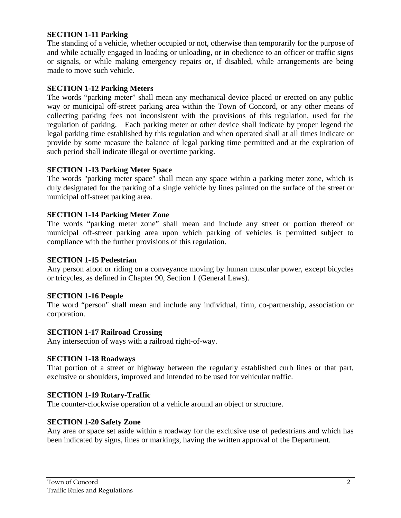## **SECTION 1-11 Parking**

The standing of a vehicle, whether occupied or not, otherwise than temporarily for the purpose of and while actually engaged in loading or unloading, or in obedience to an officer or traffic signs or signals, or while making emergency repairs or, if disabled, while arrangements are being made to move such vehicle.

## **SECTION 1-12 Parking Meters**

The words "parking meter" shall mean any mechanical device placed or erected on any public way or municipal off-street parking area within the Town of Concord, or any other means of collecting parking fees not inconsistent with the provisions of this regulation, used for the regulation of parking. Each parking meter or other device shall indicate by proper legend the legal parking time established by this regulation and when operated shall at all times indicate or provide by some measure the balance of legal parking time permitted and at the expiration of such period shall indicate illegal or overtime parking.

## **SECTION 1-13 Parking Meter Space**

The words "parking meter space" shall mean any space within a parking meter zone, which is duly designated for the parking of a single vehicle by lines painted on the surface of the street or municipal off-street parking area.

### **SECTION 1-14 Parking Meter Zone**

The words "parking meter zone" shall mean and include any street or portion thereof or municipal off-street parking area upon which parking of vehicles is permitted subject to compliance with the further provisions of this regulation.

### **SECTION 1-15 Pedestrian**

Any person afoot or riding on a conveyance moving by human muscular power, except bicycles or tricycles, as defined in Chapter 90, Section 1 (General Laws).

### **SECTION 1-16 People**

The word "person" shall mean and include any individual, firm, co-partnership, association or corporation.

### **SECTION 1-17 Railroad Crossing**

Any intersection of ways with a railroad right-of-way.

### **SECTION 1-18 Roadways**

That portion of a street or highway between the regularly established curb lines or that part, exclusive or shoulders, improved and intended to be used for vehicular traffic.

### **SECTION 1-19 Rotary-Traffic**

The counter-clockwise operation of a vehicle around an object or structure.

### **SECTION 1-20 Safety Zone**

Any area or space set aside within a roadway for the exclusive use of pedestrians and which has been indicated by signs, lines or markings, having the written approval of the Department.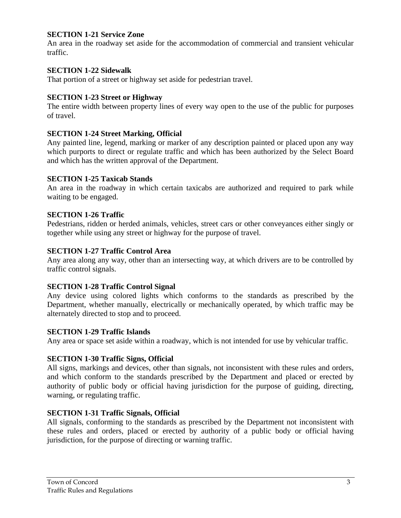## **SECTION 1-21 Service Zone**

An area in the roadway set aside for the accommodation of commercial and transient vehicular traffic.

## **SECTION 1-22 Sidewalk**

That portion of a street or highway set aside for pedestrian travel.

## **SECTION 1-23 Street or Highway**

The entire width between property lines of every way open to the use of the public for purposes of travel.

### **SECTION 1-24 Street Marking, Official**

Any painted line, legend, marking or marker of any description painted or placed upon any way which purports to direct or regulate traffic and which has been authorized by the Select Board and which has the written approval of the Department.

### **SECTION 1-25 Taxicab Stands**

An area in the roadway in which certain taxicabs are authorized and required to park while waiting to be engaged.

## **SECTION 1-26 Traffic**

Pedestrians, ridden or herded animals, vehicles, street cars or other conveyances either singly or together while using any street or highway for the purpose of travel.

### **SECTION 1-27 Traffic Control Area**

Any area along any way, other than an intersecting way, at which drivers are to be controlled by traffic control signals.

### **SECTION 1-28 Traffic Control Signal**

Any device using colored lights which conforms to the standards as prescribed by the Department, whether manually, electrically or mechanically operated, by which traffic may be alternately directed to stop and to proceed.

### **SECTION 1-29 Traffic Islands**

Any area or space set aside within a roadway, which is not intended for use by vehicular traffic.

### **SECTION 1-30 Traffic Signs, Official**

All signs, markings and devices, other than signals, not inconsistent with these rules and orders, and which conform to the standards prescribed by the Department and placed or erected by authority of public body or official having jurisdiction for the purpose of guiding, directing, warning, or regulating traffic.

### **SECTION 1-31 Traffic Signals, Official**

All signals, conforming to the standards as prescribed by the Department not inconsistent with these rules and orders, placed or erected by authority of a public body or official having jurisdiction, for the purpose of directing or warning traffic.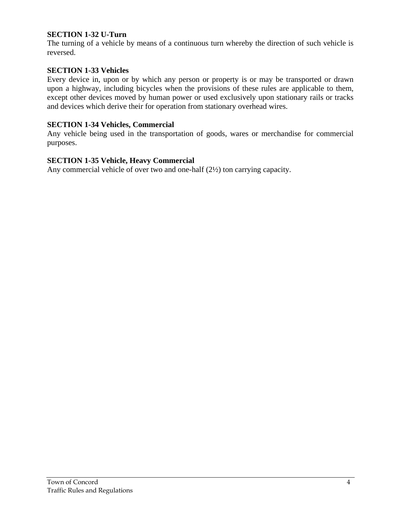## **SECTION 1-32 U-Turn**

The turning of a vehicle by means of a continuous turn whereby the direction of such vehicle is reversed.

#### **SECTION 1-33 Vehicles**

Every device in, upon or by which any person or property is or may be transported or drawn upon a highway, including bicycles when the provisions of these rules are applicable to them, except other devices moved by human power or used exclusively upon stationary rails or tracks and devices which derive their for operation from stationary overhead wires.

#### **SECTION 1-34 Vehicles, Commercial**

Any vehicle being used in the transportation of goods, wares or merchandise for commercial purposes.

#### **SECTION 1-35 Vehicle, Heavy Commercial**

Any commercial vehicle of over two and one-half (2½) ton carrying capacity.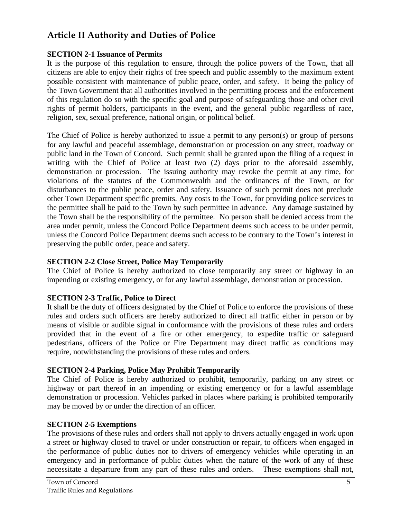# **Article II Authority and Duties of Police**

## **SECTION 2-1 Issuance of Permits**

It is the purpose of this regulation to ensure, through the police powers of the Town, that all citizens are able to enjoy their rights of free speech and public assembly to the maximum extent possible consistent with maintenance of public peace, order, and safety. It being the policy of the Town Government that all authorities involved in the permitting process and the enforcement of this regulation do so with the specific goal and purpose of safeguarding those and other civil rights of permit holders, participants in the event, and the general public regardless of race, religion, sex, sexual preference, national origin, or political belief.

The Chief of Police is hereby authorized to issue a permit to any person(s) or group of persons for any lawful and peaceful assemblage, demonstration or procession on any street, roadway or public land in the Town of Concord. Such permit shall be granted upon the filing of a request in writing with the Chief of Police at least two (2) days prior to the aforesaid assembly, demonstration or procession. The issuing authority may revoke the permit at any time, for violations of the statutes of the Commonwealth and the ordinances of the Town, or for disturbances to the public peace, order and safety. Issuance of such permit does not preclude other Town Department specific premits. Any costs to the Town, for providing police services to the permittee shall be paid to the Town by such permittee in advance. Any damage sustained by the Town shall be the responsibility of the permittee. No person shall be denied access from the area under permit, unless the Concord Police Department deems such access to be under permit, unless the Concord Police Department deems such access to be contrary to the Town's interest in preserving the public order, peace and safety.

## **SECTION 2-2 Close Street, Police May Temporarily**

The Chief of Police is hereby authorized to close temporarily any street or highway in an impending or existing emergency, or for any lawful assemblage, demonstration or procession.

## **SECTION 2-3 Traffic, Police to Direct**

It shall be the duty of officers designated by the Chief of Police to enforce the provisions of these rules and orders such officers are hereby authorized to direct all traffic either in person or by means of visible or audible signal in conformance with the provisions of these rules and orders provided that in the event of a fire or other emergency, to expedite traffic or safeguard pedestrians, officers of the Police or Fire Department may direct traffic as conditions may require, notwithstanding the provisions of these rules and orders.

# **SECTION 2-4 Parking, Police May Prohibit Temporarily**

The Chief of Police is hereby authorized to prohibit, temporarily, parking on any street or highway or part thereof in an impending or existing emergency or for a lawful assemblage demonstration or procession. Vehicles parked in places where parking is prohibited temporarily may be moved by or under the direction of an officer.

## **SECTION 2-5 Exemptions**

The provisions of these rules and orders shall not apply to drivers actually engaged in work upon a street or highway closed to travel or under construction or repair, to officers when engaged in the performance of public duties nor to drivers of emergency vehicles while operating in an emergency and in performance of public duties when the nature of the work of any of these necessitate a departure from any part of these rules and orders. These exemptions shall not,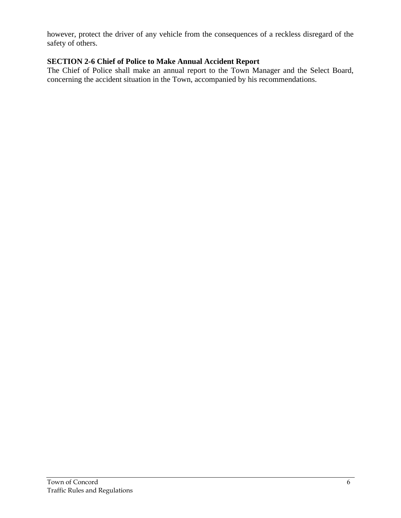however, protect the driver of any vehicle from the consequences of a reckless disregard of the safety of others.

## **SECTION 2-6 Chief of Police to Make Annual Accident Report**

The Chief of Police shall make an annual report to the Town Manager and the Select Board, concerning the accident situation in the Town, accompanied by his recommendations.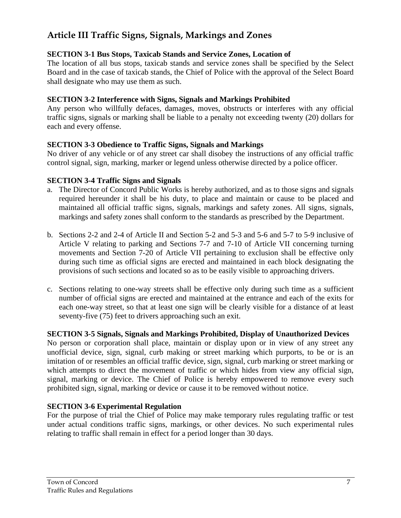# **Article III Traffic Signs, Signals, Markings and Zones**

## **SECTION 3-1 Bus Stops, Taxicab Stands and Service Zones, Location of**

The location of all bus stops, taxicab stands and service zones shall be specified by the Select Board and in the case of taxicab stands, the Chief of Police with the approval of the Select Board shall designate who may use them as such.

## **SECTION 3-2 Interference with Signs, Signals and Markings Prohibited**

Any person who willfully defaces, damages, moves, obstructs or interferes with any official traffic signs, signals or marking shall be liable to a penalty not exceeding twenty (20) dollars for each and every offense.

## **SECTION 3-3 Obedience to Traffic Signs, Signals and Markings**

No driver of any vehicle or of any street car shall disobey the instructions of any official traffic control signal, sign, marking, marker or legend unless otherwise directed by a police officer.

## **SECTION 3-4 Traffic Signs and Signals**

- a. The Director of Concord Public Works is hereby authorized, and as to those signs and signals required hereunder it shall be his duty, to place and maintain or cause to be placed and maintained all official traffic signs, signals, markings and safety zones. All signs, signals, markings and safety zones shall conform to the standards as prescribed by the Department.
- b. Sections 2-2 and 2-4 of Article II and Section 5-2 and 5-3 and 5-6 and 5-7 to 5-9 inclusive of Article V relating to parking and Sections 7-7 and 7-10 of Article VII concerning turning movements and Section 7-20 of Article VII pertaining to exclusion shall be effective only during such time as official signs are erected and maintained in each block designating the provisions of such sections and located so as to be easily visible to approaching drivers.
- c. Sections relating to one-way streets shall be effective only during such time as a sufficient number of official signs are erected and maintained at the entrance and each of the exits for each one-way street, so that at least one sign will be clearly visible for a distance of at least seventy-five (75) feet to drivers approaching such an exit.

## **SECTION 3-5 Signals, Signals and Markings Prohibited, Display of Unauthorized Devices**

No person or corporation shall place, maintain or display upon or in view of any street any unofficial device, sign, signal, curb making or street marking which purports, to be or is an imitation of or resembles an official traffic device, sign, signal, curb marking or street marking or which attempts to direct the movement of traffic or which hides from view any official sign, signal, marking or device. The Chief of Police is hereby empowered to remove every such prohibited sign, signal, marking or device or cause it to be removed without notice.

# **SECTION 3-6 Experimental Regulation**

For the purpose of trial the Chief of Police may make temporary rules regulating traffic or test under actual conditions traffic signs, markings, or other devices. No such experimental rules relating to traffic shall remain in effect for a period longer than 30 days.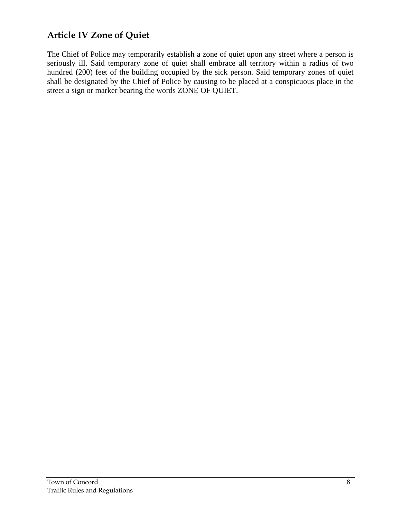# **Article IV Zone of Quiet**

The Chief of Police may temporarily establish a zone of quiet upon any street where a person is seriously ill. Said temporary zone of quiet shall embrace all territory within a radius of two hundred (200) feet of the building occupied by the sick person. Said temporary zones of quiet shall be designated by the Chief of Police by causing to be placed at a conspicuous place in the street a sign or marker bearing the words ZONE OF QUIET.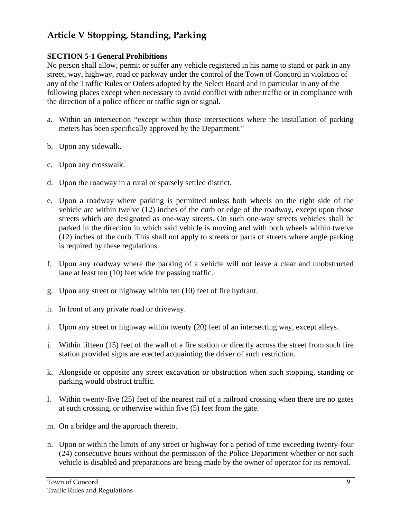# **Article V Stopping, Standing, Parking**

## **SECTION 5-1 General Prohibitions**

No person shall allow, permit or suffer any vehicle registered in his name to stand or park in any street, way, highway, road or parkway under the control of the Town of Concord in violation of any of the Traffic Rules or Orders adopted by the Select Board and in particular in any of the following places except when necessary to avoid conflict with other traffic or in compliance with the direction of a police officer or traffic sign or signal.

- a. Within an intersection "except within those intersections where the installation of parking meters has been specifically approved by the Department."
- b. Upon any sidewalk.
- c. Upon any crosswalk.
- d. Upon the roadway in a rural or sparsely settled district.
- e. Upon a roadway where parking is permitted unless both wheels on the right side of the vehicle are within twelve (12) inches of the curb or edge of the roadway, except upon those streets which are designated as one-way streets. On such one-way streets vehicles shall be parked in the direction in which said vehicle is moving and with both wheels within twelve (12) inches of the curb. This shall not apply to streets or parts of streets where angle parking is required by these regulations.
- f. Upon any roadway where the parking of a vehicle will not leave a clear and unobstructed lane at least ten (10) feet wide for passing traffic.
- g. Upon any street or highway within ten (10) feet of fire hydrant.
- h. In front of any private road or driveway.
- i. Upon any street or highway within twenty (20) feet of an intersecting way, except alleys.
- j. Within fifteen (15) feet of the wall of a fire station or directly across the street from such fire station provided signs are erected acquainting the driver of such restriction.
- k. Alongside or opposite any street excavation or obstruction when such stopping, standing or parking would obstruct traffic.
- l. Within twenty-five (25) feet of the nearest rail of a railroad crossing when there are no gates at such crossing, or otherwise within five (5) feet from the gate.
- m. On a bridge and the approach thereto.
- n. Upon or within the limits of any street or highway for a period of time exceeding twenty-four (24) consecutive hours without the permission of the Police Department whether or not such vehicle is disabled and preparations are being made by the owner of operator for its removal.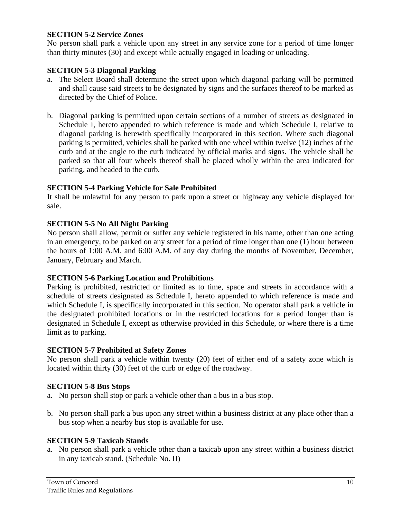## **SECTION 5-2 Service Zones**

No person shall park a vehicle upon any street in any service zone for a period of time longer than thirty minutes (30) and except while actually engaged in loading or unloading.

### **SECTION 5-3 Diagonal Parking**

- a. The Select Board shall determine the street upon which diagonal parking will be permitted and shall cause said streets to be designated by signs and the surfaces thereof to be marked as directed by the Chief of Police.
- b. Diagonal parking is permitted upon certain sections of a number of streets as designated in Schedule I, hereto appended to which reference is made and which Schedule I, relative to diagonal parking is herewith specifically incorporated in this section. Where such diagonal parking is permitted, vehicles shall be parked with one wheel within twelve (12) inches of the curb and at the angle to the curb indicated by official marks and signs. The vehicle shall be parked so that all four wheels thereof shall be placed wholly within the area indicated for parking, and headed to the curb.

### **SECTION 5-4 Parking Vehicle for Sale Prohibited**

It shall be unlawful for any person to park upon a street or highway any vehicle displayed for sale.

### **SECTION 5-5 No All Night Parking**

No person shall allow, permit or suffer any vehicle registered in his name, other than one acting in an emergency, to be parked on any street for a period of time longer than one (1) hour between the hours of 1:00 A.M. and 6:00 A.M. of any day during the months of November, December, January, February and March.

### **SECTION 5-6 Parking Location and Prohibitions**

Parking is prohibited, restricted or limited as to time, space and streets in accordance with a schedule of streets designated as Schedule I, hereto appended to which reference is made and which Schedule I, is specifically incorporated in this section. No operator shall park a vehicle in the designated prohibited locations or in the restricted locations for a period longer than is designated in Schedule I, except as otherwise provided in this Schedule, or where there is a time limit as to parking.

### **SECTION 5-7 Prohibited at Safety Zones**

No person shall park a vehicle within twenty (20) feet of either end of a safety zone which is located within thirty (30) feet of the curb or edge of the roadway.

### **SECTION 5-8 Bus Stops**

- a. No person shall stop or park a vehicle other than a bus in a bus stop.
- b. No person shall park a bus upon any street within a business district at any place other than a bus stop when a nearby bus stop is available for use.

### **SECTION 5-9 Taxicab Stands**

a. No person shall park a vehicle other than a taxicab upon any street within a business district in any taxicab stand. (Schedule No. II)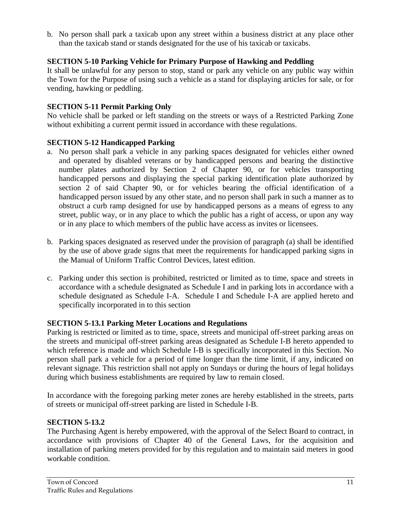b. No person shall park a taxicab upon any street within a business district at any place other than the taxicab stand or stands designated for the use of his taxicab or taxicabs.

## **SECTION 5-10 Parking Vehicle for Primary Purpose of Hawking and Peddling**

It shall be unlawful for any person to stop, stand or park any vehicle on any public way within the Town for the Purpose of using such a vehicle as a stand for displaying articles for sale, or for vending, hawking or peddling.

## **SECTION 5-11 Permit Parking Only**

No vehicle shall be parked or left standing on the streets or ways of a Restricted Parking Zone without exhibiting a current permit issued in accordance with these regulations.

## **SECTION 5-12 Handicapped Parking**

- a. No person shall park a vehicle in any parking spaces designated for vehicles either owned and operated by disabled veterans or by handicapped persons and bearing the distinctive number plates authorized by Section 2 of Chapter 90, or for vehicles transporting handicapped persons and displaying the special parking identification plate authorized by section 2 of said Chapter 90, or for vehicles bearing the official identification of a handicapped person issued by any other state, and no person shall park in such a manner as to obstruct a curb ramp designed for use by handicapped persons as a means of egress to any street, public way, or in any place to which the public has a right of access, or upon any way or in any place to which members of the public have access as invites or licensees.
- b. Parking spaces designated as reserved under the provision of paragraph (a) shall be identified by the use of above grade signs that meet the requirements for handicapped parking signs in the Manual of Uniform Traffic Control Devices, latest edition.
- c. Parking under this section is prohibited, restricted or limited as to time, space and streets in accordance with a schedule designated as Schedule I and in parking lots in accordance with a schedule designated as Schedule I-A. Schedule I and Schedule I-A are applied hereto and specifically incorporated in to this section

## **SECTION 5-13.1 Parking Meter Locations and Regulations**

Parking is restricted or limited as to time, space, streets and municipal off-street parking areas on the streets and municipal off-street parking areas designated as Schedule I-B hereto appended to which reference is made and which Schedule I-B is specifically incorporated in this Section. No person shall park a vehicle for a period of time longer than the time limit, if any, indicated on relevant signage. This restriction shall not apply on Sundays or during the hours of legal holidays during which business establishments are required by law to remain closed.

In accordance with the foregoing parking meter zones are hereby established in the streets, parts of streets or municipal off-street parking are listed in Schedule I-B.

# **SECTION 5-13.2**

The Purchasing Agent is hereby empowered, with the approval of the Select Board to contract, in accordance with provisions of Chapter 40 of the General Laws, for the acquisition and installation of parking meters provided for by this regulation and to maintain said meters in good workable condition.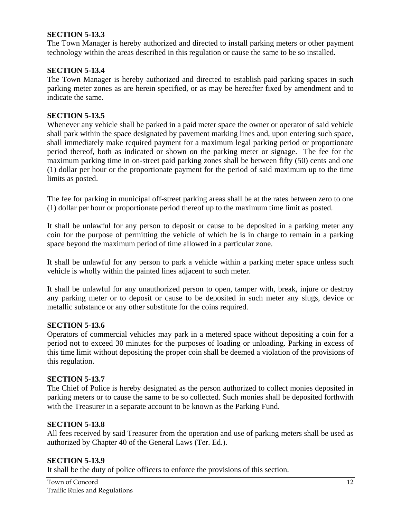### **SECTION 5-13.3**

The Town Manager is hereby authorized and directed to install parking meters or other payment technology within the areas described in this regulation or cause the same to be so installed.

### **SECTION 5-13.4**

The Town Manager is hereby authorized and directed to establish paid parking spaces in such parking meter zones as are herein specified, or as may be hereafter fixed by amendment and to indicate the same.

#### **SECTION 5-13.5**

Whenever any vehicle shall be parked in a paid meter space the owner or operator of said vehicle shall park within the space designated by pavement marking lines and, upon entering such space, shall immediately make required payment for a maximum legal parking period or proportionate period thereof, both as indicated or shown on the parking meter or signage. The fee for the maximum parking time in on-street paid parking zones shall be between fifty (50) cents and one (1) dollar per hour or the proportionate payment for the period of said maximum up to the time limits as posted.

The fee for parking in municipal off-street parking areas shall be at the rates between zero to one (1) dollar per hour or proportionate period thereof up to the maximum time limit as posted.

It shall be unlawful for any person to deposit or cause to be deposited in a parking meter any coin for the purpose of permitting the vehicle of which he is in charge to remain in a parking space beyond the maximum period of time allowed in a particular zone.

It shall be unlawful for any person to park a vehicle within a parking meter space unless such vehicle is wholly within the painted lines adjacent to such meter.

It shall be unlawful for any unauthorized person to open, tamper with, break, injure or destroy any parking meter or to deposit or cause to be deposited in such meter any slugs, device or metallic substance or any other substitute for the coins required.

#### **SECTION 5-13.6**

Operators of commercial vehicles may park in a metered space without depositing a coin for a period not to exceed 30 minutes for the purposes of loading or unloading. Parking in excess of this time limit without depositing the proper coin shall be deemed a violation of the provisions of this regulation.

#### **SECTION 5-13.7**

The Chief of Police is hereby designated as the person authorized to collect monies deposited in parking meters or to cause the same to be so collected. Such monies shall be deposited forthwith with the Treasurer in a separate account to be known as the Parking Fund.

### **SECTION 5-13.8**

All fees received by said Treasurer from the operation and use of parking meters shall be used as authorized by Chapter 40 of the General Laws (Ter. Ed.).

### **SECTION 5-13.9**

It shall be the duty of police officers to enforce the provisions of this section.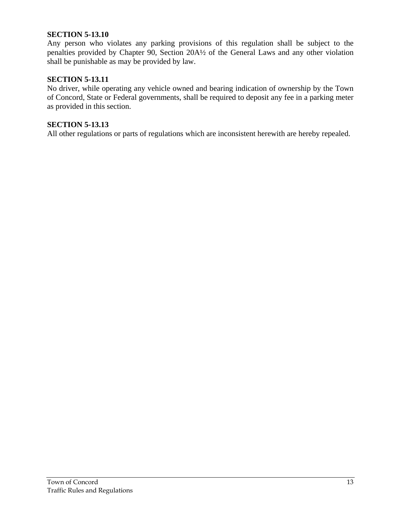#### **SECTION 5-13.10**

Any person who violates any parking provisions of this regulation shall be subject to the penalties provided by Chapter 90, Section 20A½ of the General Laws and any other violation shall be punishable as may be provided by law.

## **SECTION 5-13.11**

No driver, while operating any vehicle owned and bearing indication of ownership by the Town of Concord, State or Federal governments, shall be required to deposit any fee in a parking meter as provided in this section.

#### **SECTION 5-13.13**

All other regulations or parts of regulations which are inconsistent herewith are hereby repealed.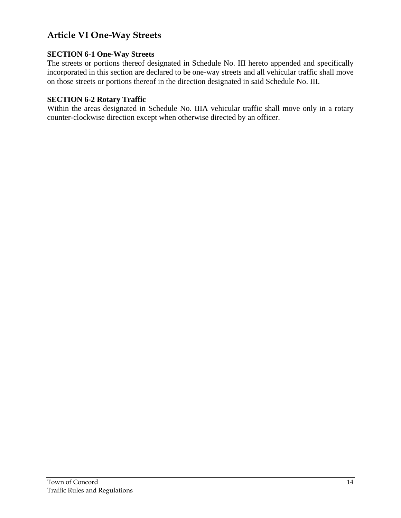# **Article VI One-Way Streets**

## **SECTION 6-1 One-Way Streets**

The streets or portions thereof designated in Schedule No. III hereto appended and specifically incorporated in this section are declared to be one-way streets and all vehicular traffic shall move on those streets or portions thereof in the direction designated in said Schedule No. III.

## **SECTION 6-2 Rotary Traffic**

Within the areas designated in Schedule No. IIIA vehicular traffic shall move only in a rotary counter-clockwise direction except when otherwise directed by an officer.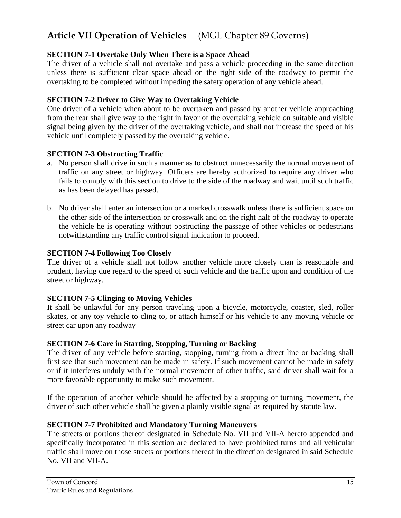# **Article VII Operation of Vehicles** (MGL Chapter 89 Governs)

## **SECTION 7-1 Overtake Only When There is a Space Ahead**

The driver of a vehicle shall not overtake and pass a vehicle proceeding in the same direction unless there is sufficient clear space ahead on the right side of the roadway to permit the overtaking to be completed without impeding the safety operation of any vehicle ahead.

### **SECTION 7-2 Driver to Give Way to Overtaking Vehicle**

One driver of a vehicle when about to be overtaken and passed by another vehicle approaching from the rear shall give way to the right in favor of the overtaking vehicle on suitable and visible signal being given by the driver of the overtaking vehicle, and shall not increase the speed of his vehicle until completely passed by the overtaking vehicle.

### **SECTION 7-3 Obstructing Traffic**

- a. No person shall drive in such a manner as to obstruct unnecessarily the normal movement of traffic on any street or highway. Officers are hereby authorized to require any driver who fails to comply with this section to drive to the side of the roadway and wait until such traffic as has been delayed has passed.
- b. No driver shall enter an intersection or a marked crosswalk unless there is sufficient space on the other side of the intersection or crosswalk and on the right half of the roadway to operate the vehicle he is operating without obstructing the passage of other vehicles or pedestrians notwithstanding any traffic control signal indication to proceed.

### **SECTION 7-4 Following Too Closely**

The driver of a vehicle shall not follow another vehicle more closely than is reasonable and prudent, having due regard to the speed of such vehicle and the traffic upon and condition of the street or highway.

## **SECTION 7-5 Clinging to Moving Vehicles**

It shall be unlawful for any person traveling upon a bicycle, motorcycle, coaster, sled, roller skates, or any toy vehicle to cling to, or attach himself or his vehicle to any moving vehicle or street car upon any roadway

### **SECTION 7-6 Care in Starting, Stopping, Turning or Backing**

The driver of any vehicle before starting, stopping, turning from a direct line or backing shall first see that such movement can be made in safety. If such movement cannot be made in safety or if it interferes unduly with the normal movement of other traffic, said driver shall wait for a more favorable opportunity to make such movement.

If the operation of another vehicle should be affected by a stopping or turning movement, the driver of such other vehicle shall be given a plainly visible signal as required by statute law.

### **SECTION 7-7 Prohibited and Mandatory Turning Maneuvers**

The streets or portions thereof designated in Schedule No. VII and VII-A hereto appended and specifically incorporated in this section are declared to have prohibited turns and all vehicular traffic shall move on those streets or portions thereof in the direction designated in said Schedule No. VII and VII-A.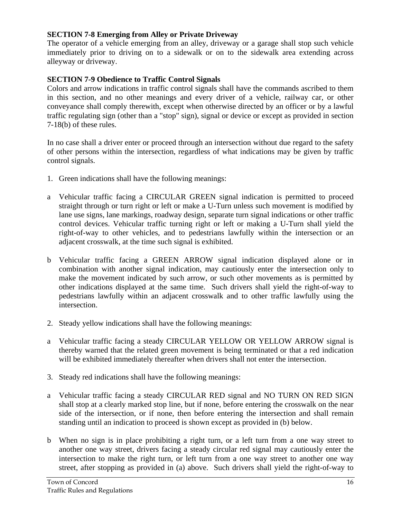## **SECTION 7-8 Emerging from Alley or Private Driveway**

The operator of a vehicle emerging from an alley, driveway or a garage shall stop such vehicle immediately prior to driving on to a sidewalk or on to the sidewalk area extending across alleyway or driveway.

## **SECTION 7-9 Obedience to Traffic Control Signals**

Colors and arrow indications in traffic control signals shall have the commands ascribed to them in this section, and no other meanings and every driver of a vehicle, railway car, or other conveyance shall comply therewith, except when otherwise directed by an officer or by a lawful traffic regulating sign (other than a "stop" sign), signal or device or except as provided in section 7-18(b) of these rules.

In no case shall a driver enter or proceed through an intersection without due regard to the safety of other persons within the intersection, regardless of what indications may be given by traffic control signals.

- 1. Green indications shall have the following meanings:
- a Vehicular traffic facing a CIRCULAR GREEN signal indication is permitted to proceed straight through or turn right or left or make a U-Turn unless such movement is modified by lane use signs, lane markings, roadway design, separate turn signal indications or other traffic control devices. Vehicular traffic turning right or left or making a U-Turn shall yield the right-of-way to other vehicles, and to pedestrians lawfully within the intersection or an adjacent crosswalk, at the time such signal is exhibited.
- b Vehicular traffic facing a GREEN ARROW signal indication displayed alone or in combination with another signal indication, may cautiously enter the intersection only to make the movement indicated by such arrow, or such other movements as is permitted by other indications displayed at the same time. Such drivers shall yield the right-of-way to pedestrians lawfully within an adjacent crosswalk and to other traffic lawfully using the intersection.
- 2. Steady yellow indications shall have the following meanings:
- a Vehicular traffic facing a steady CIRCULAR YELLOW OR YELLOW ARROW signal is thereby warned that the related green movement is being terminated or that a red indication will be exhibited immediately thereafter when drivers shall not enter the intersection.
- 3. Steady red indications shall have the following meanings:
- a Vehicular traffic facing a steady CIRCULAR RED signal and NO TURN ON RED SIGN shall stop at a clearly marked stop line, but if none, before entering the crosswalk on the near side of the intersection, or if none, then before entering the intersection and shall remain standing until an indication to proceed is shown except as provided in (b) below.
- b When no sign is in place prohibiting a right turn, or a left turn from a one way street to another one way street, drivers facing a steady circular red signal may cautiously enter the intersection to make the right turn, or left turn from a one way street to another one way street, after stopping as provided in (a) above. Such drivers shall yield the right-of-way to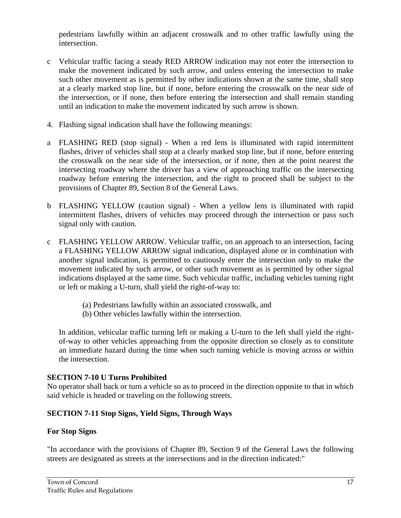pedestrians lawfully within an adjacent crosswalk and to other traffic lawfully using the intersection.

- c Vehicular traffic facing a steady RED ARROW indication may not enter the intersection to make the movement indicated by such arrow, and unless entering the intersection to make such other movement as is permitted by other indications shown at the same time, shall stop at a clearly marked stop line, but if none, before entering the crosswalk on the near side of the intersection, or if none, then before entering the intersection and shall remain standing until an indication to make the movement indicated by such arrow is shown.
- 4. Flashing signal indication shall have the following meanings:
- a FLASHING RED (stop signal) When a red lens is illuminated with rapid intermittent flashes, driver of vehicles shall stop at a clearly marked stop line, but if none, before entering the crosswalk on the near side of the intersection, or if none, then at the point nearest the intersecting roadway where the driver has a view of approaching traffic on the intersecting roadway before entering the intersection, and the right to proceed shall be subject to the provisions of Chapter 89, Section 8 of the General Laws.
- b FLASHING YELLOW (caution signal) When a yellow lens is illuminated with rapid intermittent flashes, drivers of vehicles may proceed through the intersection or pass such signal only with caution.
- c FLASHING YELLOW ARROW. Vehicular traffic, on an approach to an intersection, facing a FLASHING YELLOW ARROW signal indication, displayed alone or in combination with another signal indication, is permitted to cautiously enter the intersection only to make the movement indicated by such arrow, or other such movement as is permitted by other signal indications displayed at the same time. Such vehicular traffic, including vehicles turning right or left or making a U-turn, shall yield the right-of-way to:
	- (a) Pedestrians lawfully within an associated crosswalk, and
	- (b) Other vehicles lawfully within the intersection.

In addition, vehicular traffic turning left or making a U-turn to the left shall yield the rightof-way to other vehicles approaching from the opposite direction so closely as to constitute an immediate hazard during the time when such turning vehicle is moving across or within the intersection.

# **SECTION 7-10 U Turns Prohibited**

No operator shall back or turn a vehicle so as to proceed in the direction opposite to that in which said vehicle is headed or traveling on the following streets.

# **SECTION 7-11 Stop Signs, Yield Signs, Through Ways**

# **For Stop Signs**

"In accordance with the provisions of Chapter 89, Section 9 of the General Laws the following streets are designated as streets at the intersections and in the direction indicated:"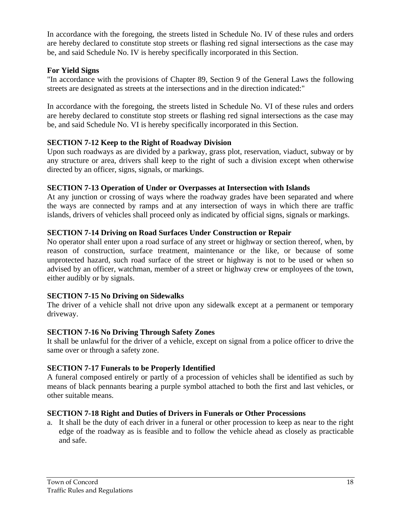In accordance with the foregoing, the streets listed in Schedule No. IV of these rules and orders are hereby declared to constitute stop streets or flashing red signal intersections as the case may be, and said Schedule No. IV is hereby specifically incorporated in this Section.

## **For Yield Signs**

"In accordance with the provisions of Chapter 89, Section 9 of the General Laws the following streets are designated as streets at the intersections and in the direction indicated:"

In accordance with the foregoing, the streets listed in Schedule No. VI of these rules and orders are hereby declared to constitute stop streets or flashing red signal intersections as the case may be, and said Schedule No. VI is hereby specifically incorporated in this Section.

## **SECTION 7-12 Keep to the Right of Roadway Division**

Upon such roadways as are divided by a parkway, grass plot, reservation, viaduct, subway or by any structure or area, drivers shall keep to the right of such a division except when otherwise directed by an officer, signs, signals, or markings.

## **SECTION 7-13 Operation of Under or Overpasses at Intersection with Islands**

At any junction or crossing of ways where the roadway grades have been separated and where the ways are connected by ramps and at any intersection of ways in which there are traffic islands, drivers of vehicles shall proceed only as indicated by official signs, signals or markings.

## **SECTION 7-14 Driving on Road Surfaces Under Construction or Repair**

No operator shall enter upon a road surface of any street or highway or section thereof, when, by reason of construction, surface treatment, maintenance or the like, or because of some unprotected hazard, such road surface of the street or highway is not to be used or when so advised by an officer, watchman, member of a street or highway crew or employees of the town, either audibly or by signals.

## **SECTION 7-15 No Driving on Sidewalks**

The driver of a vehicle shall not drive upon any sidewalk except at a permanent or temporary driveway.

# **SECTION 7-16 No Driving Through Safety Zones**

It shall be unlawful for the driver of a vehicle, except on signal from a police officer to drive the same over or through a safety zone.

## **SECTION 7-17 Funerals to be Properly Identified**

A funeral composed entirely or partly of a procession of vehicles shall be identified as such by means of black pennants bearing a purple symbol attached to both the first and last vehicles, or other suitable means.

## **SECTION 7-18 Right and Duties of Drivers in Funerals or Other Processions**

a. It shall be the duty of each driver in a funeral or other procession to keep as near to the right edge of the roadway as is feasible and to follow the vehicle ahead as closely as practicable and safe.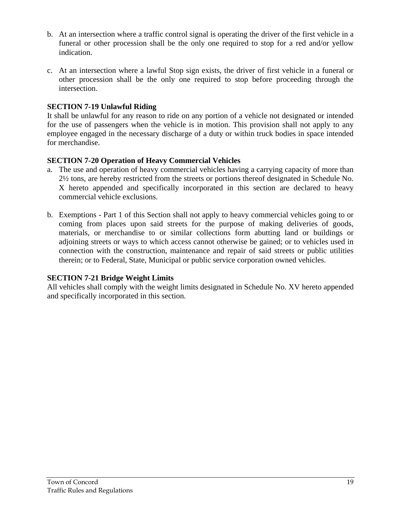- b. At an intersection where a traffic control signal is operating the driver of the first vehicle in a funeral or other procession shall be the only one required to stop for a red and/or yellow indication.
- c. At an intersection where a lawful Stop sign exists, the driver of first vehicle in a funeral or other procession shall be the only one required to stop before proceeding through the intersection.

## **SECTION 7-19 Unlawful Riding**

It shall be unlawful for any reason to ride on any portion of a vehicle not designated or intended for the use of passengers when the vehicle is in motion. This provision shall not apply to any employee engaged in the necessary discharge of a duty or within truck bodies in space intended for merchandise.

## **SECTION 7-20 Operation of Heavy Commercial Vehicles**

- a. The use and operation of heavy commercial vehicles having a carrying capacity of more than 2½ tons, are hereby restricted from the streets or portions thereof designated in Schedule No. X hereto appended and specifically incorporated in this section are declared to heavy commercial vehicle exclusions.
- b. Exemptions Part 1 of this Section shall not apply to heavy commercial vehicles going to or coming from places upon said streets for the purpose of making deliveries of goods, materials, or merchandise to or similar collections form abutting land or buildings or adjoining streets or ways to which access cannot otherwise be gained; or to vehicles used in connection with the construction, maintenance and repair of said streets or public utilities therein; or to Federal, State, Municipal or public service corporation owned vehicles.

## **SECTION 7-21 Bridge Weight Limits**

All vehicles shall comply with the weight limits designated in Schedule No. XV hereto appended and specifically incorporated in this section.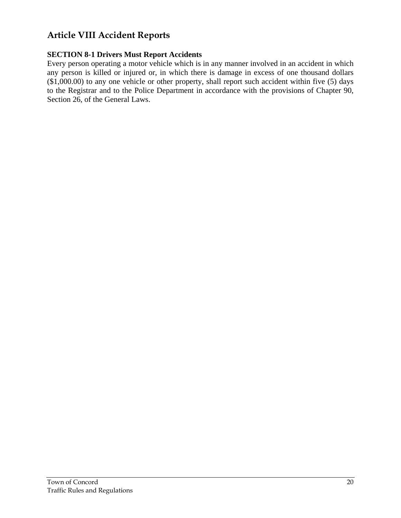# **Article VIII Accident Reports**

## **SECTION 8-1 Drivers Must Report Accidents**

Every person operating a motor vehicle which is in any manner involved in an accident in which any person is killed or injured or, in which there is damage in excess of one thousand dollars (\$1,000.00) to any one vehicle or other property, shall report such accident within five (5) days to the Registrar and to the Police Department in accordance with the provisions of Chapter 90, Section 26, of the General Laws.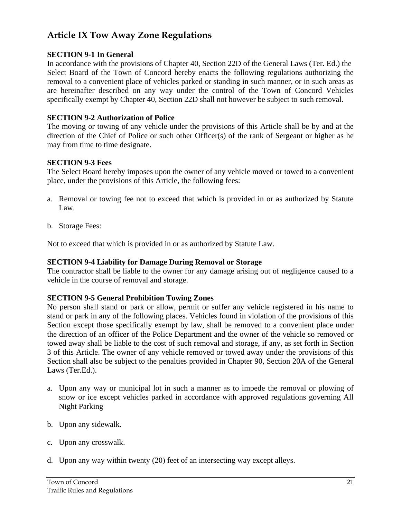# **Article IX Tow Away Zone Regulations**

## **SECTION 9-1 In General**

In accordance with the provisions of Chapter 40, Section 22D of the General Laws (Ter. Ed.) the Select Board of the Town of Concord hereby enacts the following regulations authorizing the removal to a convenient place of vehicles parked or standing in such manner, or in such areas as are hereinafter described on any way under the control of the Town of Concord Vehicles specifically exempt by Chapter 40, Section 22D shall not however be subject to such removal.

## **SECTION 9-2 Authorization of Police**

The moving or towing of any vehicle under the provisions of this Article shall be by and at the direction of the Chief of Police or such other Officer(s) of the rank of Sergeant or higher as he may from time to time designate.

### **SECTION 9-3 Fees**

The Select Board hereby imposes upon the owner of any vehicle moved or towed to a convenient place, under the provisions of this Article, the following fees:

- a. Removal or towing fee not to exceed that which is provided in or as authorized by Statute Law.
- b. Storage Fees:

Not to exceed that which is provided in or as authorized by Statute Law.

## **SECTION 9-4 Liability for Damage During Removal or Storage**

The contractor shall be liable to the owner for any damage arising out of negligence caused to a vehicle in the course of removal and storage.

## **SECTION 9-5 General Prohibition Towing Zones**

No person shall stand or park or allow, permit or suffer any vehicle registered in his name to stand or park in any of the following places. Vehicles found in violation of the provisions of this Section except those specifically exempt by law, shall be removed to a convenient place under the direction of an officer of the Police Department and the owner of the vehicle so removed or towed away shall be liable to the cost of such removal and storage, if any, as set forth in Section 3 of this Article. The owner of any vehicle removed or towed away under the provisions of this Section shall also be subject to the penalties provided in Chapter 90, Section 20A of the General Laws (Ter.Ed.).

- a. Upon any way or municipal lot in such a manner as to impede the removal or plowing of snow or ice except vehicles parked in accordance with approved regulations governing All Night Parking
- b. Upon any sidewalk.
- c. Upon any crosswalk.
- d. Upon any way within twenty (20) feet of an intersecting way except alleys.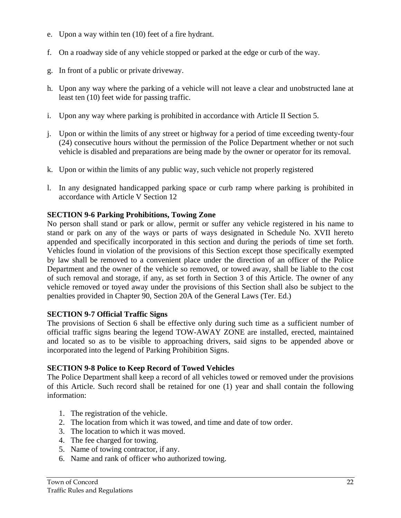- e. Upon a way within ten (10) feet of a fire hydrant.
- f. On a roadway side of any vehicle stopped or parked at the edge or curb of the way.
- g. In front of a public or private driveway.
- h. Upon any way where the parking of a vehicle will not leave a clear and unobstructed lane at least ten (10) feet wide for passing traffic.
- i. Upon any way where parking is prohibited in accordance with Article II Section 5.
- j. Upon or within the limits of any street or highway for a period of time exceeding twenty-four (24) consecutive hours without the permission of the Police Department whether or not such vehicle is disabled and preparations are being made by the owner or operator for its removal.
- k. Upon or within the limits of any public way, such vehicle not properly registered
- l. In any designated handicapped parking space or curb ramp where parking is prohibited in accordance with Article V Section 12

# **SECTION 9-6 Parking Prohibitions, Towing Zone**

No person shall stand or park or allow, permit or suffer any vehicle registered in his name to stand or park on any of the ways or parts of ways designated in Schedule No. XVII hereto appended and specifically incorporated in this section and during the periods of time set forth. Vehicles found in violation of the provisions of this Section except those specifically exempted by law shall be removed to a convenient place under the direction of an officer of the Police Department and the owner of the vehicle so removed, or towed away, shall be liable to the cost of such removal and storage, if any, as set forth in Section 3 of this Article. The owner of any vehicle removed or toyed away under the provisions of this Section shall also be subject to the penalties provided in Chapter 90, Section 20A of the General Laws (Ter. Ed.)

## **SECTION 9-7 Official Traffic Signs**

The provisions of Section 6 shall be effective only during such time as a sufficient number of official traffic signs bearing the legend TOW-AWAY ZONE are installed, erected, maintained and located so as to be visible to approaching drivers, said signs to be appended above or incorporated into the legend of Parking Prohibition Signs.

# **SECTION 9-8 Police to Keep Record of Towed Vehicles**

The Police Department shall keep a record of all vehicles towed or removed under the provisions of this Article. Such record shall be retained for one (1) year and shall contain the following information:

- 1. The registration of the vehicle.
- 2. The location from which it was towed, and time and date of tow order.
- 3. The location to which it was moved.
- 4. The fee charged for towing.
- 5. Name of towing contractor, if any.
- 6. Name and rank of officer who authorized towing.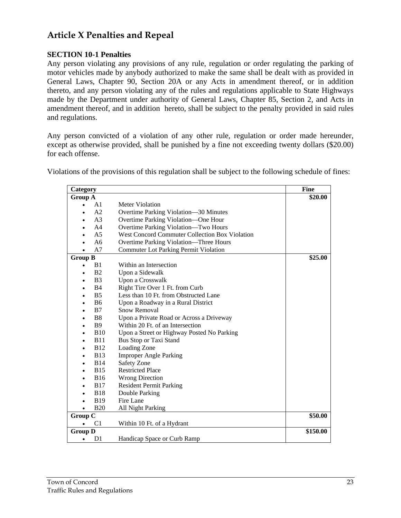# **Article X Penalties and Repeal**

## **SECTION 10-1 Penalties**

Any person violating any provisions of any rule, regulation or order regulating the parking of motor vehicles made by anybody authorized to make the same shall be dealt with as provided in General Laws, Chapter 90, Section 20A or any Acts in amendment thereof, or in addition thereto, and any person violating any of the rules and regulations applicable to State Highways made by the Department under authority of General Laws, Chapter 85, Section 2, and Acts in amendment thereof, and in addition hereto, shall be subject to the penalty provided in said rules and regulations.

Any person convicted of a violation of any other rule, regulation or order made hereunder, except as otherwise provided, shall be punished by a fine not exceeding twenty dollars (\$20.00) for each offense.

Violations of the provisions of this regulation shall be subject to the following schedule of fines:

| Category       |                |                                                | <b>Fine</b> |
|----------------|----------------|------------------------------------------------|-------------|
| <b>Group A</b> |                |                                                | \$20.00     |
| $\bullet$      | A <sub>1</sub> | Meter Violation                                |             |
|                | A <sub>2</sub> | Overtime Parking Violation—30 Minutes          |             |
|                | A <sub>3</sub> | Overtime Parking Violation-One Hour            |             |
|                | A <sub>4</sub> | Overtime Parking Violation-Two Hours           |             |
|                | A <sub>5</sub> | West Concord Commuter Collection Box Violation |             |
|                | A6             | Overtime Parking Violation—Three Hours         |             |
|                | A7             | <b>Commuter Lot Parking Permit Violation</b>   |             |
| <b>Group B</b> |                |                                                | \$25.00     |
| $\bullet$      | B <sub>1</sub> | Within an Intersection                         |             |
|                | B <sub>2</sub> | Upon a Sidewalk                                |             |
|                | B <sub>3</sub> | Upon a Crosswalk                               |             |
|                | B <sub>4</sub> | Right Tire Over 1 Ft. from Curb                |             |
|                | B <sub>5</sub> | Less than 10 Ft. from Obstructed Lane          |             |
|                | <b>B6</b>      | Upon a Roadway in a Rural District             |             |
|                | B7             | Snow Removal                                   |             |
|                | B <sub>8</sub> | Upon a Private Road or Across a Driveway       |             |
|                | <b>B</b> 9     | Within 20 Ft. of an Intersection               |             |
|                | <b>B10</b>     | Upon a Street or Highway Posted No Parking     |             |
|                | <b>B11</b>     | Bus Stop or Taxi Stand                         |             |
|                | <b>B12</b>     | Loading Zone                                   |             |
|                | <b>B13</b>     | <b>Improper Angle Parking</b>                  |             |
|                | <b>B14</b>     | <b>Safety Zone</b>                             |             |
|                | <b>B15</b>     | <b>Restricted Place</b>                        |             |
|                | <b>B16</b>     | <b>Wrong Direction</b>                         |             |
|                | <b>B</b> 17    | <b>Resident Permit Parking</b>                 |             |
|                | <b>B18</b>     | Double Parking                                 |             |
|                | <b>B19</b>     | Fire Lane                                      |             |
|                | <b>B20</b>     | All Night Parking                              |             |
| Group C        |                |                                                | \$50.00     |
| $\bullet$      | C <sub>1</sub> | Within 10 Ft. of a Hydrant                     |             |
| <b>Group D</b> |                |                                                | \$150.00    |
| $\bullet$      | D1             | Handicap Space or Curb Ramp                    |             |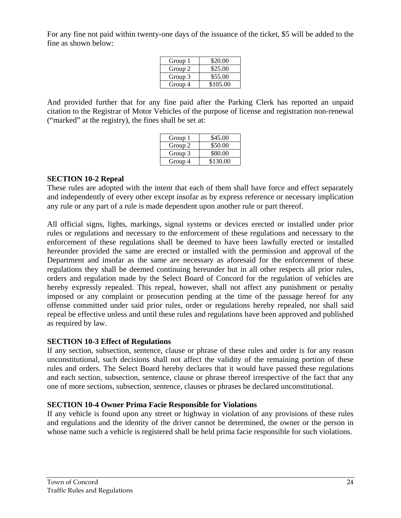For any fine not paid within twenty-one days of the issuance of the ticket, \$5 will be added to the fine as shown below:

| Group 1 | \$20.00  |
|---------|----------|
| Group 2 | \$25.00  |
| Group 3 | \$55.00  |
| Group 4 | \$105.00 |
|         |          |

And provided further that for any fine paid after the Parking Clerk has reported an unpaid citation to the Registrar of Motor Vehicles of the purpose of license and registration non-renewal ("marked" at the registry), the fines shall be set at:

| Group 1 | \$45.00  |
|---------|----------|
| Group 2 | \$50.00  |
| Group 3 | \$80.00  |
| Group 4 | \$130.00 |

### **SECTION 10-2 Repeal**

These rules are adopted with the intent that each of them shall have force and effect separately and independently of every other except insofar as by express reference or necessary implication any rule or any part of a rule is made dependent upon another rule or part thereof.

All official signs, lights, markings, signal systems or devices erected or installed under prior rules or regulations and necessary to the enforcement of these regulations and necessary to the enforcement of these regulations shall be deemed to have been lawfully erected or installed hereunder provided the same are erected or installed with the permission and approval of the Department and insofar as the same are necessary as aforesaid for the enforcement of these regulations they shall be deemed continuing hereunder but in all other respects all prior rules, orders and regulation made by the Select Board of Concord for the regulation of vehicles are hereby expressly repealed. This repeal, however, shall not affect any punishment or penalty imposed or any complaint or prosecution pending at the time of the passage hereof for any offense committed under said prior rules, order or regulations hereby repealed, nor shall said repeal be effective unless and until these rules and regulations have been approved and published as required by law.

## **SECTION 10-3 Effect of Regulations**

If any section, subsection, sentence, clause or phrase of these rules and order is for any reason unconstitutional, such decisions shall not affect the validity of the remaining portion of these rules and orders. The Select Board hereby declares that it would have passed these regulations and each section, subsection, sentence, clause or phrase thereof irrespective of the fact that any one of more sections, subsection, sentence, clauses or phrases be declared unconstitutional.

## **SECTION 10-4 Owner Prima Facie Responsible for Violations**

If any vehicle is found upon any street or highway in violation of any provisions of these rules and regulations and the identity of the driver cannot be determined, the owner or the person in whose name such a vehicle is registered shall be held prima facie responsible for such violations.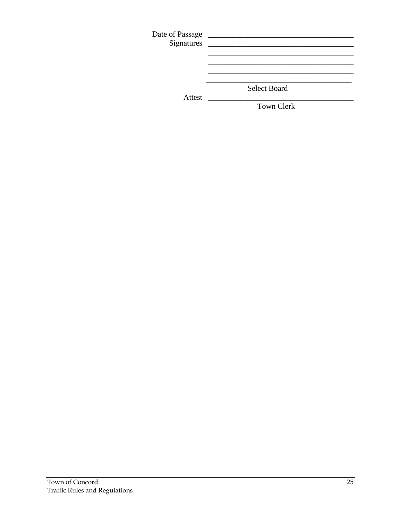|        | <b>Select Board</b> |
|--------|---------------------|
| Attest |                     |
|        | <b>Town Clerk</b>   |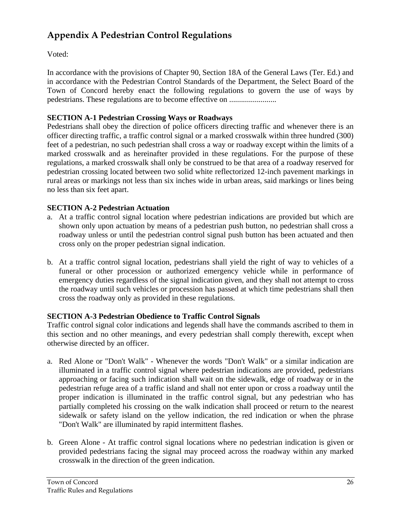# **Appendix A Pedestrian Control Regulations**

Voted:

In accordance with the provisions of Chapter 90, Section 18A of the General Laws (Ter. Ed.) and in accordance with the Pedestrian Control Standards of the Department, the Select Board of the Town of Concord hereby enact the following regulations to govern the use of ways by pedestrians. These regulations are to become effective on ........................

# **SECTION A-1 Pedestrian Crossing Ways or Roadways**

Pedestrians shall obey the direction of police officers directing traffic and whenever there is an officer directing traffic, a traffic control signal or a marked crosswalk within three hundred (300) feet of a pedestrian, no such pedestrian shall cross a way or roadway except within the limits of a marked crosswalk and as hereinafter provided in these regulations. For the purpose of these regulations, a marked crosswalk shall only be construed to be that area of a roadway reserved for pedestrian crossing located between two solid white reflectorized 12-inch pavement markings in rural areas or markings not less than six inches wide in urban areas, said markings or lines being no less than six feet apart.

# **SECTION A-2 Pedestrian Actuation**

- a. At a traffic control signal location where pedestrian indications are provided but which are shown only upon actuation by means of a pedestrian push button, no pedestrian shall cross a roadway unless or until the pedestrian control signal push button has been actuated and then cross only on the proper pedestrian signal indication.
- b. At a traffic control signal location, pedestrians shall yield the right of way to vehicles of a funeral or other procession or authorized emergency vehicle while in performance of emergency duties regardless of the signal indication given, and they shall not attempt to cross the roadway until such vehicles or procession has passed at which time pedestrians shall then cross the roadway only as provided in these regulations.

# **SECTION A-3 Pedestrian Obedience to Traffic Control Signals**

Traffic control signal color indications and legends shall have the commands ascribed to them in this section and no other meanings, and every pedestrian shall comply therewith, except when otherwise directed by an officer.

- a. Red Alone or "Don't Walk" Whenever the words "Don't Walk" or a similar indication are illuminated in a traffic control signal where pedestrian indications are provided, pedestrians approaching or facing such indication shall wait on the sidewalk, edge of roadway or in the pedestrian refuge area of a traffic island and shall not enter upon or cross a roadway until the proper indication is illuminated in the traffic control signal, but any pedestrian who has partially completed his crossing on the walk indication shall proceed or return to the nearest sidewalk or safety island on the yellow indication, the red indication or when the phrase "Don't Walk" are illuminated by rapid intermittent flashes.
- b. Green Alone At traffic control signal locations where no pedestrian indication is given or provided pedestrians facing the signal may proceed across the roadway within any marked crosswalk in the direction of the green indication.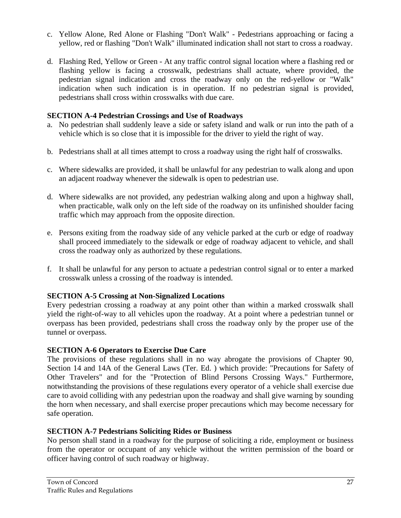- c. Yellow Alone, Red Alone or Flashing "Don't Walk" Pedestrians approaching or facing a yellow, red or flashing "Don't Walk" illuminated indication shall not start to cross a roadway.
- d. Flashing Red, Yellow or Green At any traffic control signal location where a flashing red or flashing yellow is facing a crosswalk, pedestrians shall actuate, where provided, the pedestrian signal indication and cross the roadway only on the red-yellow or "Walk" indication when such indication is in operation. If no pedestrian signal is provided, pedestrians shall cross within crosswalks with due care.

## **SECTION A-4 Pedestrian Crossings and Use of Roadways**

- a. No pedestrian shall suddenly leave a side or safety island and walk or run into the path of a vehicle which is so close that it is impossible for the driver to yield the right of way.
- b. Pedestrians shall at all times attempt to cross a roadway using the right half of crosswalks.
- c. Where sidewalks are provided, it shall be unlawful for any pedestrian to walk along and upon an adjacent roadway whenever the sidewalk is open to pedestrian use.
- d. Where sidewalks are not provided, any pedestrian walking along and upon a highway shall, when practicable, walk only on the left side of the roadway on its unfinished shoulder facing traffic which may approach from the opposite direction.
- e. Persons exiting from the roadway side of any vehicle parked at the curb or edge of roadway shall proceed immediately to the sidewalk or edge of roadway adjacent to vehicle, and shall cross the roadway only as authorized by these regulations.
- f. It shall be unlawful for any person to actuate a pedestrian control signal or to enter a marked crosswalk unless a crossing of the roadway is intended.

## **SECTION A-5 Crossing at Non-Signalized Locations**

Every pedestrian crossing a roadway at any point other than within a marked crosswalk shall yield the right-of-way to all vehicles upon the roadway. At a point where a pedestrian tunnel or overpass has been provided, pedestrians shall cross the roadway only by the proper use of the tunnel or overpass.

## **SECTION A-6 Operators to Exercise Due Care**

The provisions of these regulations shall in no way abrogate the provisions of Chapter 90, Section 14 and 14A of the General Laws (Ter. Ed. ) which provide: "Precautions for Safety of Other Travelers" and for the "Protection of Blind Persons Crossing Ways." Furthermore, notwithstanding the provisions of these regulations every operator of a vehicle shall exercise due care to avoid colliding with any pedestrian upon the roadway and shall give warning by sounding the horn when necessary, and shall exercise proper precautions which may become necessary for safe operation.

## **SECTION A-7 Pedestrians Soliciting Rides or Business**

No person shall stand in a roadway for the purpose of soliciting a ride, employment or business from the operator or occupant of any vehicle without the written permission of the board or officer having control of such roadway or highway.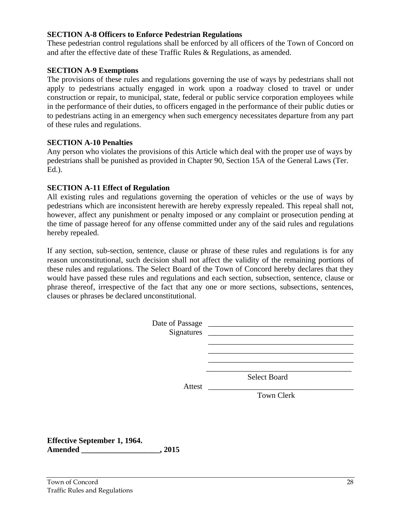### **SECTION A-8 Officers to Enforce Pedestrian Regulations**

These pedestrian control regulations shall be enforced by all officers of the Town of Concord on and after the effective date of these Traffic Rules & Regulations, as amended.

## **SECTION A-9 Exemptions**

The provisions of these rules and regulations governing the use of ways by pedestrians shall not apply to pedestrians actually engaged in work upon a roadway closed to travel or under construction or repair, to municipal, state, federal or public service corporation employees while in the performance of their duties, to officers engaged in the performance of their public duties or to pedestrians acting in an emergency when such emergency necessitates departure from any part of these rules and regulations.

### **SECTION A-10 Penalties**

Any person who violates the provisions of this Article which deal with the proper use of ways by pedestrians shall be punished as provided in Chapter 90, Section 15A of the General Laws (Ter. Ed.).

## **SECTION A-11 Effect of Regulation**

All existing rules and regulations governing the operation of vehicles or the use of ways by pedestrians which are inconsistent herewith are hereby expressly repealed. This repeal shall not, however, affect any punishment or penalty imposed or any complaint or prosecution pending at the time of passage hereof for any offense committed under any of the said rules and regulations hereby repealed.

If any section, sub-section, sentence, clause or phrase of these rules and regulations is for any reason unconstitutional, such decision shall not affect the validity of the remaining portions of these rules and regulations. The Select Board of the Town of Concord hereby declares that they would have passed these rules and regulations and each section, subsection, sentence, clause or phrase thereof, irrespective of the fact that any one or more sections, subsections, sentences, clauses or phrases be declared unconstitutional.

| Attest                              | Select Board      |
|-------------------------------------|-------------------|
|                                     | <b>Town Clerk</b> |
| <b>Effective September 1, 1964.</b> |                   |

**Amended \_\_\_\_\_\_\_\_\_\_\_\_\_\_\_\_\_\_\_\_, 2015**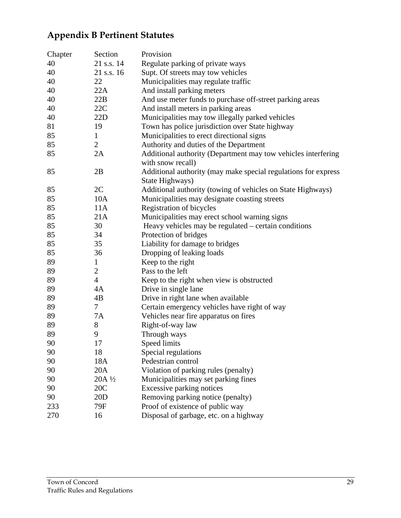# **Appendix B Pertinent Statutes**

| Chapter | Section        | Provision                                                      |
|---------|----------------|----------------------------------------------------------------|
| 40      | 21 s.s. 14     | Regulate parking of private ways                               |
| 40      | 21 s.s. 16     | Supt. Of streets may tow vehicles                              |
| 40      | 22             | Municipalities may regulate traffic                            |
| 40      | 22A            | And install parking meters                                     |
| 40      | 22B            | And use meter funds to purchase off-street parking areas       |
| 40      | 22C            | And install meters in parking areas                            |
| 40      | 22D            | Municipalities may tow illegally parked vehicles               |
| 81      | 19             | Town has police jurisdiction over State highway                |
| 85      | $\mathbf{1}$   | Municipalities to erect directional signs                      |
| 85      | $\overline{2}$ | Authority and duties of the Department                         |
| 85      | 2A             | Additional authority (Department may tow vehicles interfering  |
|         |                | with snow recall)                                              |
| 85      | 2B             | Additional authority (may make special regulations for express |
|         |                | State Highways)                                                |
| 85      | 2C             | Additional authority (towing of vehicles on State Highways)    |
| 85      | 10A            | Municipalities may designate coasting streets                  |
| 85      | 11A            | Registration of bicycles                                       |
| 85      | 21A            | Municipalities may erect school warning signs                  |
| 85      | 30             | Heavy vehicles may be regulated – certain conditions           |
| 85      | 34             | Protection of bridges                                          |
| 85      | 35             | Liability for damage to bridges                                |
| 85      | 36             | Dropping of leaking loads                                      |
| 89      | $\mathbf{1}$   | Keep to the right                                              |
| 89      | $\overline{c}$ | Pass to the left                                               |
| 89      | $\overline{4}$ | Keep to the right when view is obstructed                      |
| 89      | 4A             | Drive in single lane                                           |
| 89      | 4B             | Drive in right lane when available                             |
| 89      | $\tau$         | Certain emergency vehicles have right of way                   |
| 89      | 7A             | Vehicles near fire apparatus on fires                          |
| 89      | 8              | Right-of-way law                                               |
| 89      | 9              | Through ways                                                   |
| 90      | 17             | Speed limits                                                   |
| 90      | 18             | Special regulations                                            |
| 90      | 18A            | Pedestrian control                                             |
| 90      | 20A            | Violation of parking rules (penalty)                           |
| 90      | 20A 1/2        | Municipalities may set parking fines                           |
| 90      | 20C            | Excessive parking notices                                      |
| 90      | 20D            | Removing parking notice (penalty)                              |
| 233     | 79F            | Proof of existence of public way                               |
| 270     | 16             | Disposal of garbage, etc. on a highway                         |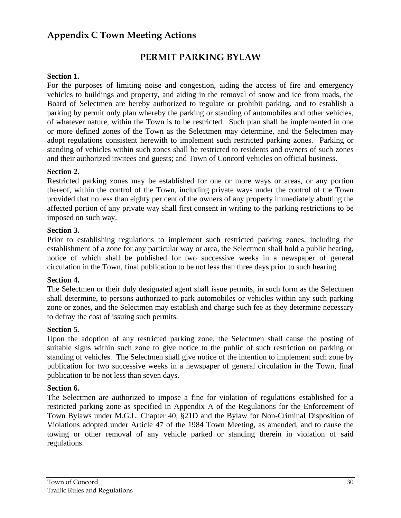# **Appendix C Town Meeting Actions**

# **PERMIT PARKING BYLAW**

## **Section 1.**

For the purposes of limiting noise and congestion, aiding the access of fire and emergency vehicles to buildings and property, and aiding in the removal of snow and ice from roads, the Board of Selectmen are hereby authorized to regulate or prohibit parking, and to establish a parking by permit only plan whereby the parking or standing of automobiles and other vehicles, of whatever nature, within the Town is to be restricted. Such plan shall be implemented in one or more defined zones of the Town as the Selectmen may determine, and the Selectmen may adopt regulations consistent herewith to implement such restricted parking zones. Parking or standing of vehicles within such zones shall be restricted to residents and owners of such zones and their authorized invitees and guests; and Town of Concord vehicles on official business.

## **Section 2.**

Restricted parking zones may be established for one or more ways or areas, or any portion thereof, within the control of the Town, including private ways under the control of the Town provided that no less than eighty per cent of the owners of any property immediately abutting the affected portion of any private way shall first consent in writing to the parking restrictions to be imposed on such way.

### **Section 3.**

Prior to establishing regulations to implement such restricted parking zones, including the establishment of a zone for any particular way or area, the Selectmen shall hold a public hearing, notice of which shall be published for two successive weeks in a newspaper of general circulation in the Town, final publication to be not less than three days prior to such hearing.

### **Section 4.**

The Selectmen or their duly designated agent shall issue permits, in such form as the Selectmen shall determine, to persons authorized to park automobiles or vehicles within any such parking zone or zones, and the Selectmen may establish and charge such fee as they determine necessary to defray the cost of issuing such permits.

#### **Section 5.**

Upon the adoption of any restricted parking zone, the Selectmen shall cause the posting of suitable signs within such zone to give notice to the public of such restriction on parking or standing of vehicles. The Selectmen shall give notice of the intention to implement such zone by publication for two successive weeks in a newspaper of general circulation in the Town, final publication to be not less than seven days.

#### **Section 6.**

The Selectmen are authorized to impose a fine for violation of regulations established for a restricted parking zone as specified in Appendix A of the Regulations for the Enforcement of Town Bylaws under M.G.L. Chapter 40, §21D and the Bylaw for Non-Criminal Disposition of Violations adopted under Article 47 of the 1984 Town Meeting, as amended, and to cause the towing or other removal of any vehicle parked or standing therein in violation of said regulations.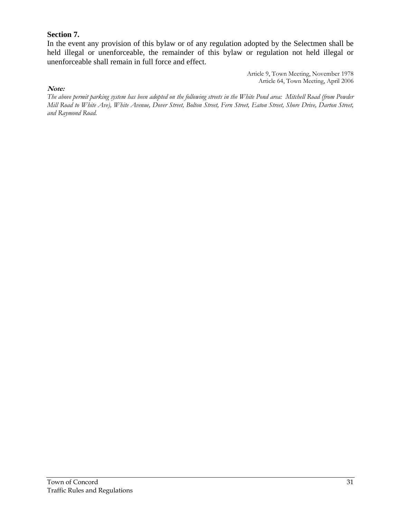## **Section 7.**

In the event any provision of this bylaw or of any regulation adopted by the Selectmen shall be held illegal or unenforceable, the remainder of this bylaw or regulation not held illegal or unenforceable shall remain in full force and effect.

> Article 9, Town Meeting, November 1978 Article 64, Town Meeting, April 2006

#### **Note:**

*The above permit parking system has been adopted on the following streets in the White Pond area: Mitchell Road (from Powder Mill Road to White Ave), White Avenue, Dover Street, Bolton Street, Fern Street, Eaton Street, Shore Drive, Darton Street, and Raymond Road.*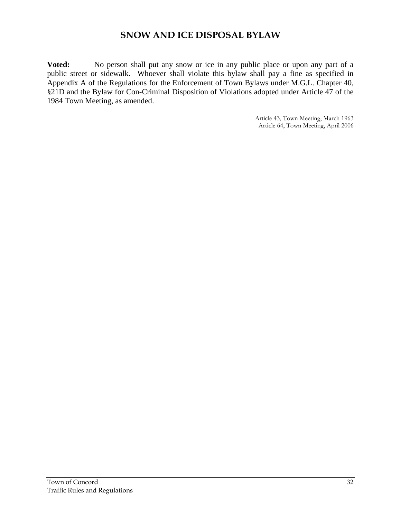# **SNOW AND ICE DISPOSAL BYLAW**

**Voted:** No person shall put any snow or ice in any public place or upon any part of a public street or sidewalk. Whoever shall violate this bylaw shall pay a fine as specified in Appendix A of the Regulations for the Enforcement of Town Bylaws under M.G.L. Chapter 40, §21D and the Bylaw for Con-Criminal Disposition of Violations adopted under Article 47 of the 1984 Town Meeting, as amended.

> Article 43, Town Meeting, March 1963 Article 64, Town Meeting, April 2006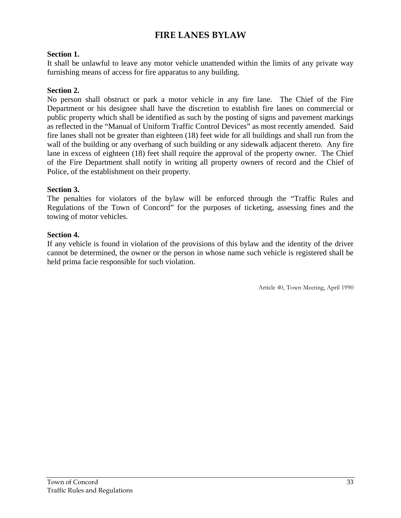# **FIRE LANES BYLAW**

## **Section 1.**

It shall be unlawful to leave any motor vehicle unattended within the limits of any private way furnishing means of access for fire apparatus to any building.

## **Section 2.**

No person shall obstruct or park a motor vehicle in any fire lane. The Chief of the Fire Department or his designee shall have the discretion to establish fire lanes on commercial or public property which shall be identified as such by the posting of signs and pavement markings as reflected in the "Manual of Uniform Traffic Control Devices" as most recently amended. Said fire lanes shall not be greater than eighteen (18) feet wide for all buildings and shall run from the wall of the building or any overhang of such building or any sidewalk adjacent thereto. Any fire lane in excess of eighteen (18) feet shall require the approval of the property owner. The Chief of the Fire Department shall notify in writing all property owners of record and the Chief of Police, of the establishment on their property.

### **Section 3.**

The penalties for violators of the bylaw will be enforced through the "Traffic Rules and Regulations of the Town of Concord" for the purposes of ticketing, assessing fines and the towing of motor vehicles.

### **Section 4.**

If any vehicle is found in violation of the provisions of this bylaw and the identity of the driver cannot be determined, the owner or the person in whose name such vehicle is registered shall be held prima facie responsible for such violation.

Article 40, Town Meeting, April 1990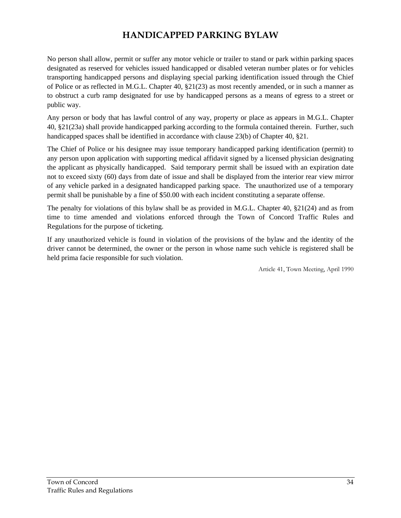# **HANDICAPPED PARKING BYLAW**

No person shall allow, permit or suffer any motor vehicle or trailer to stand or park within parking spaces designated as reserved for vehicles issued handicapped or disabled veteran number plates or for vehicles transporting handicapped persons and displaying special parking identification issued through the Chief of Police or as reflected in M.G.L. Chapter 40, §21(23) as most recently amended, or in such a manner as to obstruct a curb ramp designated for use by handicapped persons as a means of egress to a street or public way.

Any person or body that has lawful control of any way, property or place as appears in M.G.L. Chapter 40, §21(23a) shall provide handicapped parking according to the formula contained therein. Further, such handicapped spaces shall be identified in accordance with clause 23(b) of Chapter 40, §21.

The Chief of Police or his designee may issue temporary handicapped parking identification (permit) to any person upon application with supporting medical affidavit signed by a licensed physician designating the applicant as physically handicapped. Said temporary permit shall be issued with an expiration date not to exceed sixty (60) days from date of issue and shall be displayed from the interior rear view mirror of any vehicle parked in a designated handicapped parking space. The unauthorized use of a temporary permit shall be punishable by a fine of \$50.00 with each incident constituting a separate offense.

The penalty for violations of this bylaw shall be as provided in M.G.L. Chapter 40, §21(24) and as from time to time amended and violations enforced through the Town of Concord Traffic Rules and Regulations for the purpose of ticketing.

If any unauthorized vehicle is found in violation of the provisions of the bylaw and the identity of the driver cannot be determined, the owner or the person in whose name such vehicle is registered shall be held prima facie responsible for such violation.

Article 41, Town Meeting, April 1990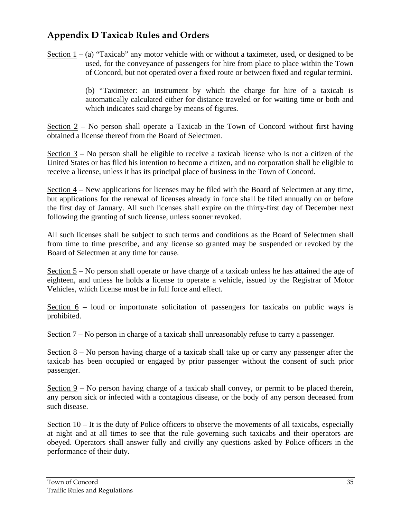#### **Appendix D Taxicab Rules and Orders**

Section  $1 - (a)$  "Taxicab" any motor vehicle with or without a taximeter, used, or designed to be used, for the conveyance of passengers for hire from place to place within the Town of Concord, but not operated over a fixed route or between fixed and regular termini.

> (b) "Taximeter: an instrument by which the charge for hire of a taxicab is automatically calculated either for distance traveled or for waiting time or both and which indicates said charge by means of figures.

Section 2 – No person shall operate a Taxicab in the Town of Concord without first having obtained a license thereof from the Board of Selectmen.

Section 3 – No person shall be eligible to receive a taxicab license who is not a citizen of the United States or has filed his intention to become a citizen, and no corporation shall be eligible to receive a license, unless it has its principal place of business in the Town of Concord.

Section  $4$  – New applications for licenses may be filed with the Board of Selectmen at any time, but applications for the renewal of licenses already in force shall be filed annually on or before the first day of January. All such licenses shall expire on the thirty-first day of December next following the granting of such license, unless sooner revoked.

All such licenses shall be subject to such terms and conditions as the Board of Selectmen shall from time to time prescribe, and any license so granted may be suspended or revoked by the Board of Selectmen at any time for cause.

Section 5 – No person shall operate or have charge of a taxicab unless he has attained the age of eighteen, and unless he holds a license to operate a vehicle, issued by the Registrar of Motor Vehicles, which license must be in full force and effect.

Section 6 – loud or importunate solicitation of passengers for taxicabs on public ways is prohibited.

Section 7 – No person in charge of a taxicab shall unreasonably refuse to carry a passenger.

Section 8 – No person having charge of a taxicab shall take up or carry any passenger after the taxicab has been occupied or engaged by prior passenger without the consent of such prior passenger.

Section  $9 - No$  person having charge of a taxicab shall convey, or permit to be placed therein, any person sick or infected with a contagious disease, or the body of any person deceased from such disease.

Section  $10 - It$  is the duty of Police officers to observe the movements of all taxicabs, especially at night and at all times to see that the rule governing such taxicabs and their operators are obeyed. Operators shall answer fully and civilly any questions asked by Police officers in the performance of their duty.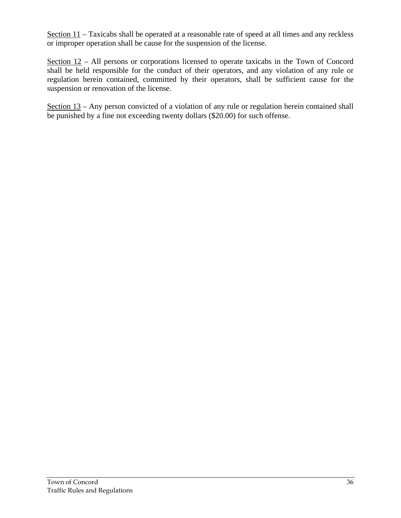Section 11 – Taxicabs shall be operated at a reasonable rate of speed at all times and any reckless or improper operation shall be cause for the suspension of the license.

Section 12 – All persons or corporations licensed to operate taxicabs in the Town of Concord shall be held responsible for the conduct of their operators, and any violation of any rule or regulation herein contained, committed by their operators, shall be sufficient cause for the suspension or renovation of the license.

Section  $13$  – Any person convicted of a violation of any rule or regulation herein contained shall be punished by a fine not exceeding twenty dollars (\$20.00) for such offense.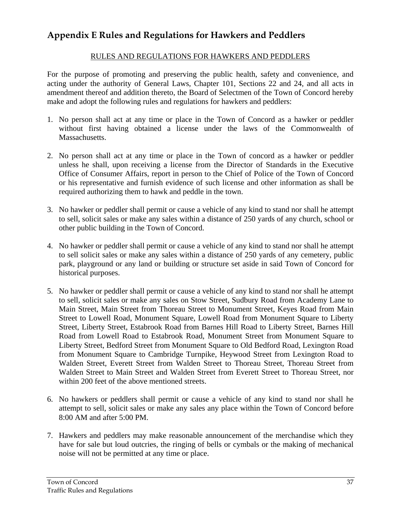#### **Appendix E Rules and Regulations for Hawkers and Peddlers**

#### RULES AND REGULATIONS FOR HAWKERS AND PEDDLERS

For the purpose of promoting and preserving the public health, safety and convenience, and acting under the authority of General Laws, Chapter 101, Sections 22 and 24, and all acts in amendment thereof and addition thereto, the Board of Selectmen of the Town of Concord hereby make and adopt the following rules and regulations for hawkers and peddlers:

- 1. No person shall act at any time or place in the Town of Concord as a hawker or peddler without first having obtained a license under the laws of the Commonwealth of Massachusetts.
- 2. No person shall act at any time or place in the Town of concord as a hawker or peddler unless he shall, upon receiving a license from the Director of Standards in the Executive Office of Consumer Affairs, report in person to the Chief of Police of the Town of Concord or his representative and furnish evidence of such license and other information as shall be required authorizing them to hawk and peddle in the town.
- 3. No hawker or peddler shall permit or cause a vehicle of any kind to stand nor shall he attempt to sell, solicit sales or make any sales within a distance of 250 yards of any church, school or other public building in the Town of Concord.
- 4. No hawker or peddler shall permit or cause a vehicle of any kind to stand nor shall he attempt to sell solicit sales or make any sales within a distance of 250 yards of any cemetery, public park, playground or any land or building or structure set aside in said Town of Concord for historical purposes.
- 5. No hawker or peddler shall permit or cause a vehicle of any kind to stand nor shall he attempt to sell, solicit sales or make any sales on Stow Street, Sudbury Road from Academy Lane to Main Street, Main Street from Thoreau Street to Monument Street, Keyes Road from Main Street to Lowell Road, Monument Square, Lowell Road from Monument Square to Liberty Street, Liberty Street, Estabrook Road from Barnes Hill Road to Liberty Street, Barnes Hill Road from Lowell Road to Estabrook Road, Monument Street from Monument Square to Liberty Street, Bedford Street from Monument Square to Old Bedford Road, Lexington Road from Monument Square to Cambridge Turnpike, Heywood Street from Lexington Road to Walden Street, Everett Street from Walden Street to Thoreau Street, Thoreau Street from Walden Street to Main Street and Walden Street from Everett Street to Thoreau Street, nor within 200 feet of the above mentioned streets.
- 6. No hawkers or peddlers shall permit or cause a vehicle of any kind to stand nor shall he attempt to sell, solicit sales or make any sales any place within the Town of Concord before 8:00 AM and after 5:00 PM.
- 7. Hawkers and peddlers may make reasonable announcement of the merchandise which they have for sale but loud outcries, the ringing of bells or cymbals or the making of mechanical noise will not be permitted at any time or place.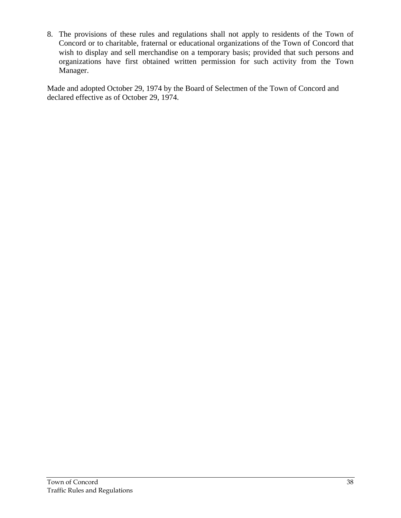8. The provisions of these rules and regulations shall not apply to residents of the Town of Concord or to charitable, fraternal or educational organizations of the Town of Concord that wish to display and sell merchandise on a temporary basis; provided that such persons and organizations have first obtained written permission for such activity from the Town Manager.

Made and adopted October 29, 1974 by the Board of Selectmen of the Town of Concord and declared effective as of October 29, 1974.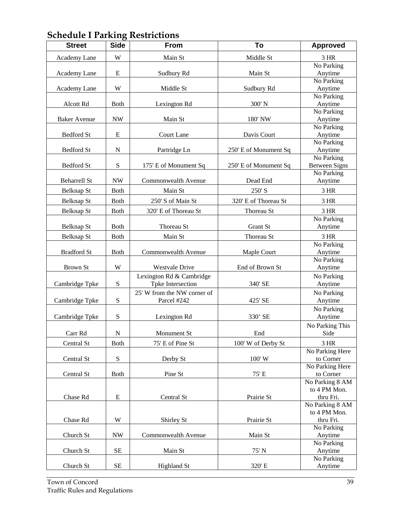| <b>Street</b>       | O<br><b>Side</b>         | <b>From</b>                                | To                    | <b>Approved</b>                 |
|---------------------|--------------------------|--------------------------------------------|-----------------------|---------------------------------|
| Academy Lane        | W                        | Main St                                    | Middle St             | 3 HR                            |
|                     |                          |                                            |                       | No Parking                      |
| Academy Lane        | ${\bf E}$                | Sudbury Rd                                 | Main St               | Anytime                         |
|                     |                          |                                            |                       | No Parking                      |
| Academy Lane        | W                        | Middle St                                  | Sudbury Rd            | Anytime                         |
|                     |                          |                                            |                       | No Parking                      |
| Alcott Rd           | <b>Both</b>              | Lexington Rd                               | 300' N                | Anytime                         |
|                     |                          |                                            |                       | No Parking                      |
| <b>Baker Avenue</b> | <b>NW</b>                | Main St                                    | 180' NW               | Anytime<br>No Parking           |
| <b>Bedford St</b>   | E                        | Court Lane                                 | Davis Court           | Anytime                         |
|                     |                          |                                            |                       | No Parking                      |
| <b>Bedford St</b>   | $\mathbf N$              | Partridge Ln                               | 250' E of Monument Sq | Anytime                         |
|                     |                          |                                            |                       | No Parking                      |
| <b>Bedford St</b>   | ${\bf S}$                | 175' E of Monument Sq                      | 250' E of Monument Sq | <b>Between Signs</b>            |
|                     |                          |                                            |                       | No Parking                      |
| <b>Beharrell St</b> | $\ensuremath{\text{NW}}$ | Commonwealth Avenue                        | Dead End              | Anytime                         |
| Belknap St          | <b>Both</b>              | Main St                                    | 250'S                 | 3 HR                            |
| Belknap St          | <b>Both</b>              | 250' S of Main St                          | 320' E of Thoreau St  | 3 HR                            |
| <b>Belknap St</b>   | <b>Both</b>              | 320' E of Thoreau St                       | Thoreau St            | 3 HR                            |
|                     |                          |                                            |                       | No Parking                      |
| Belknap St          | <b>Both</b>              | Thoreau St                                 | Grant St              | Anytime                         |
| Belknap St          | <b>Both</b>              | Main St                                    | Thoreau St            | 3 HR                            |
|                     |                          |                                            |                       | No Parking                      |
| <b>Bradford St</b>  | <b>Both</b>              | Commonwealth Avenue                        | Maple Court           | Anytime                         |
|                     |                          |                                            |                       | No Parking                      |
| <b>Brown St</b>     | W                        | <b>Westvale Drive</b>                      | End of Brown St       | Anytime                         |
|                     |                          | Lexington Rd & Cambridge                   |                       | No Parking                      |
| Cambridge Tpke      | ${\bf S}$                | Tpke Intersection                          | 340' SE               | Anytime                         |
|                     | ${\bf S}$                | 25' W from the NW corner of<br>Parcel #242 | 425' SE               | No Parking                      |
| Cambridge Tpke      |                          |                                            |                       | Anytime                         |
| Cambridge Tpke      | S                        | Lexington Rd                               | 330' SE               | No Parking<br>Anytime           |
|                     |                          |                                            |                       | No Parking This                 |
| Carr Rd             | ${\bf N}$                | Monument St                                | End                   | Side                            |
| Central St          | <b>Both</b>              |                                            |                       | 3 HR                            |
|                     |                          | 75' E of Pine St                           | 100' W of Derby St    | No Parking Here                 |
| Central St          | ${\bf S}$                | Derby St                                   | 100' W                | to Corner                       |
|                     |                          |                                            |                       | No Parking Here                 |
| Central St          | <b>Both</b>              | Pine St                                    | 75' E                 | to Corner                       |
|                     |                          |                                            |                       | No Parking 8 AM                 |
|                     |                          |                                            |                       | to 4 PM Mon.                    |
| Chase Rd            | E                        | Central St                                 | Prairie St            | thru Fri.                       |
|                     |                          |                                            |                       | No Parking 8 AM<br>to 4 PM Mon. |
| Chase Rd            | W                        | Shirley St                                 | Prairie St            | thru Fri.                       |
|                     |                          |                                            |                       | No Parking                      |
| Church St           | <b>NW</b>                | Commonwealth Avenue                        | Main St               | Anytime                         |
|                     |                          |                                            |                       | No Parking                      |
| Church St           | $\rm SE$                 | Main St                                    | 75' N                 | Anytime                         |
|                     |                          |                                            |                       | No Parking                      |
| Church St           | $\rm SE$                 | <b>Highland St</b>                         | 320' E                | Anytime                         |

## **Schedule I Parking Restrictions**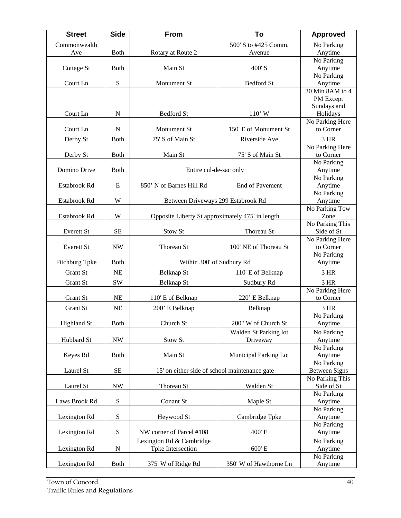| <b>Street</b>      | <b>Side</b>              | From                                             | To                     | <b>Approved</b>               |
|--------------------|--------------------------|--------------------------------------------------|------------------------|-------------------------------|
| Commonwealth       |                          |                                                  | 500' S to #425 Comm.   | No Parking                    |
| Ave                | <b>Both</b>              | Rotary at Route 2                                | Avenue                 | Anytime                       |
|                    |                          |                                                  |                        | No Parking                    |
| Cottage St         | <b>Both</b>              | Main St                                          | 400'S                  | Anytime                       |
|                    |                          |                                                  |                        | No Parking                    |
| Court Ln           | S                        | Monument St                                      | <b>Bedford St</b>      | Anytime                       |
|                    |                          |                                                  |                        | 30 Min 8AM to 4               |
|                    |                          |                                                  |                        | PM Except                     |
|                    |                          |                                                  |                        | Sundays and                   |
| Court Ln           | $\mathbf N$              | <b>Bedford St</b>                                | $110'$ W               | Holidays                      |
| Court Ln           | ${\bf N}$                | Monument St                                      | 150' E of Monument St  | No Parking Here<br>to Corner  |
|                    |                          |                                                  |                        |                               |
| Derby St           | <b>Both</b>              | 75' S of Main St                                 | Riverside Ave          | 3 HR                          |
|                    |                          |                                                  |                        | No Parking Here               |
| Derby St           | <b>Both</b>              | Main St                                          | 75' S of Main St       | to Corner<br>No Parking       |
| Domino Drive       | <b>Both</b>              | Entire cul-de-sac only                           |                        | Anytime                       |
|                    |                          |                                                  |                        | No Parking                    |
| Estabrook Rd       | E                        | 850' N of Barnes Hill Rd                         | <b>End of Pavement</b> | Anytime                       |
|                    |                          |                                                  |                        | No Parking                    |
| Estabrook Rd       | W                        | Between Driveways 299 Estabrook Rd               |                        | Anytime                       |
|                    |                          |                                                  |                        | No Parking Tow                |
| Estabrook Rd       | W                        | Opposite Liberty St approximately 475' in length |                        | Zone                          |
|                    |                          |                                                  |                        | No Parking This               |
| Everett St         | <b>SE</b>                | Stow St                                          | Thoreau St             | Side of St                    |
|                    |                          |                                                  |                        | No Parking Here               |
| Everett St         | <b>NW</b>                | Thoreau St                                       | 100' NE of Thoreau St  | to Corner                     |
|                    |                          |                                                  |                        | No Parking                    |
| Fitchburg Tpke     | <b>Both</b>              | Within 300' of Sudbury Rd                        |                        | Anytime                       |
| Grant St           | <b>NE</b>                | Belknap St                                       | 110' E of Belknap      | 3 HR                          |
| <b>Grant St</b>    | <b>SW</b>                | <b>Belknap St</b>                                | Sudbury Rd             | 3 HR                          |
|                    |                          |                                                  |                        | No Parking Here               |
| Grant St           | <b>NE</b>                | 110' E of Belknap                                | 220' E Belknap         | to Corner                     |
| <b>Grant St</b>    | <b>NE</b>                | 200' E Belknap                                   | Belknap                | 3 HR                          |
|                    |                          |                                                  |                        | No Parking                    |
| <b>Highland St</b> | <b>Both</b>              | Church St                                        | 200" W of Church St    | Anytime                       |
|                    |                          |                                                  | Walden St Parking lot  | No Parking                    |
| Hubbard St         | $\ensuremath{\text{NW}}$ | Stow St                                          | Driveway               | Anytime                       |
|                    |                          |                                                  |                        | No Parking                    |
| Keyes Rd           | <b>Both</b>              | Main St                                          | Municipal Parking Lot  | Anytime                       |
|                    |                          |                                                  |                        | No Parking                    |
| Laurel St          | SE                       | 15' on either side of school maintenance gate    |                        | <b>Between Signs</b>          |
| Laurel St          | $\ensuremath{\text{NW}}$ | Thoreau St                                       | Walden St              | No Parking This<br>Side of St |
|                    |                          |                                                  |                        | No Parking                    |
| Laws Brook Rd      | ${\bf S}$                | Conant St                                        | Maple St               | Anytime                       |
|                    |                          |                                                  |                        | No Parking                    |
| Lexington Rd       | ${\bf S}$                | Heywood St                                       | Cambridge Tpke         | Anytime                       |
|                    |                          |                                                  |                        | No Parking                    |
| Lexington Rd       | S                        | NW corner of Parcel #108                         | 400' E                 | Anytime                       |
|                    |                          | Lexington Rd & Cambridge                         |                        | No Parking                    |
| Lexington Rd       | ${\bf N}$                | Tpke Intersection                                | 600' E                 | Anytime                       |
|                    |                          |                                                  |                        | No Parking                    |
| Lexington Rd       | <b>Both</b>              | 375' W of Ridge Rd                               | 350' W of Hawthorne Ln | Anytime                       |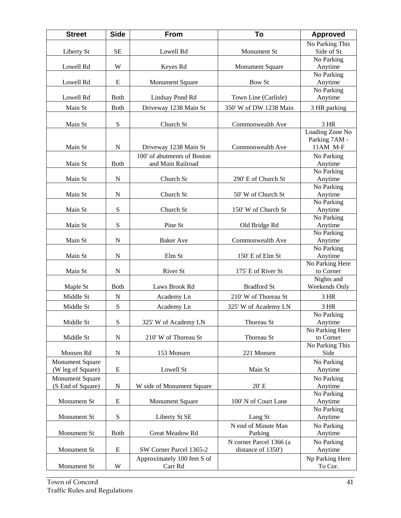| <b>Street</b>          | <b>Side</b> | <b>From</b>                 | To                      | <b>Approved</b>              |
|------------------------|-------------|-----------------------------|-------------------------|------------------------------|
|                        |             |                             |                         | No Parking This              |
| Liberty St             | SE          | Lowell Rd                   | Monument St             | Side of St                   |
|                        |             |                             |                         | No Parking                   |
| Lowell Rd              | W           | Keyes Rd                    | <b>Monument Square</b>  | Anytime<br>No Parking        |
| Lowell Rd              | E           | Monument Square             | Bow St                  | Anytime                      |
|                        |             |                             |                         | No Parking                   |
| Lowell Rd              | <b>Both</b> | Lindsay Pond Rd             | Town Line (Carlisle)    | Anytime                      |
| Main St                | <b>Both</b> | Driveway 1238 Main St       | 350' W of DW 1238 Main  | 3 HR parking                 |
|                        |             |                             |                         |                              |
| Main St                | S           | Church St                   | Commonwealth Ave        | 3 HR                         |
|                        |             |                             |                         | Loading Zone No              |
|                        |             |                             |                         | Parking 7AM -                |
| Main St                | N           | Driveway 1238 Main St       | Commonwealth Ave        | 11AM M-F                     |
|                        |             | 100' of abutments of Boston |                         | No Parking                   |
| Main St                | <b>Both</b> | and Main Railroad           |                         | Anytime                      |
|                        |             |                             |                         | No Parking                   |
| Main St                | ${\bf N}$   | Church St                   | 290' E of Church St     | Anytime                      |
|                        |             |                             |                         | No Parking                   |
| Main St                | $\mathbf N$ | Church St                   | 50' W of Church St      | Anytime                      |
|                        |             |                             |                         | No Parking                   |
| Main St                | S           | Church St                   | 150' W of Church St     | Anytime<br>No Parking        |
| Main St                | S           | Pine St                     | Old Bridge Rd           | Anytime                      |
|                        |             |                             |                         | No Parking                   |
| Main St                | $\mathbf N$ | <b>Baker</b> Ave            | Commonwealth Ave        | Anytime                      |
|                        |             |                             |                         | No Parking                   |
| Main St                | N           | Elm St                      | 150' E of Elm St        | Anytime                      |
|                        |             |                             |                         | No Parking Here              |
| Main St                | N           | River St                    | 175' E of River St      | to Corner                    |
|                        |             |                             |                         | Nights and                   |
| Maple St               | <b>Both</b> | Laws Brook Rd               | <b>Bradford St</b>      | Weekends Only                |
| Middle St              | $\mathbf N$ | Academy Ln                  | 210' W of Thoreau St    | 3 HR                         |
| Middle St              | S           | Academy Ln                  | 325' W of Academy LN    | 3 HR                         |
|                        |             |                             |                         | No Parking                   |
| Middle St              | ${\bf S}$   | 325' W of Academy LN        | Thoreau St              | Anytime                      |
|                        |             |                             |                         | No Parking Here              |
| Middle St              | ${\bf N}$   | 210' W of Thoreau St        | Thoreau St              | to Corner<br>No Parking This |
| Monsen Rd              | ${\bf N}$   | 153 Monsen                  | 221 Monsen              | Side                         |
| <b>Monument Square</b> |             |                             |                         | No Parking                   |
| (W leg of Square)      | ${\bf E}$   | Lowell St                   | Main St                 | Anytime                      |
| <b>Monument Square</b> |             |                             |                         | No Parking                   |
| (S End of Square)      | ${\bf N}$   | W side of Monument Square   | 20' E                   | Anytime                      |
|                        |             |                             |                         | No Parking                   |
| Monument St            | E           | <b>Monument Square</b>      | 100' N of Court Lane    | Anytime                      |
|                        |             |                             |                         | No Parking                   |
| Monument St            | ${\bf S}$   | Liberty St SE               | Lang St                 | Anytime                      |
|                        |             |                             | N end of Minute Man     | No Parking                   |
| Monument St            | Both        | Great Meadow Rd             | Parking                 | Anytime                      |
|                        |             |                             | N corner Parcel 1366 (a | No Parking                   |
| Monument St            | E           | SW Corner Parcel 1365-2     | distance of 1350')      | Anytime                      |
|                        |             | Approximately 100 feet S of |                         | Np Parking Here              |
| Monument St            | W           | Carr Rd                     |                         | To Cor.                      |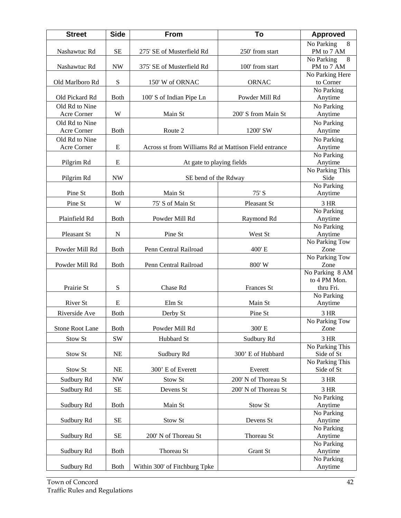| <b>Street</b>          | <b>Side</b>              | <b>From</b>                                           | To                   | <b>Approved</b>         |
|------------------------|--------------------------|-------------------------------------------------------|----------------------|-------------------------|
|                        |                          |                                                       |                      | 8<br>No Parking         |
| Nashawtuc Rd           | <b>SE</b>                | 275' SE of Musterfield Rd                             | 250' from start      | PM to 7 AM              |
|                        |                          |                                                       |                      | 8<br>No Parking         |
| Nashawtuc Rd           | <b>NW</b>                | 375' SE of Musterfield Rd                             | 100' from start      | PM to 7 AM              |
| Old Marlboro Rd        | S                        |                                                       | <b>ORNAC</b>         | No Parking Here         |
|                        |                          | 150' W of ORNAC                                       |                      | to Corner<br>No Parking |
| Old Pickard Rd         | <b>Both</b>              | 100' S of Indian Pipe Ln                              | Powder Mill Rd       | Anytime                 |
| Old Rd to Nine         |                          |                                                       |                      | No Parking              |
| Acre Corner            | W                        | Main St                                               | 200' S from Main St  | Anytime                 |
| Old Rd to Nine         |                          |                                                       |                      | No Parking              |
| Acre Corner            | <b>B</b> oth             | Route 2                                               | 1200' SW             | Anytime                 |
| Old Rd to Nine         |                          |                                                       |                      | No Parking              |
| Acre Corner            | E                        | Across st from Williams Rd at Mattison Field entrance |                      | Anytime                 |
|                        |                          |                                                       |                      | No Parking              |
| Pilgrim Rd             | E                        | At gate to playing fields                             |                      | Anytime                 |
|                        |                          |                                                       |                      | No Parking This         |
| Pilgrim Rd             | <b>NW</b>                | SE bend of the Rdway                                  |                      | Side                    |
|                        |                          |                                                       |                      | No Parking              |
| Pine St                | <b>Both</b>              | Main St                                               | 75' S                | Anytime                 |
| Pine St                | W                        | 75' S of Main St                                      | Pleasant St          | 3 HR                    |
|                        |                          |                                                       |                      | No Parking              |
| Plainfield Rd          | <b>Both</b>              | Powder Mill Rd                                        | Raymond Rd           | Anytime                 |
| Pleasant St            | ${\bf N}$                | Pine St                                               | West St              | No Parking<br>Anytime   |
|                        |                          |                                                       |                      | No Parking Tow          |
| Powder Mill Rd         | <b>Both</b>              | Penn Central Railroad                                 | 400' E               | Zone                    |
|                        |                          |                                                       |                      | No Parking Tow          |
| Powder Mill Rd         | <b>Both</b>              | Penn Central Railroad                                 | 800' W               | Zone                    |
|                        |                          |                                                       |                      | No Parking 8 AM         |
|                        |                          |                                                       |                      | to 4 PM Mon.            |
| Prairie St             | S                        | Chase Rd                                              | Frances St           | thru Fri.               |
| River St               | E                        | Elm St                                                | Main St              | No Parking<br>Anytime   |
|                        |                          |                                                       |                      |                         |
| Riverside Ave          | <b>Both</b>              | Derby St                                              | Pine St              | 3 HR<br>No Parking Tow  |
| <b>Stone Root Lane</b> | Both                     | Powder Mill Rd                                        | 300'E                | Zone                    |
|                        |                          |                                                       |                      |                         |
| Stow St                | SW                       | Hubbard St                                            | Sudbury Rd           | 3 HR<br>No Parking This |
| Stow St                | <b>NE</b>                | Sudbury Rd                                            | 300' E of Hubbard    | Side of St              |
|                        |                          |                                                       |                      | No Parking This         |
| Stow St                | NE                       | 300' E of Everett                                     | Everett              | Side of St              |
| Sudbury Rd             | $\ensuremath{\text{NW}}$ | Stow St                                               | 200' N of Thoreau St | 3 HR                    |
| Sudbury Rd             |                          | Devens St                                             | 200' N of Thoreau St | 3 HR                    |
|                        | SE                       |                                                       |                      | No Parking              |
| Sudbury Rd             | <b>Both</b>              | Main St                                               | Stow St              | Anytime                 |
|                        |                          |                                                       |                      | No Parking              |
| Sudbury Rd             | $\rm SE$                 | Stow St                                               | Devens St            | Anytime                 |
|                        |                          |                                                       |                      | No Parking              |
| Sudbury Rd             | $\rm SE$                 | 200' N of Thoreau St                                  | Thoreau St           | Anytime                 |
|                        |                          |                                                       |                      | No Parking              |
| Sudbury Rd             | <b>Both</b>              | Thoreau St                                            | Grant St             | Anytime                 |
| Sudbury Rd             | <b>Both</b>              | Within 300' of Fitchburg Tpke                         |                      | No Parking              |
|                        |                          |                                                       |                      | Anytime                 |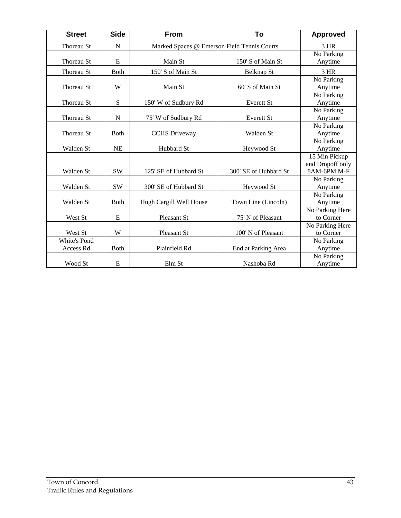| <b>Street</b> | <b>Side</b>  | <b>From</b>             | To                                          | <b>Approved</b>  |
|---------------|--------------|-------------------------|---------------------------------------------|------------------|
| Thoreau St    | $\mathbf N$  |                         | Marked Spaces @ Emerson Field Tennis Courts |                  |
|               |              |                         |                                             | No Parking       |
| Thoreau St    | E            | Main St                 | 150' S of Main St                           | Anytime          |
| Thoreau St    | <b>B</b> oth | 150' S of Main St       | Belknap St                                  | 3 HR             |
|               |              |                         |                                             | No Parking       |
| Thoreau St    | W            | Main St                 | 60' S of Main St                            | Anytime          |
|               |              |                         |                                             | No Parking       |
| Thoreau St    | S            | 150' W of Sudbury Rd    | Everett St                                  | Anytime          |
|               |              |                         |                                             | No Parking       |
| Thoreau St    | N            | 75' W of Sudbury Rd     | <b>Everett St</b>                           | Anytime          |
|               |              |                         |                                             | No Parking       |
| Thoreau St    | <b>B</b> oth | <b>CCHS</b> Driveway    | Walden St                                   | Anytime          |
|               |              |                         |                                             | No Parking       |
| Walden St     | <b>NE</b>    | Hubbard St              | Heywood St                                  | Anytime          |
|               |              |                         |                                             | 15 Min Pickup    |
|               |              |                         |                                             | and Dropoff only |
| Walden St     | <b>SW</b>    | 125' SE of Hubbard St   | 300' SE of Hubbard St                       | 8AM-6PM M-F      |
|               |              |                         |                                             | No Parking       |
| Walden St     | <b>SW</b>    | 300' SE of Hubbard St   | Heywood St                                  | Anytime          |
|               |              |                         |                                             | No Parking       |
| Walden St     | <b>Both</b>  | Hugh Cargill Well House | Town Line (Lincoln)                         | Anytime          |
|               |              |                         |                                             | No Parking Here  |
| West St       | E            | Pleasant St             | 75' N of Pleasant                           | to Corner        |
|               |              |                         |                                             | No Parking Here  |
| West St       | W            | Pleasant St             | 100' N of Pleasant                          | to Corner        |
| White's Pond  |              |                         |                                             | No Parking       |
| Access Rd     | <b>B</b> oth | Plainfield Rd           | End at Parking Area                         | Anytime          |
|               |              |                         |                                             | No Parking       |
| Wood St       | E            | Elm St                  | Nashoba Rd                                  | Anytime          |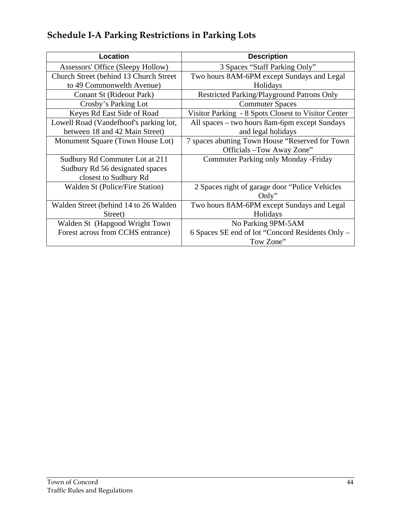# **Schedule I-A Parking Restrictions in Parking Lots**

| <b>Location</b>                         | <b>Description</b>                                  |
|-----------------------------------------|-----------------------------------------------------|
| Assessors' Office (Sleepy Hollow)       | 3 Spaces "Staff Parking Only"                       |
| Church Street (behind 13 Church Street) | Two hours 8AM-6PM except Sundays and Legal          |
| to 49 Commonwelth Avenue)               | Holidays                                            |
| Conant St (Rideout Park)                | <b>Restricted Parking/Playground Patrons Only</b>   |
| Crosby's Parking Lot                    | <b>Commuter Spaces</b>                              |
| Keyes Rd East Side of Road              | Visitor Parking - 8 Spots Closest to Visitor Center |
| Lowell Road (Vandefhoof's parking lot,  | All spaces - two hours 8am-6pm except Sundays       |
| between 18 and 42 Main Street)          | and legal holidays                                  |
| Monument Square (Town House Lot)        | 7 spaces abutting Town House "Reserved for Town     |
|                                         | Officials - Tow Away Zone"                          |
| Sudbury Rd Commuter Lot at 211          | <b>Commuter Parking only Monday - Friday</b>        |
| Sudbury Rd 56 designated spaces         |                                                     |
| closest to Sudbury Rd                   |                                                     |
| Walden St (Police/Fire Station)         | 2 Spaces right of garage door "Police Vehicles"     |
|                                         | Only"                                               |
| Walden Street (behind 14 to 26 Walden   | Two hours 8AM-6PM except Sundays and Legal          |
| Street)                                 | Holidays                                            |
| Walden St (Hapgood Wright Town          | No Parking 9PM-5AM                                  |
| Forest across from CCHS entrance)       | 6 Spaces SE end of lot "Concord Residents Only –    |
|                                         | Tow Zone"                                           |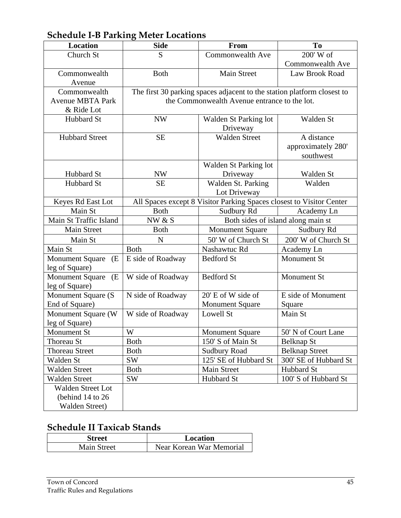# **Schedule I-B Parking Meter Locations**

| <b>Location</b>              | <b>Side</b>                                  | From                                                                    | To                                 |  |  |
|------------------------------|----------------------------------------------|-------------------------------------------------------------------------|------------------------------------|--|--|
| Church St                    | S                                            | Commonwealth Ave                                                        | 200' W of                          |  |  |
|                              |                                              |                                                                         | Commonwealth Ave                   |  |  |
| Commonwealth                 | <b>Both</b>                                  | <b>Main Street</b>                                                      | Law Brook Road                     |  |  |
| Avenue                       |                                              |                                                                         |                                    |  |  |
| Commonwealth                 |                                              | The first 30 parking spaces adjacent to the station platform closest to |                                    |  |  |
| <b>Avenue MBTA Park</b>      | the Commonwealth Avenue entrance to the lot. |                                                                         |                                    |  |  |
| & Ride Lot                   |                                              |                                                                         |                                    |  |  |
| Hubbard St                   | <b>NW</b>                                    | Walden St Parking lot                                                   | Walden St                          |  |  |
|                              |                                              | Driveway                                                                |                                    |  |  |
| <b>Hubbard Street</b>        | <b>SE</b>                                    | <b>Walden Street</b>                                                    | A distance                         |  |  |
|                              |                                              |                                                                         | approximately 280'                 |  |  |
|                              |                                              |                                                                         | southwest                          |  |  |
|                              |                                              | Walden St Parking lot                                                   |                                    |  |  |
| Hubbard St                   | <b>NW</b>                                    | Driveway                                                                | Walden St                          |  |  |
| Hubbard St                   | <b>SE</b>                                    | Walden St. Parking                                                      | Walden                             |  |  |
|                              |                                              | Lot Driveway                                                            |                                    |  |  |
| Keyes Rd East Lot            |                                              | All Spaces except 8 Visitor Parking Spaces closest to Visitor Center    |                                    |  |  |
| Main St                      | <b>Both</b>                                  | Sudbury Rd                                                              | Academy Ln                         |  |  |
| Main St Traffic Island       | NW & S                                       |                                                                         | Both sides of island along main st |  |  |
| Main Street                  | <b>Both</b>                                  | <b>Monument Square</b>                                                  | Sudbury Rd                         |  |  |
| Main St                      | $\mathbf N$                                  | 50' W of Church St                                                      | 200' W of Church St                |  |  |
| Main St                      | <b>Both</b>                                  | Nashawtuc Rd                                                            | Academy Ln                         |  |  |
| <b>Monument Square</b><br>(E | E side of Roadway                            | <b>Bedford St</b>                                                       | Monument St                        |  |  |
| leg of Square)               |                                              |                                                                         |                                    |  |  |
| Monument Square<br>(E)       | W side of Roadway                            | <b>Bedford St</b>                                                       | Monument St                        |  |  |
| leg of Square)               |                                              |                                                                         |                                    |  |  |
| Monument Square (S)          | N side of Roadway                            | 20' E of W side of                                                      | E side of Monument                 |  |  |
| End of Square)               |                                              | <b>Monument Square</b>                                                  | Square                             |  |  |
| Monument Square (W           | W side of Roadway                            | Lowell St                                                               | Main St                            |  |  |
| leg of Square)               |                                              |                                                                         |                                    |  |  |
| Monument St                  | W                                            | <b>Monument Square</b>                                                  | 50' N of Court Lane                |  |  |
| Thoreau St                   | <b>Both</b>                                  | 150' S of Main St                                                       | <b>Belknap St</b>                  |  |  |
| <b>Thoreau Street</b>        | <b>Both</b>                                  | <b>Sudbury Road</b>                                                     | <b>Belknap Street</b>              |  |  |
| Walden St                    | SW                                           | 125' SE of Hubbard St                                                   | 300' SE of Hubbard St              |  |  |
| <b>Walden Street</b>         | <b>Both</b>                                  | Main Street                                                             | Hubbard St                         |  |  |
| <b>Walden Street</b>         | SW                                           | Hubbard St                                                              | 100' S of Hubbard St               |  |  |
| <b>Walden Street Lot</b>     |                                              |                                                                         |                                    |  |  |
| (behind 14 to 26             |                                              |                                                                         |                                    |  |  |
| <b>Walden Street)</b>        |                                              |                                                                         |                                    |  |  |

#### **Schedule II Taxicab Stands**

| <b>Street</b>      | Location                 |
|--------------------|--------------------------|
| <b>Main Street</b> | Near Korean War Memorial |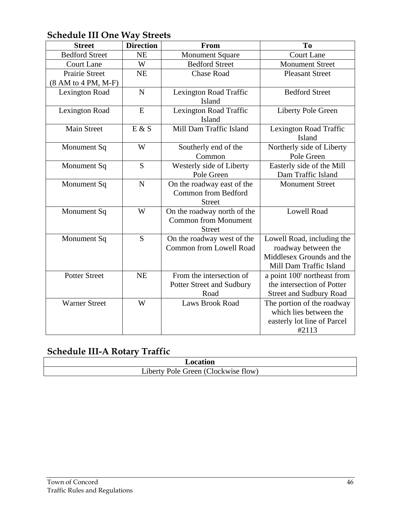#### **Schedule III One Way Streets**

| <b>Street</b>         | <b>Direction</b> | From                           | To                             |
|-----------------------|------------------|--------------------------------|--------------------------------|
| <b>Bedford Street</b> | <b>NE</b>        | <b>Monument Square</b>         | Court Lane                     |
| <b>Court Lane</b>     | W                | <b>Bedford Street</b>          | <b>Monument Street</b>         |
| <b>Prairie Street</b> | NE               | <b>Chase Road</b>              | <b>Pleasant Street</b>         |
| (8 AM to 4 PM, M-F)   |                  |                                |                                |
| Lexington Road        | $\overline{N}$   | Lexington Road Traffic         | <b>Bedford Street</b>          |
|                       |                  | Island                         |                                |
| <b>Lexington Road</b> | E                | Lexington Road Traffic         | Liberty Pole Green             |
|                       |                  | Island                         |                                |
| <b>Main Street</b>    | E & S            | Mill Dam Traffic Island        | Lexington Road Traffic         |
|                       |                  |                                | Island                         |
| Monument Sq           | W                | Southerly end of the           | Northerly side of Liberty      |
|                       |                  | Common                         | Pole Green                     |
| Monument Sq           | S                | Westerly side of Liberty       | Easterly side of the Mill      |
|                       |                  | Pole Green                     | Dam Traffic Island             |
| Monument Sq           | $\mathbf N$      | On the roadway east of the     | <b>Monument Street</b>         |
|                       |                  | <b>Common from Bedford</b>     |                                |
|                       |                  | <b>Street</b>                  |                                |
| Monument Sq           | W                | On the roadway north of the    | <b>Lowell Road</b>             |
|                       |                  | <b>Common from Monument</b>    |                                |
|                       |                  | <b>Street</b>                  |                                |
| Monument Sq           | S                | On the roadway west of the     | Lowell Road, including the     |
|                       |                  | <b>Common from Lowell Road</b> | roadway between the            |
|                       |                  |                                | Middlesex Grounds and the      |
|                       |                  |                                | Mill Dam Traffic Island        |
| <b>Potter Street</b>  | NE               | From the intersection of       | a point 100' northeast from    |
|                       |                  | Potter Street and Sudbury      | the intersection of Potter     |
|                       |                  | Road                           | <b>Street and Sudbury Road</b> |
| <b>Warner Street</b>  | W                | <b>Laws Brook Road</b>         | The portion of the roadway     |
|                       |                  |                                | which lies between the         |
|                       |                  |                                | easterly lot line of Parcel    |
|                       |                  |                                | #2113                          |

## **Schedule III-A Rotary Traffic**

| Location |                                                                   |  |
|----------|-------------------------------------------------------------------|--|
|          | Liberty<br>$\sim$<br>flow)<br><i>reen</i><br>lockwise<br>- Pole 1 |  |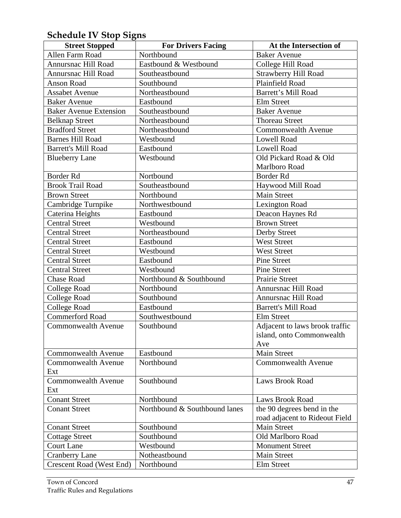# **Schedule IV Stop Signs**

| <b>Street Stopped</b>         | <b>For Drivers Facing</b>     | At the Intersection of         |
|-------------------------------|-------------------------------|--------------------------------|
| Allen Farm Road               | Northbound                    | <b>Baker Avenue</b>            |
| Annursnac Hill Road           | Eastbound & Westbound         | College Hill Road              |
| Annursnac Hill Road           | Southeastbound                | <b>Strawberry Hill Road</b>    |
| Anson Road                    | Southbound                    | Plainfield Road                |
| <b>Assabet Avenue</b>         | Northeastbound                | <b>Barrett's Mill Road</b>     |
| <b>Baker Avenue</b>           | Eastbound                     | Elm Street                     |
| <b>Baker Avenue Extension</b> | Southeastbound                | <b>Baker Avenue</b>            |
| <b>Belknap Street</b>         | Northeastbound                | <b>Thoreau Street</b>          |
| <b>Bradford Street</b>        | Northeastbound                | <b>Commonwealth Avenue</b>     |
| <b>Barnes Hill Road</b>       | Westbound                     | <b>Lowell Road</b>             |
| <b>Barrett's Mill Road</b>    | Eastbound                     | <b>Lowell Road</b>             |
| <b>Blueberry Lane</b>         | Westbound                     | Old Pickard Road & Old         |
|                               |                               | Marlboro Road                  |
| Border Rd                     | Nortbound                     | Border Rd                      |
| <b>Brook Trail Road</b>       | Southeastbound                | Haywood Mill Road              |
| <b>Brown Street</b>           | Northbound                    | <b>Main Street</b>             |
| Cambridge Turnpike            | Northwestbound                | Lexington Road                 |
| Caterina Heights              | Eastbound                     | Deacon Haynes Rd               |
| <b>Central Street</b>         | Westbound                     | <b>Brown Street</b>            |
| <b>Central Street</b>         | Northeastbound                | Derby Street                   |
| <b>Central Street</b>         | Eastbound                     | <b>West Street</b>             |
| <b>Central Street</b>         | Westbound                     | <b>West Street</b>             |
| <b>Central Street</b>         | Eastbound                     | <b>Pine Street</b>             |
| <b>Central Street</b>         | Westbound                     | <b>Pine Street</b>             |
| Chase Road                    | Northbound & Southbound       | Prairie Street                 |
| College Road                  | Northbound                    | Annursnac Hill Road            |
| <b>College Road</b>           | Southbound                    | Annursnac Hill Road            |
| <b>College Road</b>           | Eastbound                     | <b>Barrett's Mill Road</b>     |
| <b>Commerford Road</b>        | Southwestbound                | Elm Street                     |
| Commonwealth Avenue           | Southbound                    | Adjacent to laws brook traffic |
|                               |                               | island, onto Commonwealth      |
|                               |                               | Ave                            |
| <b>Commonwealth Avenue</b>    | Eastbound                     | Main Street                    |
| <b>Commonwealth Avenue</b>    | Northbound                    | <b>Commonwealth Avenue</b>     |
| Ext                           |                               |                                |
| <b>Commonwealth Avenue</b>    | Southbound                    | <b>Laws Brook Road</b>         |
| Ext                           |                               |                                |
| <b>Conant Street</b>          | Northbound                    | <b>Laws Brook Road</b>         |
| <b>Conant Street</b>          | Northbound & Southbound lanes | the 90 degrees bend in the     |
|                               |                               | road adjacent to Rideout Field |
| <b>Conant Street</b>          | Southbound                    | Main Street                    |
| <b>Cottage Street</b>         | Southbound                    | Old Marlboro Road              |
| <b>Court Lane</b>             | Westbound                     | <b>Monument Street</b>         |
| <b>Cranberry Lane</b>         | Notheastbound                 | Main Street                    |
| Crescent Road (West End)      | Northbound                    | Elm Street                     |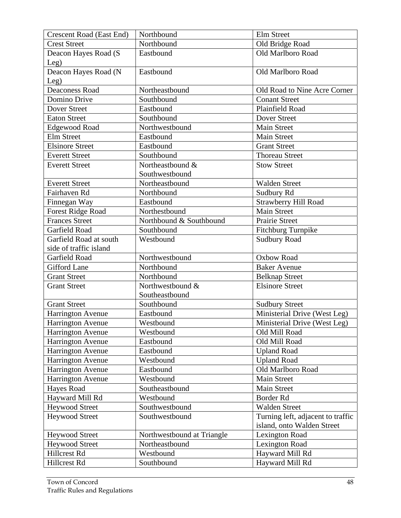| <b>Crescent Road (East End)</b> | Northbound                 | Elm Street                        |
|---------------------------------|----------------------------|-----------------------------------|
| <b>Crest Street</b>             | Northbound                 | Old Bridge Road                   |
| Deacon Hayes Road (S            | Eastbound                  | Old Marlboro Road                 |
| Leg)                            |                            |                                   |
| Deacon Hayes Road (N            | Eastbound                  | Old Marlboro Road                 |
| Leg)                            |                            |                                   |
| <b>Deaconess Road</b>           | Northeastbound             | Old Road to Nine Acre Corner      |
| Domino Drive                    | Southbound                 | <b>Conant Street</b>              |
| Dover Street                    | Eastbound                  | Plainfield Road                   |
| <b>Eaton Street</b>             | Southbound                 | Dover Street                      |
| <b>Edgewood Road</b>            | Northwestbound             | <b>Main Street</b>                |
| <b>Elm Street</b>               | Eastbound                  | <b>Main Street</b>                |
| <b>Elsinore Street</b>          | Eastbound                  | <b>Grant Street</b>               |
| <b>Everett Street</b>           | Southbound                 | <b>Thoreau Street</b>             |
| <b>Everett Street</b>           | Northeastbound &           | <b>Stow Street</b>                |
|                                 | Southwestbound             |                                   |
| <b>Everett Street</b>           | Northeastbound             | <b>Walden Street</b>              |
| Fairhaven Rd                    | Northbound                 | Sudbury Rd                        |
| Finnegan Way                    | Eastbound                  | Strawberry Hill Road              |
| <b>Forest Ridge Road</b>        | Northestbound              | <b>Main Street</b>                |
| <b>Frances Street</b>           | Northbound & Southbound    | <b>Prairie Street</b>             |
| Garfield Road                   | Southbound                 | Fitchburg Turnpike                |
| Garfield Road at south          | Westbound                  | <b>Sudbury Road</b>               |
| side of traffic island          |                            |                                   |
| Garfield Road                   | Northwestbound             | Oxbow Road                        |
| <b>Gifford Lane</b>             | Northbound                 | <b>Baker Avenue</b>               |
| <b>Grant Street</b>             | Northbound                 | <b>Belknap Street</b>             |
| <b>Grant Street</b>             | Northwestbound &           | <b>Elsinore Street</b>            |
|                                 | Southeastbound             |                                   |
| <b>Grant Street</b>             | Southbound                 | <b>Sudbury Street</b>             |
| Harrington Avenue               | Eastbound                  | Ministerial Drive (West Leg)      |
| Harrington Avenue               | Westbound                  | Ministerial Drive (West Leg)      |
| Harrington Avenue               | Westbound                  | Old Mill Road                     |
| Harrington Avenue               | Eastbound                  | Old Mill Road                     |
| Harrington Avenue               | Eastbound                  | <b>Upland Road</b>                |
| <b>Harrington Avenue</b>        | Westbound                  | <b>Upland Road</b>                |
| <b>Harrington Avenue</b>        | Eastbound                  | Old Marlboro Road                 |
| <b>Harrington Avenue</b>        | Westbound                  | Main Street                       |
| Hayes Road                      | Southeastbound             | <b>Main Street</b>                |
| Hayward Mill Rd                 | Westbound                  | Border Rd                         |
| <b>Heywood Street</b>           | Southwestbound             | <b>Walden Street</b>              |
| <b>Heywood Street</b>           | Southwestbound             | Turning left, adjacent to traffic |
|                                 |                            | island, onto Walden Street        |
| <b>Heywood Street</b>           | Northwestbound at Triangle | <b>Lexington Road</b>             |
| <b>Heywood Street</b>           | Northeastbound             | <b>Lexington Road</b>             |
| Hillcrest Rd                    | Westbound                  | Hayward Mill Rd                   |
| Hillcrest Rd                    | Southbound                 | Hayward Mill Rd                   |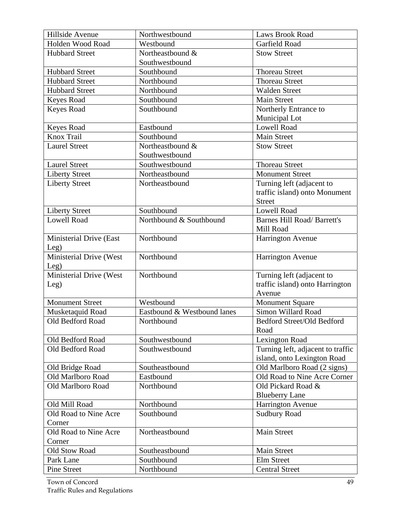| Hillside Avenue         | Northwestbound              | <b>Laws Brook Road</b>             |
|-------------------------|-----------------------------|------------------------------------|
| Holden Wood Road        | Westbound                   | Garfield Road                      |
| <b>Hubbard Street</b>   | Northeastbound &            | <b>Stow Street</b>                 |
|                         | Southwestbound              |                                    |
| <b>Hubbard Street</b>   | Southbound                  | <b>Thoreau Street</b>              |
| <b>Hubbard Street</b>   | Northbound                  | <b>Thoreau Street</b>              |
| <b>Hubbard Street</b>   | Northbound                  | <b>Walden Street</b>               |
| Keyes Road              | Southbound                  | <b>Main Street</b>                 |
| <b>Keyes Road</b>       | Southbound                  | Northerly Entrance to              |
|                         |                             | Municipal Lot                      |
| Keyes Road              | Eastbound                   | <b>Lowell Road</b>                 |
| Knox Trail              | Southbound                  | <b>Main Street</b>                 |
| <b>Laurel Street</b>    | Northeastbound &            | <b>Stow Street</b>                 |
|                         | Southwestbound              |                                    |
| <b>Laurel Street</b>    | Southwestbound              | <b>Thoreau Street</b>              |
| <b>Liberty Street</b>   | Northeastbound              | <b>Monument Street</b>             |
| <b>Liberty Street</b>   | Northeastbound              | Turning left (adjacent to          |
|                         |                             | traffic island) onto Monument      |
|                         |                             | <b>Street</b>                      |
| <b>Liberty Street</b>   | Southbound                  | <b>Lowell Road</b>                 |
| <b>Lowell Road</b>      | Northbound & Southbound     | <b>Barnes Hill Road/ Barrett's</b> |
|                         |                             | Mill Road                          |
| Ministerial Drive (East | Northbound                  | <b>Harrington Avenue</b>           |
| Leg)                    |                             |                                    |
| Ministerial Drive (West | Northbound                  | Harrington Avenue                  |
| Leg)                    |                             |                                    |
| Ministerial Drive (West | Northbound                  | Turning left (adjacent to          |
| Leg)                    |                             | traffic island) onto Harrington    |
|                         |                             | Avenue                             |
| <b>Monument Street</b>  | Westbound                   | <b>Monument Square</b>             |
| Musketaquid Road        | Eastbound & Westbound lanes | Simon Willard Road                 |
| Old Bedford Road        | Northbound                  | Bedford Street/Old Bedford         |
|                         |                             | Road                               |
| Old Bedford Road        | Southwestbound              | Lexington Road                     |
| Old Bedford Road        | Southwestbound              | Turning left, adjacent to traffic  |
|                         |                             | island, onto Lexington Road        |
| Old Bridge Road         | Southeastbound              | Old Marlboro Road (2 signs)        |
| Old Marlboro Road       | Eastbound                   | Old Road to Nine Acre Corner       |
| Old Marlboro Road       | Northbound                  | Old Pickard Road &                 |
|                         |                             | <b>Blueberry Lane</b>              |
| Old Mill Road           | Northbound                  | Harrington Avenue                  |
| Old Road to Nine Acre   | Southbound                  | <b>Sudbury Road</b>                |
| Corner                  |                             |                                    |
| Old Road to Nine Acre   | Northeastbound              | Main Street                        |
| Corner                  |                             |                                    |
| Old Stow Road           | Southeastbound              | <b>Main Street</b>                 |
| Park Lane               | Southbound                  | Elm Street                         |
| <b>Pine Street</b>      | Northbound                  | <b>Central Street</b>              |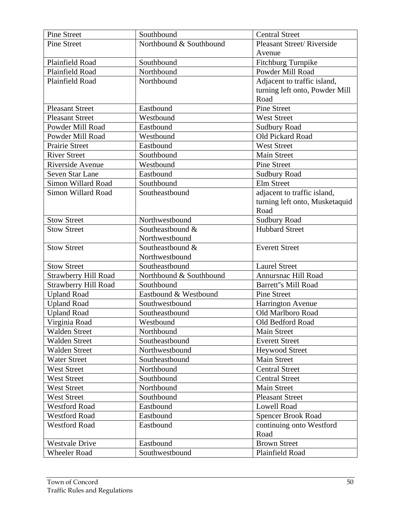| Northbound & Southbound<br>Pleasant Street/Riverside<br><b>Pine Street</b><br>Avenue<br>Plainfield Road<br>Southbound<br>Fitchburg Turnpike<br>Powder Mill Road<br>Northbound<br>Plainfield Road<br>Plainfield Road<br>Northbound<br>Adjacent to traffic island,<br>turning left onto, Powder Mill<br>Road<br><b>Pine Street</b><br><b>Pleasant Street</b><br>Eastbound<br>Westbound<br><b>Pleasant Street</b><br><b>West Street</b><br>Powder Mill Road<br>Eastbound<br><b>Sudbury Road</b><br>Westbound<br>Old Pickard Road<br>Powder Mill Road<br><b>Prairie Street</b><br>Eastbound<br><b>West Street</b><br><b>River Street</b><br>Southbound<br><b>Main Street</b><br>Riverside Avenue<br>Westbound<br><b>Pine Street</b><br><b>Seven Star Lane</b><br>Eastbound<br><b>Sudbury Road</b><br>Elm Street<br>Southbound<br>Simon Willard Road<br>Simon Willard Road<br>Southeastbound<br>adjacent to traffic island,<br>turning left onto, Musketaquid<br>Road<br><b>Stow Street</b><br><b>Sudbury Road</b><br>Northwestbound<br>Southeastbound &<br><b>Hubbard Street</b><br><b>Stow Street</b> |
|----------------------------------------------------------------------------------------------------------------------------------------------------------------------------------------------------------------------------------------------------------------------------------------------------------------------------------------------------------------------------------------------------------------------------------------------------------------------------------------------------------------------------------------------------------------------------------------------------------------------------------------------------------------------------------------------------------------------------------------------------------------------------------------------------------------------------------------------------------------------------------------------------------------------------------------------------------------------------------------------------------------------------------------------------------------------------------------------------|
|                                                                                                                                                                                                                                                                                                                                                                                                                                                                                                                                                                                                                                                                                                                                                                                                                                                                                                                                                                                                                                                                                                    |
|                                                                                                                                                                                                                                                                                                                                                                                                                                                                                                                                                                                                                                                                                                                                                                                                                                                                                                                                                                                                                                                                                                    |
|                                                                                                                                                                                                                                                                                                                                                                                                                                                                                                                                                                                                                                                                                                                                                                                                                                                                                                                                                                                                                                                                                                    |
|                                                                                                                                                                                                                                                                                                                                                                                                                                                                                                                                                                                                                                                                                                                                                                                                                                                                                                                                                                                                                                                                                                    |
|                                                                                                                                                                                                                                                                                                                                                                                                                                                                                                                                                                                                                                                                                                                                                                                                                                                                                                                                                                                                                                                                                                    |
|                                                                                                                                                                                                                                                                                                                                                                                                                                                                                                                                                                                                                                                                                                                                                                                                                                                                                                                                                                                                                                                                                                    |
|                                                                                                                                                                                                                                                                                                                                                                                                                                                                                                                                                                                                                                                                                                                                                                                                                                                                                                                                                                                                                                                                                                    |
|                                                                                                                                                                                                                                                                                                                                                                                                                                                                                                                                                                                                                                                                                                                                                                                                                                                                                                                                                                                                                                                                                                    |
|                                                                                                                                                                                                                                                                                                                                                                                                                                                                                                                                                                                                                                                                                                                                                                                                                                                                                                                                                                                                                                                                                                    |
|                                                                                                                                                                                                                                                                                                                                                                                                                                                                                                                                                                                                                                                                                                                                                                                                                                                                                                                                                                                                                                                                                                    |
|                                                                                                                                                                                                                                                                                                                                                                                                                                                                                                                                                                                                                                                                                                                                                                                                                                                                                                                                                                                                                                                                                                    |
|                                                                                                                                                                                                                                                                                                                                                                                                                                                                                                                                                                                                                                                                                                                                                                                                                                                                                                                                                                                                                                                                                                    |
|                                                                                                                                                                                                                                                                                                                                                                                                                                                                                                                                                                                                                                                                                                                                                                                                                                                                                                                                                                                                                                                                                                    |
|                                                                                                                                                                                                                                                                                                                                                                                                                                                                                                                                                                                                                                                                                                                                                                                                                                                                                                                                                                                                                                                                                                    |
|                                                                                                                                                                                                                                                                                                                                                                                                                                                                                                                                                                                                                                                                                                                                                                                                                                                                                                                                                                                                                                                                                                    |
|                                                                                                                                                                                                                                                                                                                                                                                                                                                                                                                                                                                                                                                                                                                                                                                                                                                                                                                                                                                                                                                                                                    |
|                                                                                                                                                                                                                                                                                                                                                                                                                                                                                                                                                                                                                                                                                                                                                                                                                                                                                                                                                                                                                                                                                                    |
|                                                                                                                                                                                                                                                                                                                                                                                                                                                                                                                                                                                                                                                                                                                                                                                                                                                                                                                                                                                                                                                                                                    |
|                                                                                                                                                                                                                                                                                                                                                                                                                                                                                                                                                                                                                                                                                                                                                                                                                                                                                                                                                                                                                                                                                                    |
|                                                                                                                                                                                                                                                                                                                                                                                                                                                                                                                                                                                                                                                                                                                                                                                                                                                                                                                                                                                                                                                                                                    |
|                                                                                                                                                                                                                                                                                                                                                                                                                                                                                                                                                                                                                                                                                                                                                                                                                                                                                                                                                                                                                                                                                                    |
| Northwestbound                                                                                                                                                                                                                                                                                                                                                                                                                                                                                                                                                                                                                                                                                                                                                                                                                                                                                                                                                                                                                                                                                     |
| Southeastbound &<br><b>Stow Street</b><br><b>Everett Street</b>                                                                                                                                                                                                                                                                                                                                                                                                                                                                                                                                                                                                                                                                                                                                                                                                                                                                                                                                                                                                                                    |
| Northwestbound                                                                                                                                                                                                                                                                                                                                                                                                                                                                                                                                                                                                                                                                                                                                                                                                                                                                                                                                                                                                                                                                                     |
| Southeastbound<br><b>Laurel Street</b><br><b>Stow Street</b>                                                                                                                                                                                                                                                                                                                                                                                                                                                                                                                                                                                                                                                                                                                                                                                                                                                                                                                                                                                                                                       |
| Northbound & Southbound<br><b>Strawberry Hill Road</b><br>Annursnac Hill Road                                                                                                                                                                                                                                                                                                                                                                                                                                                                                                                                                                                                                                                                                                                                                                                                                                                                                                                                                                                                                      |
| <b>Strawberry Hill Road</b><br><b>Barrett"s Mill Road</b><br>Southbound                                                                                                                                                                                                                                                                                                                                                                                                                                                                                                                                                                                                                                                                                                                                                                                                                                                                                                                                                                                                                            |
| Eastbound & Westbound<br>Pine Street<br><b>Upland Road</b>                                                                                                                                                                                                                                                                                                                                                                                                                                                                                                                                                                                                                                                                                                                                                                                                                                                                                                                                                                                                                                         |
| <b>Upland Road</b><br>Southwestbound<br>Harrington Avenue                                                                                                                                                                                                                                                                                                                                                                                                                                                                                                                                                                                                                                                                                                                                                                                                                                                                                                                                                                                                                                          |
| <b>Upland Road</b><br>Southeastbound<br>Old Marlboro Road                                                                                                                                                                                                                                                                                                                                                                                                                                                                                                                                                                                                                                                                                                                                                                                                                                                                                                                                                                                                                                          |
| Virginia Road<br>Old Bedford Road<br>Westbound                                                                                                                                                                                                                                                                                                                                                                                                                                                                                                                                                                                                                                                                                                                                                                                                                                                                                                                                                                                                                                                     |
| <b>Walden Street</b><br>Northbound<br><b>Main Street</b>                                                                                                                                                                                                                                                                                                                                                                                                                                                                                                                                                                                                                                                                                                                                                                                                                                                                                                                                                                                                                                           |
| <b>Walden Street</b><br>Southeastbound<br><b>Everett Street</b>                                                                                                                                                                                                                                                                                                                                                                                                                                                                                                                                                                                                                                                                                                                                                                                                                                                                                                                                                                                                                                    |
| <b>Walden Street</b><br>Northwestbound<br><b>Heywood Street</b>                                                                                                                                                                                                                                                                                                                                                                                                                                                                                                                                                                                                                                                                                                                                                                                                                                                                                                                                                                                                                                    |
| <b>Water Street</b><br><b>Main Street</b><br>Southeastbound                                                                                                                                                                                                                                                                                                                                                                                                                                                                                                                                                                                                                                                                                                                                                                                                                                                                                                                                                                                                                                        |
| Northbound<br><b>Central Street</b><br><b>West Street</b>                                                                                                                                                                                                                                                                                                                                                                                                                                                                                                                                                                                                                                                                                                                                                                                                                                                                                                                                                                                                                                          |
| <b>West Street</b><br>Southbound<br><b>Central Street</b>                                                                                                                                                                                                                                                                                                                                                                                                                                                                                                                                                                                                                                                                                                                                                                                                                                                                                                                                                                                                                                          |
| Northbound<br><b>West Street</b><br>Main Street                                                                                                                                                                                                                                                                                                                                                                                                                                                                                                                                                                                                                                                                                                                                                                                                                                                                                                                                                                                                                                                    |
| <b>West Street</b><br>Southbound<br><b>Pleasant Street</b>                                                                                                                                                                                                                                                                                                                                                                                                                                                                                                                                                                                                                                                                                                                                                                                                                                                                                                                                                                                                                                         |
| <b>Westford Road</b><br><b>Lowell Road</b><br>Eastbound                                                                                                                                                                                                                                                                                                                                                                                                                                                                                                                                                                                                                                                                                                                                                                                                                                                                                                                                                                                                                                            |
| <b>Westford Road</b><br>Eastbound<br><b>Spencer Brook Road</b>                                                                                                                                                                                                                                                                                                                                                                                                                                                                                                                                                                                                                                                                                                                                                                                                                                                                                                                                                                                                                                     |
| <b>Westford Road</b><br>Eastbound<br>continuing onto Westford                                                                                                                                                                                                                                                                                                                                                                                                                                                                                                                                                                                                                                                                                                                                                                                                                                                                                                                                                                                                                                      |
| Road                                                                                                                                                                                                                                                                                                                                                                                                                                                                                                                                                                                                                                                                                                                                                                                                                                                                                                                                                                                                                                                                                               |
| <b>Westvale Drive</b><br><b>Brown Street</b><br>Eastbound                                                                                                                                                                                                                                                                                                                                                                                                                                                                                                                                                                                                                                                                                                                                                                                                                                                                                                                                                                                                                                          |
| Plainfield Road<br><b>Wheeler Road</b><br>Southwestbound                                                                                                                                                                                                                                                                                                                                                                                                                                                                                                                                                                                                                                                                                                                                                                                                                                                                                                                                                                                                                                           |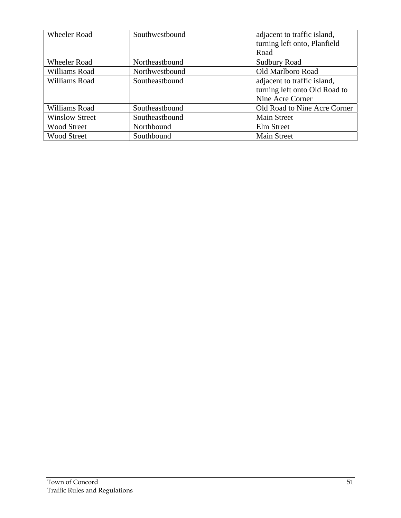| <b>Wheeler Road</b>   | Southwestbound | adjacent to traffic island,          |
|-----------------------|----------------|--------------------------------------|
|                       |                | turning left onto, Planfield<br>Road |
|                       |                |                                      |
| Wheeler Road          | Northeastbound | <b>Sudbury Road</b>                  |
| Williams Road         | Northwestbound | Old Marlboro Road                    |
| Williams Road         | Southeastbound | adjacent to traffic island,          |
|                       |                | turning left onto Old Road to        |
|                       |                | Nine Acre Corner                     |
| Williams Road         | Southeastbound | Old Road to Nine Acre Corner         |
| <b>Winslow Street</b> | Southeastbound | <b>Main Street</b>                   |
| <b>Wood Street</b>    | Northbound     | Elm Street                           |
| <b>Wood Street</b>    | Southbound     | <b>Main Street</b>                   |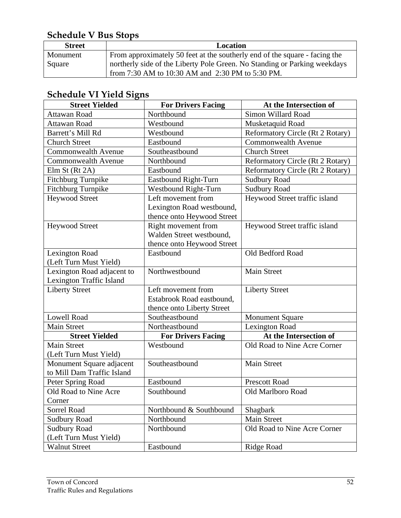## **Schedule V Bus Stops**

| <b>Street</b> | Location                                                                   |
|---------------|----------------------------------------------------------------------------|
| Monument      | From approximately 50 feet at the southerly end of the square - facing the |
| Square        | northerly side of the Liberty Pole Green. No Standing or Parking weekdays  |
|               | from 7:30 AM to 10:30 AM and 2:30 PM to 5:30 PM.                           |

## **Schedule VI Yield Signs**

| <b>Street Yielded</b>      | <b>For Drivers Facing</b>  | At the Intersection of           |
|----------------------------|----------------------------|----------------------------------|
| Attawan Road               | Northbound                 | Simon Willard Road               |
| Attawan Road               | Westbound                  | Musketaquid Road                 |
| Barrett's Mill Rd          | Westbound                  | Reformatory Circle (Rt 2 Rotary) |
| <b>Church Street</b>       | Eastbound                  | <b>Commonwealth Avenue</b>       |
| <b>Commonwealth Avenue</b> | Southeastbound             | <b>Church Street</b>             |
| <b>Commonwealth Avenue</b> | Northbound                 | Reformatory Circle (Rt 2 Rotary) |
| Elm St $(Rt 2A)$           | Eastbound                  | Reformatory Circle (Rt 2 Rotary) |
| <b>Fitchburg Turnpike</b>  | Eastbound Right-Turn       | <b>Sudbury Road</b>              |
| <b>Fitchburg Turnpike</b>  | Westbound Right-Turn       | <b>Sudbury Road</b>              |
| <b>Heywood Street</b>      | Left movement from         | Heywood Street traffic island    |
|                            | Lexington Road westbound,  |                                  |
|                            | thence onto Heywood Street |                                  |
| <b>Heywood Street</b>      | Right movement from        | Heywood Street traffic island    |
|                            | Walden Street westbound,   |                                  |
|                            | thence onto Heywood Street |                                  |
| <b>Lexington Road</b>      | Eastbound                  | Old Bedford Road                 |
| (Left Turn Must Yield)     |                            |                                  |
| Lexington Road adjacent to | Northwestbound             | <b>Main Street</b>               |
| Lexington Traffic Island   |                            |                                  |
| <b>Liberty Street</b>      | Left movement from         | <b>Liberty Street</b>            |
|                            | Estabrook Road eastbound,  |                                  |
|                            | thence onto Liberty Street |                                  |
| <b>Lowell Road</b>         | Southeastbound             | <b>Monument Square</b>           |
| <b>Main Street</b>         | Northeastbound             | <b>Lexington Road</b>            |
| <b>Street Yielded</b>      | <b>For Drivers Facing</b>  | At the Intersection of           |
| <b>Main Street</b>         | Westbound                  | Old Road to Nine Acre Corner     |
| (Left Turn Must Yield)     |                            |                                  |
| Monument Square adjacent   | Southeastbound             | <b>Main Street</b>               |
| to Mill Dam Traffic Island |                            |                                  |
| Peter Spring Road          | Eastbound                  | <b>Prescott Road</b>             |
| Old Road to Nine Acre      | Southbound                 | Old Marlboro Road                |
| Corner                     |                            |                                  |
| Sorrel Road                | Northbound & Southbound    | Shagbark                         |
| <b>Sudbury Road</b>        | Northbound                 | Main Street                      |
| <b>Sudbury Road</b>        | Northbound                 | Old Road to Nine Acre Corner     |
| (Left Turn Must Yield)     |                            |                                  |
| <b>Walnut Street</b>       | Eastbound                  | <b>Ridge Road</b>                |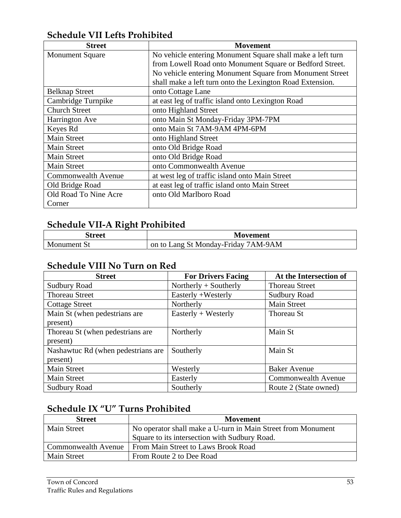#### **Schedule VII Lefts Prohibited**

| <b>Street</b>              | <b>Movement</b>                                            |
|----------------------------|------------------------------------------------------------|
| <b>Monument Square</b>     | No vehicle entering Monument Square shall make a left turn |
|                            | from Lowell Road onto Monument Square or Bedford Street.   |
|                            | No vehicle entering Monument Square from Monument Street   |
|                            | shall make a left turn onto the Lexington Road Extension.  |
| <b>Belknap Street</b>      | onto Cottage Lane                                          |
| Cambridge Turnpike         | at east leg of traffic island onto Lexington Road          |
| <b>Church Street</b>       | onto Highland Street                                       |
| <b>Harrington Ave</b>      | onto Main St Monday-Friday 3PM-7PM                         |
| Keyes Rd                   | onto Main St 7AM-9AM 4PM-6PM                               |
| Main Street                | onto Highland Street                                       |
| <b>Main Street</b>         | onto Old Bridge Road                                       |
| <b>Main Street</b>         | onto Old Bridge Road                                       |
| <b>Main Street</b>         | onto Commonwealth Avenue                                   |
| <b>Commonwealth Avenue</b> | at west leg of traffic island onto Main Street             |
| Old Bridge Road            | at east leg of traffic island onto Main Street             |
| Old Road To Nine Acre      | onto Old Marlboro Road                                     |
| Corner                     |                                                            |

## **Schedule VII-A Right Prohibited**

| treet<br>эu         | <b>Movement</b>                             |
|---------------------|---------------------------------------------|
| $\bf{M}$<br>ənument | /AM-9AM<br>Lang St Monday-Friday<br>on to I |

#### **Schedule VIII No Turn on Red**

| <b>Street</b>                      | <b>For Drivers Facing</b> | At the Intersection of |
|------------------------------------|---------------------------|------------------------|
| <b>Sudbury Road</b>                | Northerly $+$ Southerly   | <b>Thoreau Street</b>  |
| <b>Thoreau Street</b>              | Easterly +Westerly        | <b>Sudbury Road</b>    |
| <b>Cottage Street</b>              | Northerly                 | Main Street            |
| Main St (when pedestrians are      | Easterly $+$ Westerly     | Thoreau St             |
| present)                           |                           |                        |
| Thoreau St (when pedestrians are   | Northerly                 | Main St                |
| present)                           |                           |                        |
| Nashawtuc Rd (when pedestrians are | Southerly                 | Main St                |
| present)                           |                           |                        |
| Main Street                        | Westerly                  | <b>Baker Avenue</b>    |
| Main Street                        | Easterly                  | Commonwealth Avenue    |
| <b>Sudbury Road</b>                | Southerly                 | Route 2 (State owned)  |

#### **Schedule IX "U" Turns Prohibited**

| <b>Street</b>       | Movement                                                     |
|---------------------|--------------------------------------------------------------|
| <b>Main Street</b>  | No operator shall make a U-turn in Main Street from Monument |
|                     | Square to its intersection with Sudbury Road.                |
| Commonwealth Avenue | From Main Street to Laws Brook Road                          |
| <b>Main Street</b>  | From Route 2 to Dee Road                                     |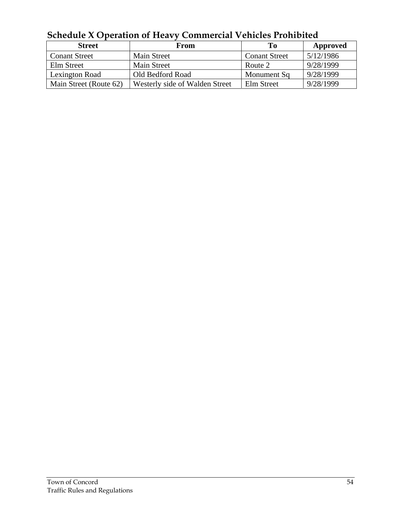| <u>UCHCUUIC A OPCIANUM UI HEAVY CUMMICICIAI VEHICIES I IUMDIICU</u> |                                |                      |           |
|---------------------------------------------------------------------|--------------------------------|----------------------|-----------|
| <b>Street</b>                                                       | From                           | Tо                   | Approved  |
| <b>Conant Street</b>                                                | <b>Main Street</b>             | <b>Conant Street</b> | 5/12/1986 |
| Elm Street                                                          | <b>Main Street</b>             | Route 2              | 9/28/1999 |
| Lexington Road                                                      | Old Bedford Road               | Monument Sq          | 9/28/1999 |
| Main Street (Route 62)                                              | Westerly side of Walden Street | Elm Street           | 9/28/1999 |

**Schedule X Operation of Heavy Commercial Vehicles Prohibited**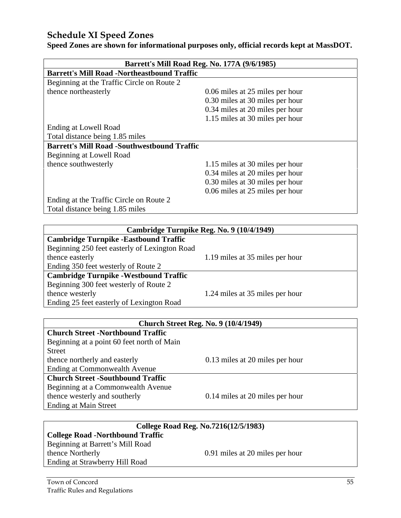#### **Schedule XI Speed Zones**

**Speed Zones are shown for informational purposes only, official records kept at MassDOT.** 

| Barrett's Mill Road Reg. No. 177A (9/6/1985)       |                                 |  |
|----------------------------------------------------|---------------------------------|--|
| <b>Barrett's Mill Road -Northeastbound Traffic</b> |                                 |  |
| Beginning at the Traffic Circle on Route 2         |                                 |  |
| thence northeasterly                               | 0.06 miles at 25 miles per hour |  |
|                                                    | 0.30 miles at 30 miles per hour |  |
|                                                    | 0.34 miles at 20 miles per hour |  |
|                                                    | 1.15 miles at 30 miles per hour |  |
| Ending at Lowell Road                              |                                 |  |
| Total distance being 1.85 miles                    |                                 |  |
| <b>Barrett's Mill Road -Southwestbound Traffic</b> |                                 |  |
| Beginning at Lowell Road                           |                                 |  |
| thence southwesterly                               | 1.15 miles at 30 miles per hour |  |
|                                                    | 0.34 miles at 20 miles per hour |  |
|                                                    | 0.30 miles at 30 miles per hour |  |
|                                                    | 0.06 miles at 25 miles per hour |  |
| Ending at the Traffic Circle on Route 2            |                                 |  |
| Total distance being 1.85 miles                    |                                 |  |

| Cambridge Turnpike Reg. No. 9 (10/4/1949)     |                                 |  |
|-----------------------------------------------|---------------------------------|--|
| <b>Cambridge Turnpike - Eastbound Traffic</b> |                                 |  |
| Beginning 250 feet easterly of Lexington Road |                                 |  |
| thence easterly                               | 1.19 miles at 35 miles per hour |  |
| Ending 350 feet westerly of Route 2           |                                 |  |
| <b>Cambridge Turnpike - Westbound Traffic</b> |                                 |  |
| Beginning 300 feet westerly of Route 2        |                                 |  |
| thence westerly                               | 1.24 miles at 35 miles per hour |  |
| Ending 25 feet easterly of Lexington Road     |                                 |  |

| <b>Church Street Reg. No. 9 (10/4/1949)</b> |  |
|---------------------------------------------|--|
|---------------------------------------------|--|

#### **Church Street -Northbound Traffic** Beginning at a point 60 feet north of Main

| 0.13 miles at 20 miles per hour |
|---------------------------------|
|                                 |
|                                 |
|                                 |
| 0.14 miles at 20 miles per hour |
|                                 |
|                                 |

| College Road Reg. No.7216(12/5/1983)    |                                 |  |
|-----------------------------------------|---------------------------------|--|
| <b>College Road -Northbound Traffic</b> |                                 |  |
| Beginning at Barrett's Mill Road        |                                 |  |
| thence Northerly                        | 0.91 miles at 20 miles per hour |  |
| Ending at Strawberry Hill Road          |                                 |  |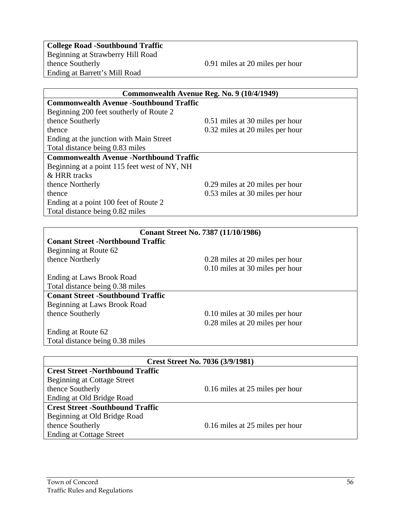**College Road -Southbound Traffic**  Beginning at Strawberry Hill Road Ending at Barrett's Mill Road

0.91 miles at 20 miles per hour

| Commonwealth Avenue Reg. No. 9 (10/4/1949)     |                                 |
|------------------------------------------------|---------------------------------|
| <b>Commonwealth Avenue -Southbound Traffic</b> |                                 |
| Beginning 200 feet southerly of Route 2        |                                 |
| thence Southerly                               | 0.51 miles at 30 miles per hour |
| thence                                         | 0.32 miles at 20 miles per hour |
| Ending at the junction with Main Street        |                                 |
| Total distance being 0.83 miles                |                                 |
| <b>Commonwealth Avenue -Northbound Traffic</b> |                                 |
| Beginning at a point 115 feet west of NY, NH   |                                 |
| & HRR tracks                                   |                                 |
| thence Northerly                               | 0.29 miles at 20 miles per hour |
| thence                                         | 0.53 miles at 30 miles per hour |
| Ending at a point 100 feet of Route 2          |                                 |
| Total distance being 0.82 miles                |                                 |
|                                                |                                 |
| <b>Conant Street No. 7387 (11/10/1986)</b>     |                                 |
| <b>Conant Street -Northbound Traffic</b>       |                                 |
| Beginning at Route 62                          |                                 |
| thence Northerly                               | 0.28 miles at 20 miles per hour |
|                                                | 0.10 miles at 30 miles per hour |
| Ending at Laws Brook Road                      |                                 |
| Total distance being 0.38 miles                |                                 |
| <b>Conant Street -Southbound Traffic</b>       |                                 |

**Conant Street -Southbound Traffic**  Beginning at Laws Brook Road

0.10 miles at 30 miles per hour 0.28 miles at 20 miles per hour

Ending at Route 62 Total distance being 0.38 miles

| <b>Crest Street No. 7036 (3/9/1981)</b> |                                 |
|-----------------------------------------|---------------------------------|
| <b>Crest Street -Northbound Traffic</b> |                                 |
|                                         |                                 |
| Beginning at Cottage Street             |                                 |
| thence Southerly                        | 0.16 miles at 25 miles per hour |
| Ending at Old Bridge Road               |                                 |
| <b>Crest Street -Southbound Traffic</b> |                                 |
| Beginning at Old Bridge Road            |                                 |
| thence Southerly                        | 0.16 miles at 25 miles per hour |
| <b>Ending at Cottage Street</b>         |                                 |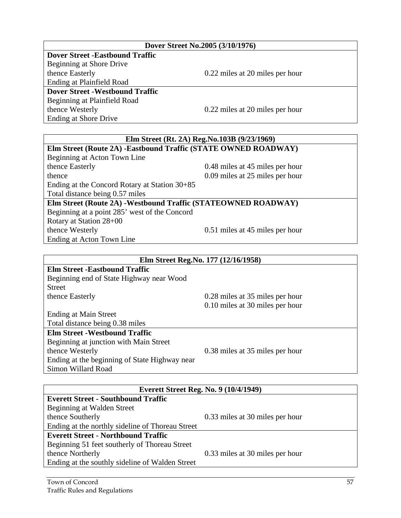| Ending at the northly sideline of Thoreau Street |                                 |
|--------------------------------------------------|---------------------------------|
| <b>Everett Street - Northbound Traffic</b>       |                                 |
| Beginning 51 feet southerly of Thoreau Street    |                                 |
| thence Northerly                                 | 0.33 miles at 30 miles per hour |
| Ending at the southly sideline of Walden Street  |                                 |
|                                                  |                                 |
| $\sim$ $\sim$                                    |                                 |

thence Southerly 0.33 miles at 30 miles per hour

**Everett Street Reg. No. 9 (10/4/1949)**

Beginning at Walden Street

# thence Westerly 0.51 miles at 45 miles per hour **Elm Street Reg.No. 177 (12/16/1958)**

**Elm Street -Eastbound Traffic** Beginning end of State Highway near Wood Street thence Easterly 0.28 miles at 35 miles per hour

Beginning at a point 285' west of the Concord

0.10 miles at 30 miles per hour

Ending at Main Street Total distance being 0.38 miles

#### **Elm Street -Westbound Traffic**

**Everett Street - Southbound Traffic**

Total distance being 0.57 miles

Rotary at Station 28+00

Ending at Acton Town Line

Beginning at junction with Main Street thence Westerly 0.38 miles at 35 miles per hour Ending at the beginning of State Highway near Simon Willard Road

# **Elm Street (Rt. 2A) Reg.No.103B (9/23/1969)**

Ending at Shore Drive **Elm Street (Route 2A) -Eastbound Traffic (STATE OWNED ROADWAY)**  Beginning at Acton Town Line thence Easterly 0.48 miles at 45 miles per hour thence 0.09 miles at 25 miles per hour Ending at the Concord Rotary at Station 30+85

**Elm Street (Route 2A) -Westbound Traffic (STATEOWNED ROADWAY)** 

#### **Dover Street No.2005 (3/10/1976)**

**Dover Street -Eastbound Traffic**  Beginning at Shore Drive thence Easterly 0.22 miles at 20 miles per hour Ending at Plainfield Road **Dover Street -Westbound Traffic**  Beginning at Plainfield Road thence Westerly 0.22 miles at 20 miles per hour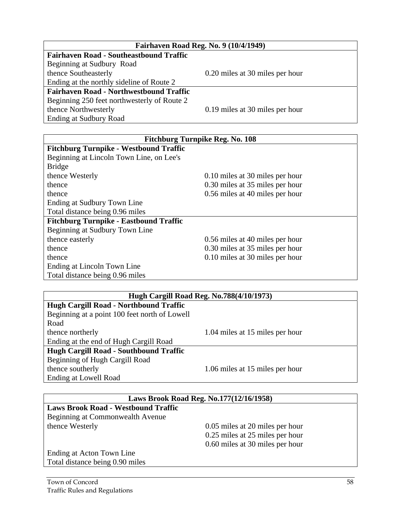| <b>Fairhaven Road Reg. No. 9 (10/4/1949)</b>   |                                 |
|------------------------------------------------|---------------------------------|
| <b>Fairhaven Road - Southeastbound Traffic</b> |                                 |
| Beginning at Sudbury Road                      |                                 |
| thence Southeasterly                           | 0.20 miles at 30 miles per hour |
| Ending at the northly sideline of Route 2      |                                 |
| <b>Fairhaven Road - Northwestbound Traffic</b> |                                 |
| Beginning 250 feet northwesterly of Route 2    |                                 |
| thence Northwesterly                           | 0.19 miles at 30 miles per hour |
| Ending at Sudbury Road                         |                                 |

| <b>Fitchburg Turnpike Reg. No. 108</b>        |                                 |
|-----------------------------------------------|---------------------------------|
| <b>Fitchburg Turnpike - Westbound Traffic</b> |                                 |
| Beginning at Lincoln Town Line, on Lee's      |                                 |
| <b>Bridge</b>                                 |                                 |
| thence Westerly                               | 0.10 miles at 30 miles per hour |
| thence                                        | 0.30 miles at 35 miles per hour |
| thence                                        | 0.56 miles at 40 miles per hour |
| Ending at Sudbury Town Line                   |                                 |
| Total distance being 0.96 miles               |                                 |
| <b>Fitchburg Turnpike - Eastbound Traffic</b> |                                 |
| Beginning at Sudbury Town Line                |                                 |
| thence easterly                               | 0.56 miles at 40 miles per hour |
| thence                                        | 0.30 miles at 35 miles per hour |
| thence                                        | 0.10 miles at 30 miles per hour |
| Ending at Lincoln Town Line                   |                                 |
| Total distance being 0.96 miles               |                                 |

| Hugh Cargill Road Reg. No.788(4/10/1973)      |                                 |
|-----------------------------------------------|---------------------------------|
| <b>Hugh Cargill Road - Northbound Traffic</b> |                                 |
| Beginning at a point 100 feet north of Lowell |                                 |
| Road                                          |                                 |
| thence northerly                              | 1.04 miles at 15 miles per hour |
| Ending at the end of Hugh Cargill Road        |                                 |
| <b>Hugh Cargill Road - Southbound Traffic</b> |                                 |
| Beginning of Hugh Cargill Road                |                                 |
| thence southerly                              | 1.06 miles at 15 miles per hour |
| Ending at Lowell Road                         |                                 |

| Laws Brook Road Reg. No.177(12/16/1958)    |                                 |  |
|--------------------------------------------|---------------------------------|--|
| <b>Laws Brook Road - Westbound Traffic</b> |                                 |  |
| Beginning at Commonwealth Avenue           |                                 |  |
| thence Westerly                            | 0.05 miles at 20 miles per hour |  |
|                                            | 0.25 miles at 25 miles per hour |  |
|                                            | 0.60 miles at 30 miles per hour |  |
| Ending at Acton Town Line                  |                                 |  |
| Total distance being 0.90 miles            |                                 |  |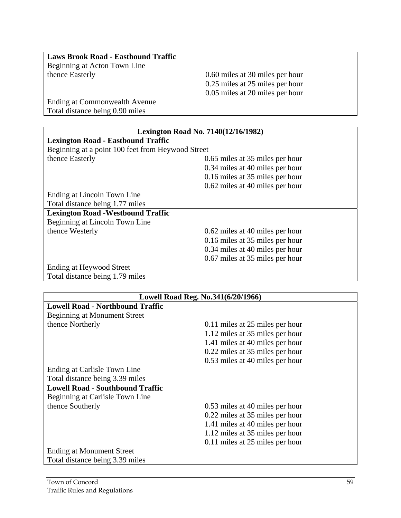| <b>Laws Brook Road - Eastbound Traffic</b> |                                   |
|--------------------------------------------|-----------------------------------|
| Beginning at Acton Town Line               |                                   |
| thence Easterly                            | 0.60 miles at 30 miles per hour   |
|                                            | $0.25$ miles at 25 miles ner hour |

 0.25 miles at 25 miles per hour 0.05 miles at 20 miles per hour

Ending at Commonwealth Avenue Total distance being 0.90 miles

| <b>Lexington Road No. 7140(12/16/1982)</b>        |                                 |  |
|---------------------------------------------------|---------------------------------|--|
| <b>Lexington Road - Eastbound Traffic</b>         |                                 |  |
| Beginning at a point 100 feet from Heywood Street |                                 |  |
| thence Easterly                                   | 0.65 miles at 35 miles per hour |  |
|                                                   | 0.34 miles at 40 miles per hour |  |
|                                                   | 0.16 miles at 35 miles per hour |  |
|                                                   | 0.62 miles at 40 miles per hour |  |
| Ending at Lincoln Town Line                       |                                 |  |
| Total distance being 1.77 miles                   |                                 |  |
| <b>Lexington Road -Westbound Traffic</b>          |                                 |  |
| Beginning at Lincoln Town Line                    |                                 |  |
| thence Westerly                                   | 0.62 miles at 40 miles per hour |  |
|                                                   | 0.16 miles at 35 miles per hour |  |
|                                                   | 0.34 miles at 40 miles per hour |  |
|                                                   | 0.67 miles at 35 miles per hour |  |
| Ending at Heywood Street                          |                                 |  |
| Total distance being 1.79 miles                   |                                 |  |

| Lowell Road Reg. No.341(6/20/1966)      |                                 |
|-----------------------------------------|---------------------------------|
| <b>Lowell Road - Northbound Traffic</b> |                                 |
| <b>Beginning at Monument Street</b>     |                                 |
| thence Northerly                        | 0.11 miles at 25 miles per hour |
|                                         | 1.12 miles at 35 miles per hour |
|                                         | 1.41 miles at 40 miles per hour |
|                                         | 0.22 miles at 35 miles per hour |
|                                         | 0.53 miles at 40 miles per hour |
| Ending at Carlisle Town Line            |                                 |
| Total distance being 3.39 miles         |                                 |
| <b>Lowell Road - Southbound Traffic</b> |                                 |
| Beginning at Carlisle Town Line         |                                 |
| thence Southerly                        | 0.53 miles at 40 miles per hour |
|                                         | 0.22 miles at 35 miles per hour |
|                                         | 1.41 miles at 40 miles per hour |
|                                         | 1.12 miles at 35 miles per hour |
|                                         | 0.11 miles at 25 miles per hour |
| <b>Ending at Monument Street</b>        |                                 |
| Total distance being 3.39 miles         |                                 |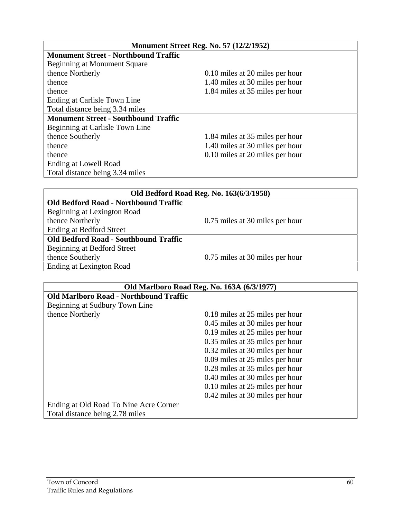| <b>Monument Street Reg. No. 57 (12/2/1952)</b> |                                 |
|------------------------------------------------|---------------------------------|
| <b>Monument Street - Northbound Traffic</b>    |                                 |
| Beginning at Monument Square                   |                                 |
| thence Northerly                               | 0.10 miles at 20 miles per hour |
| thence                                         | 1.40 miles at 30 miles per hour |
| thence                                         | 1.84 miles at 35 miles per hour |
| Ending at Carlisle Town Line                   |                                 |
| Total distance being 3.34 miles                |                                 |
| <b>Monument Street - Southbound Traffic</b>    |                                 |
| Beginning at Carlisle Town Line                |                                 |
| thence Southerly                               | 1.84 miles at 35 miles per hour |
| thence                                         | 1.40 miles at 30 miles per hour |
| thence                                         | 0.10 miles at 20 miles per hour |
| Ending at Lowell Road                          |                                 |
| Total distance being 3.34 miles                |                                 |

| Old Bedford Road Reg. No. 163(6/3/1958)      |                                 |
|----------------------------------------------|---------------------------------|
| <b>Old Bedford Road - Northbound Traffic</b> |                                 |
| Beginning at Lexington Road                  |                                 |
| thence Northerly                             | 0.75 miles at 30 miles per hour |
| <b>Ending at Bedford Street</b>              |                                 |
| <b>Old Bedford Road - Southbound Traffic</b> |                                 |
| Beginning at Bedford Street                  |                                 |
| thence Southerly                             | 0.75 miles at 30 miles per hour |
| Ending at Lexington Road                     |                                 |

| Old Marlboro Road Reg. No. 163A (6/3/1977)    |                                 |
|-----------------------------------------------|---------------------------------|
| <b>Old Marlboro Road - Northbound Traffic</b> |                                 |
| Beginning at Sudbury Town Line                |                                 |
| thence Northerly                              | 0.18 miles at 25 miles per hour |
|                                               | 0.45 miles at 30 miles per hour |
|                                               | 0.19 miles at 25 miles per hour |
|                                               | 0.35 miles at 35 miles per hour |
|                                               | 0.32 miles at 30 miles per hour |
|                                               | 0.09 miles at 25 miles per hour |
|                                               | 0.28 miles at 35 miles per hour |
|                                               | 0.40 miles at 30 miles per hour |
|                                               | 0.10 miles at 25 miles per hour |
|                                               | 0.42 miles at 30 miles per hour |
| Ending at Old Road To Nine Acre Corner        |                                 |
| Total distance being 2.78 miles               |                                 |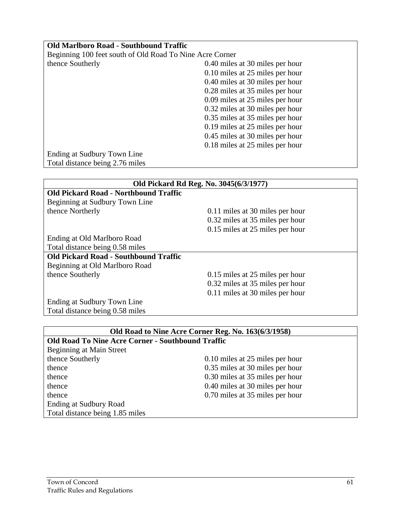| <b>Old Marlboro Road - Southbound Traffic</b>            |                                 |
|----------------------------------------------------------|---------------------------------|
| Beginning 100 feet south of Old Road To Nine Acre Corner |                                 |
| thence Southerly                                         | 0.40 miles at 30 miles per hour |
|                                                          | 0.10 miles at 25 miles per hour |
|                                                          | 0.40 miles at 30 miles per hour |
|                                                          | 0.28 miles at 35 miles per hour |
|                                                          | 0.09 miles at 25 miles per hour |
|                                                          | 0.32 miles at 30 miles per hour |
|                                                          | 0.35 miles at 35 miles per hour |
|                                                          | 0.19 miles at 25 miles per hour |
|                                                          | 0.45 miles at 30 miles per hour |
|                                                          | 0.18 miles at 25 miles per hour |
| Ending at Sudbury Town Line                              |                                 |
| Total distance being 2.76 miles                          |                                 |

| Old Pickard Rd Reg. No. 3045(6/3/1977)       |                                 |
|----------------------------------------------|---------------------------------|
| <b>Old Pickard Road - Northbound Traffic</b> |                                 |
| Beginning at Sudbury Town Line               |                                 |
| thence Northerly                             | 0.11 miles at 30 miles per hour |
|                                              | 0.32 miles at 35 miles per hour |
|                                              | 0.15 miles at 25 miles per hour |
| Ending at Old Marlboro Road                  |                                 |
| Total distance being 0.58 miles              |                                 |
| <b>Old Pickard Road - Southbound Traffic</b> |                                 |
| Beginning at Old Marlboro Road               |                                 |
| thence Southerly                             | 0.15 miles at 25 miles per hour |
|                                              | 0.32 miles at 35 miles per hour |
|                                              | 0.11 miles at 30 miles per hour |
| Ending at Sudbury Town Line                  |                                 |
| Total distance being 0.58 miles              |                                 |

| Old Road to Nine Acre Corner Reg. No. 163(6/3/1958)      |                                 |  |
|----------------------------------------------------------|---------------------------------|--|
| <b>Old Road To Nine Acre Corner - Southbound Traffic</b> |                                 |  |
| <b>Beginning at Main Street</b>                          |                                 |  |
| thence Southerly                                         | 0.10 miles at 25 miles per hour |  |
| thence                                                   | 0.35 miles at 30 miles per hour |  |
| thence                                                   | 0.30 miles at 35 miles per hour |  |
| thence                                                   | 0.40 miles at 30 miles per hour |  |
| thence                                                   | 0.70 miles at 35 miles per hour |  |
| Ending at Sudbury Road                                   |                                 |  |
| Total distance being 1.85 miles                          |                                 |  |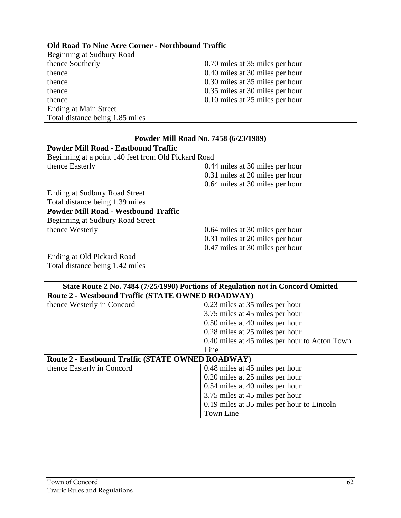| <b>Old Road To Nine Acre Corner - Northbound Traffic</b> |                                 |
|----------------------------------------------------------|---------------------------------|
| Beginning at Sudbury Road                                |                                 |
| thence Southerly                                         | 0.70 miles at 35 miles per hour |
| thence                                                   | 0.40 miles at 30 miles per hour |
| thence                                                   | 0.30 miles at 35 miles per hour |
| thence                                                   | 0.35 miles at 30 miles per hour |
| thence                                                   | 0.10 miles at 25 miles per hour |
| <b>Ending at Main Street</b>                             |                                 |
| Total distance being 1.85 miles                          |                                 |

| Powder Mill Road No. 7458 (6/23/1989)               |                                 |
|-----------------------------------------------------|---------------------------------|
| <b>Powder Mill Road - Eastbound Traffic</b>         |                                 |
| Beginning at a point 140 feet from Old Pickard Road |                                 |
| thence Easterly                                     | 0.44 miles at 30 miles per hour |
|                                                     | 0.31 miles at 20 miles per hour |
|                                                     | 0.64 miles at 30 miles per hour |
| Ending at Sudbury Road Street                       |                                 |
| Total distance being 1.39 miles                     |                                 |
| <b>Powder Mill Road - Westbound Traffic</b>         |                                 |
| Beginning at Sudbury Road Street                    |                                 |
| thence Westerly                                     | 0.64 miles at 30 miles per hour |
|                                                     | 0.31 miles at 20 miles per hour |
|                                                     | 0.47 miles at 30 miles per hour |
| Ending at Old Pickard Road                          |                                 |
| Total distance being 1.42 miles                     |                                 |

| State Route 2 No. 7484 (7/25/1990) Portions of Regulation not in Concord Omitted |                                               |
|----------------------------------------------------------------------------------|-----------------------------------------------|
| <b>Route 2 - Westbound Traffic (STATE OWNED ROADWAY)</b>                         |                                               |
| thence Westerly in Concord                                                       | 0.23 miles at 35 miles per hour               |
|                                                                                  | 3.75 miles at 45 miles per hour               |
|                                                                                  | 0.50 miles at 40 miles per hour               |
|                                                                                  | 0.28 miles at 25 miles per hour               |
|                                                                                  | 0.40 miles at 45 miles per hour to Acton Town |
|                                                                                  | Line                                          |
| <b>Route 2 - Eastbound Traffic (STATE OWNED ROADWAY)</b>                         |                                               |
| thence Easterly in Concord                                                       | 0.48 miles at 45 miles per hour               |
|                                                                                  | 0.20 miles at 25 miles per hour               |
|                                                                                  | 0.54 miles at 40 miles per hour               |
|                                                                                  | 3.75 miles at 45 miles per hour               |
|                                                                                  | 0.19 miles at 35 miles per hour to Lincoln    |
|                                                                                  | <b>Town Line</b>                              |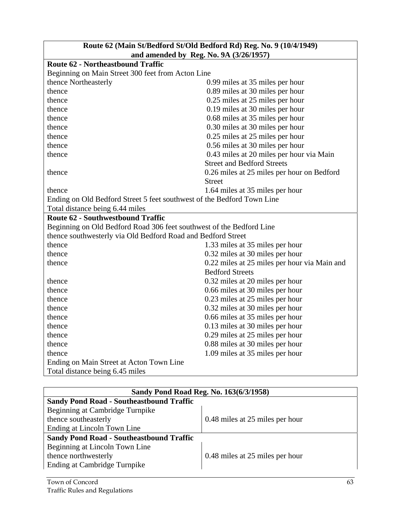| Route 62 (Main St/Bedford St/Old Bedford Rd) Reg. No. 9 (10/4/1949)    |                                              |
|------------------------------------------------------------------------|----------------------------------------------|
|                                                                        | and amended by Reg. No. 9A (3/26/1957)       |
| <b>Route 62 - Northeastbound Traffic</b>                               |                                              |
| Beginning on Main Street 300 feet from Acton Line                      |                                              |
| thence Northeasterly                                                   | 0.99 miles at 35 miles per hour              |
| thence                                                                 | 0.89 miles at 30 miles per hour              |
| thence                                                                 | 0.25 miles at 25 miles per hour              |
| thence                                                                 | 0.19 miles at 30 miles per hour              |
| thence                                                                 | 0.68 miles at 35 miles per hour              |
| thence                                                                 | 0.30 miles at 30 miles per hour              |
| thence                                                                 | 0.25 miles at 25 miles per hour              |
| thence                                                                 | 0.56 miles at 30 miles per hour              |
| thence                                                                 | 0.43 miles at 20 miles per hour via Main     |
|                                                                        | <b>Street and Bedford Streets</b>            |
| thence                                                                 | 0.26 miles at 25 miles per hour on Bedford   |
|                                                                        | <b>Street</b>                                |
| thence                                                                 | 1.64 miles at 35 miles per hour              |
| Ending on Old Bedford Street 5 feet southwest of the Bedford Town Line |                                              |
| Total distance being 6.44 miles                                        |                                              |
| <b>Route 62 - Southwestbound Traffic</b>                               |                                              |
| Beginning on Old Bedford Road 306 feet southwest of the Bedford Line   |                                              |
| thence southwesterly via Old Bedford Road and Bedford Street           |                                              |
| thence                                                                 | 1.33 miles at 35 miles per hour              |
| thence                                                                 | 0.32 miles at 30 miles per hour              |
| thence                                                                 | 0.22 miles at 25 miles per hour via Main and |
|                                                                        | <b>Bedford Streets</b>                       |
| thence                                                                 | 0.32 miles at 20 miles per hour              |
| thence                                                                 | 0.66 miles at 30 miles per hour              |
| thence                                                                 | 0.23 miles at 25 miles per hour              |
| thence                                                                 | 0.32 miles at 30 miles per hour              |
| thence                                                                 | 0.66 miles at 35 miles per hour              |
| thence                                                                 | 0.13 miles at 30 miles per hour              |
| thence                                                                 | 0.29 miles at 25 miles per hour              |
| thence                                                                 | 0.88 miles at 30 miles per hour              |
| thence                                                                 | 1.09 miles at 35 miles per hour              |
| Ending on Main Street at Acton Town Line                               |                                              |
| Total distance being 6.45 miles                                        |                                              |

| Sandy Pond Road Reg. No. 163(6/3/1958)          |                                 |  |
|-------------------------------------------------|---------------------------------|--|
| <b>Sandy Pond Road - Southeastbound Traffic</b> |                                 |  |
| Beginning at Cambridge Turnpike                 |                                 |  |
| thence southeasterly                            | 0.48 miles at 25 miles per hour |  |
| Ending at Lincoln Town Line                     |                                 |  |
| <b>Sandy Pond Road - Southeastbound Traffic</b> |                                 |  |
| Beginning at Lincoln Town Line                  |                                 |  |
| thence northwesterly                            | 0.48 miles at 25 miles per hour |  |
| Ending at Cambridge Turnpike                    |                                 |  |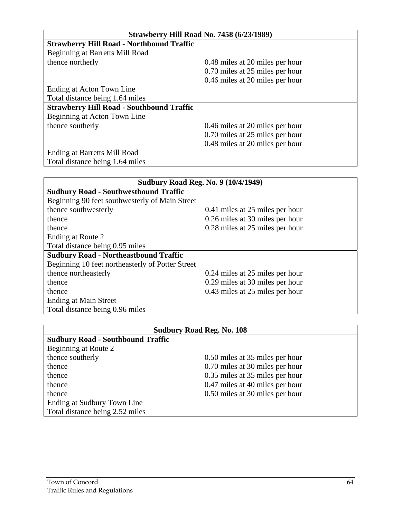| <b>Strawberry Hill Road No. 7458 (6/23/1989)</b> |                                 |  |  |
|--------------------------------------------------|---------------------------------|--|--|
| <b>Strawberry Hill Road - Northbound Traffic</b> |                                 |  |  |
| Beginning at Barretts Mill Road                  |                                 |  |  |
| thence northerly                                 | 0.48 miles at 20 miles per hour |  |  |
|                                                  | 0.70 miles at 25 miles per hour |  |  |
|                                                  | 0.46 miles at 20 miles per hour |  |  |
| Ending at Acton Town Line                        |                                 |  |  |
| Total distance being 1.64 miles                  |                                 |  |  |
| <b>Strawberry Hill Road - Southbound Traffic</b> |                                 |  |  |
| Beginning at Acton Town Line                     |                                 |  |  |
| thence southerly                                 | 0.46 miles at 20 miles per hour |  |  |
|                                                  | 0.70 miles at 25 miles per hour |  |  |
|                                                  | 0.48 miles at 20 miles per hour |  |  |
| <b>Ending at Barretts Mill Road</b>              |                                 |  |  |
| Total distance being 1.64 miles                  |                                 |  |  |
|                                                  |                                 |  |  |

| <b>Sudbury Road Reg. No. 9 (10/4/1949)</b>       |                                 |  |  |
|--------------------------------------------------|---------------------------------|--|--|
| <b>Sudbury Road - Southwestbound Traffic</b>     |                                 |  |  |
| Beginning 90 feet southwesterly of Main Street   |                                 |  |  |
| thence southwesterly                             | 0.41 miles at 25 miles per hour |  |  |
| thence                                           | 0.26 miles at 30 miles per hour |  |  |
| thence                                           | 0.28 miles at 25 miles per hour |  |  |
| Ending at Route 2                                |                                 |  |  |
| Total distance being 0.95 miles                  |                                 |  |  |
| <b>Sudbury Road - Northeastbound Traffic</b>     |                                 |  |  |
| Beginning 10 feet northeasterly of Potter Street |                                 |  |  |
| thence northeasterly                             | 0.24 miles at 25 miles per hour |  |  |
| thence                                           | 0.29 miles at 30 miles per hour |  |  |
| thence                                           | 0.43 miles at 25 miles per hour |  |  |
| Ending at Main Street                            |                                 |  |  |
| Total distance being 0.96 miles                  |                                 |  |  |

| <b>Sudbury Road Reg. No. 108</b>         |                                 |  |  |
|------------------------------------------|---------------------------------|--|--|
| <b>Sudbury Road - Southbound Traffic</b> |                                 |  |  |
| Beginning at Route 2                     |                                 |  |  |
| thence southerly                         | 0.50 miles at 35 miles per hour |  |  |
| thence                                   | 0.70 miles at 30 miles per hour |  |  |
| thence                                   | 0.35 miles at 35 miles per hour |  |  |
| thence                                   | 0.47 miles at 40 miles per hour |  |  |
| thence                                   | 0.50 miles at 30 miles per hour |  |  |
| Ending at Sudbury Town Line              |                                 |  |  |
| Total distance being 2.52 miles          |                                 |  |  |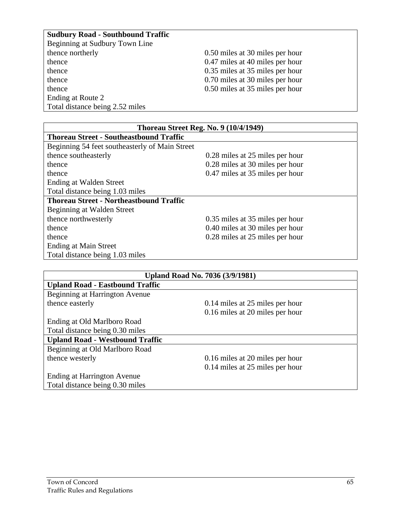#### **Sudbury Road - Southbound Traffic**

| Beginning at Sudbury Town Line  |                                 |
|---------------------------------|---------------------------------|
| thence northerly                | 0.50 miles at 30 miles per hour |
| thence                          | 0.47 miles at 40 miles per hour |
| thence                          | 0.35 miles at 35 miles per hour |
| thence                          | 0.70 miles at 30 miles per hour |
| thence                          | 0.50 miles at 35 miles per hour |
| Ending at Route 2               |                                 |
| Total distance being 2.52 miles |                                 |

| <b>Thoreau Street Reg. No. 9 (10/4/1949)</b>   |                                 |  |  |
|------------------------------------------------|---------------------------------|--|--|
| <b>Thoreau Street - Southeastbound Traffic</b> |                                 |  |  |
| Beginning 54 feet southeasterly of Main Street |                                 |  |  |
| thence southeasterly                           | 0.28 miles at 25 miles per hour |  |  |
| thence                                         | 0.28 miles at 30 miles per hour |  |  |
| thence                                         | 0.47 miles at 35 miles per hour |  |  |
| Ending at Walden Street                        |                                 |  |  |
| Total distance being 1.03 miles                |                                 |  |  |
| <b>Thoreau Street - Northeastbound Traffic</b> |                                 |  |  |
| Beginning at Walden Street                     |                                 |  |  |
| thence northwesterly                           | 0.35 miles at 35 miles per hour |  |  |
| thence                                         | 0.40 miles at 30 miles per hour |  |  |
| thence                                         | 0.28 miles at 25 miles per hour |  |  |
| Ending at Main Street                          |                                 |  |  |
| Total distance being 1.03 miles                |                                 |  |  |

| <b>Upland Road No. 7036 (3/9/1981)</b> |                                 |  |
|----------------------------------------|---------------------------------|--|
| <b>Upland Road - Eastbound Traffic</b> |                                 |  |
| Beginning at Harrington Avenue         |                                 |  |
| thence easterly                        | 0.14 miles at 25 miles per hour |  |
|                                        | 0.16 miles at 20 miles per hour |  |
| Ending at Old Marlboro Road            |                                 |  |
| Total distance being 0.30 miles        |                                 |  |
| <b>Upland Road - Westbound Traffic</b> |                                 |  |
| Beginning at Old Marlboro Road         |                                 |  |
| thence westerly                        | 0.16 miles at 20 miles per hour |  |
|                                        | 0.14 miles at 25 miles per hour |  |
| Ending at Harrington Avenue            |                                 |  |
| Total distance being 0.30 miles        |                                 |  |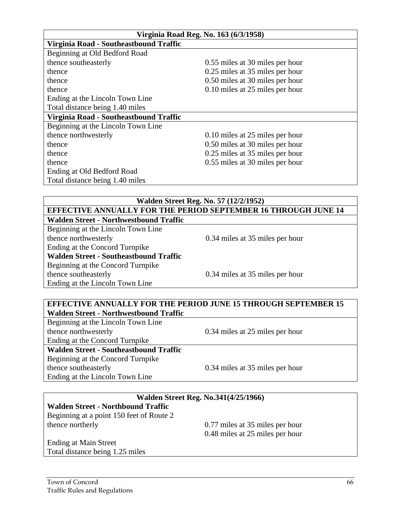| Virginia Road Reg. No. 163 (6/3/1958)  |                                 |  |  |  |
|----------------------------------------|---------------------------------|--|--|--|
| Virginia Road - Southeastbound Traffic |                                 |  |  |  |
| Beginning at Old Bedford Road          |                                 |  |  |  |
| thence southeasterly                   | 0.55 miles at 30 miles per hour |  |  |  |
| thence                                 | 0.25 miles at 35 miles per hour |  |  |  |
| thence                                 | 0.50 miles at 30 miles per hour |  |  |  |
| thence                                 | 0.10 miles at 25 miles per hour |  |  |  |
| Ending at the Lincoln Town Line        |                                 |  |  |  |
| Total distance being 1.40 miles        |                                 |  |  |  |
| Virginia Road - Southeastbound Traffic |                                 |  |  |  |
| Beginning at the Lincoln Town Line     |                                 |  |  |  |
| thence northwesterly                   | 0.10 miles at 25 miles per hour |  |  |  |
| thence                                 | 0.50 miles at 30 miles per hour |  |  |  |
| thence                                 | 0.25 miles at 35 miles per hour |  |  |  |
| thence                                 | 0.55 miles at 30 miles per hour |  |  |  |
| Ending at Old Bedford Road             |                                 |  |  |  |
| Total distance being 1.40 miles        |                                 |  |  |  |

#### **Walden Street Reg. No. 57 (12/2/1952) EFFECTIVE ANNUALLY FOR THE PERIOD SEPTEMBER 16 THROUGH JUNE 14 Walden Street - Northwestbound Traffic**

Beginning at the Lincoln Town Line thence northwesterly 0.34 miles at 35 miles per hour Ending at the Concord Turnpike **Walden Street - Southeastbound Traffic**  Beginning at the Concord Turnpike thence southeasterly 0.34 miles at 35 miles per hour Ending at the Lincoln Town Line

#### **EFFECTIVE ANNUALLY FOR THE PERIOD JUNE 15 THROUGH SEPTEMBER 15 Walden Street - Northwestbound Traffic**

Beginning at the Lincoln Town Line thence northwesterly 0.34 miles at 25 miles per hour Ending at the Concord Turnpike **Walden Street - Southeastbound Traffic**  Beginning at the Concord Turnpike thence southeasterly 0.34 miles at 35 miles per hour Ending at the Lincoln Town Line

| Walden Street Reg. No.341(4/25/1966)      |                                 |  |
|-------------------------------------------|---------------------------------|--|
| <b>Walden Street - Northbound Traffic</b> |                                 |  |
| Beginning at a point 150 feet of Route 2  |                                 |  |
| thence northerly                          | 0.77 miles at 35 miles per hour |  |
|                                           | 0.48 miles at 25 miles per hour |  |
| <b>Ending at Main Street</b>              |                                 |  |
| Total distance being 1.25 miles           |                                 |  |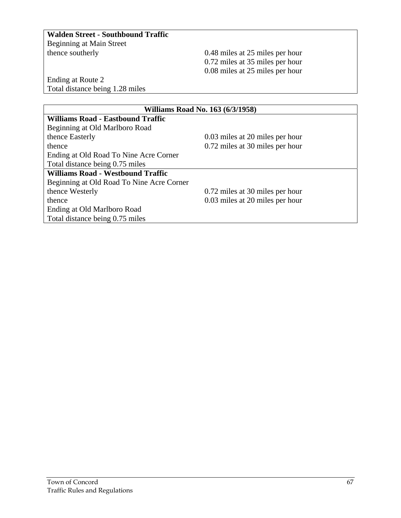#### **Walden Street - Southbound Traffic**

Beginning at Main Street

 $0.48$  miles at 25 miles per hour 0.72 miles at 35 miles per hour 0.08 miles at 25 miles per hour

Ending at Route 2 Total distance being 1.28 miles

| Williams Road No. 163 (6/3/1958)          |                                 |  |  |
|-------------------------------------------|---------------------------------|--|--|
| <b>Williams Road - Eastbound Traffic</b>  |                                 |  |  |
| Beginning at Old Marlboro Road            |                                 |  |  |
| thence Easterly                           | 0.03 miles at 20 miles per hour |  |  |
| thence                                    | 0.72 miles at 30 miles per hour |  |  |
| Ending at Old Road To Nine Acre Corner    |                                 |  |  |
| Total distance being 0.75 miles           |                                 |  |  |
| <b>Williams Road - Westbound Traffic</b>  |                                 |  |  |
| Beginning at Old Road To Nine Acre Corner |                                 |  |  |
| thence Westerly                           | 0.72 miles at 30 miles per hour |  |  |
| thence                                    | 0.03 miles at 20 miles per hour |  |  |
| Ending at Old Marlboro Road               |                                 |  |  |
| Total distance being 0.75 miles           |                                 |  |  |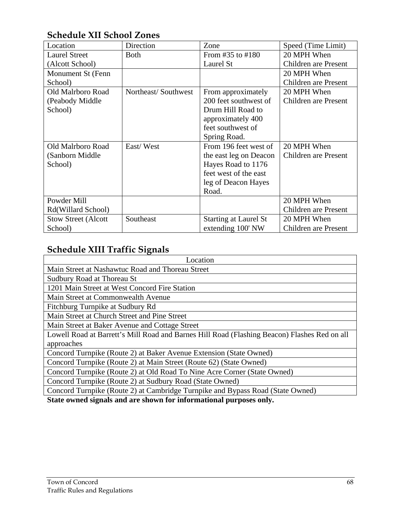#### **Schedule XII School Zones**

| Location                     | Direction           | Zone                         | Speed (Time Limit)          |
|------------------------------|---------------------|------------------------------|-----------------------------|
| <b>Laurel Street</b>         | <b>Both</b>         | From $\#35$ to $\#180$       | 20 MPH When                 |
| (Alcott School)              |                     | Laurel St                    | <b>Children</b> are Present |
| Monument St (Fenn            |                     |                              | 20 MPH When                 |
| School)                      |                     |                              | Children are Present        |
| Old Malrboro Road            | Northeast/Southwest | From approximately           | 20 MPH When                 |
| (Peabody Middle)             |                     | 200 feet southwest of        | Children are Present        |
| School)                      |                     | Drum Hill Road to            |                             |
|                              |                     | approximately 400            |                             |
|                              |                     | feet southwest of            |                             |
|                              |                     | Spring Road.                 |                             |
| Old Malrboro Road            | East/West           | From 196 feet west of        | 20 MPH When                 |
| (Sanborn Middle              |                     | the east leg on Deacon       | Children are Present        |
| School)                      |                     | Hayes Road to 1176           |                             |
|                              |                     | feet west of the east        |                             |
|                              |                     | leg of Deacon Hayes          |                             |
|                              |                     | Road.                        |                             |
| Powder Mill                  |                     |                              | 20 MPH When                 |
| Rd(Willard School)           |                     |                              | Children are Present        |
| <b>Stow Street (Alcott</b> ) | Southeast           | <b>Starting at Laurel St</b> | 20 MPH When                 |
| School)                      |                     | extending 100' NW            | Children are Present        |

## **Schedule XIII Traffic Signals**

| Location                                                                                     |  |  |  |
|----------------------------------------------------------------------------------------------|--|--|--|
| Main Street at Nashawtuc Road and Thoreau Street                                             |  |  |  |
| Sudbury Road at Thoreau St                                                                   |  |  |  |
| 1201 Main Street at West Concord Fire Station                                                |  |  |  |
| Main Street at Commonwealth Avenue                                                           |  |  |  |
| Fitchburg Turnpike at Sudbury Rd                                                             |  |  |  |
| Main Street at Church Street and Pine Street                                                 |  |  |  |
| Main Street at Baker Avenue and Cottage Street                                               |  |  |  |
| Lowell Road at Barrett's Mill Road and Barnes Hill Road (Flashing Beacon) Flashes Red on all |  |  |  |
| approaches                                                                                   |  |  |  |
| Concord Turnpike (Route 2) at Baker Avenue Extension (State Owned)                           |  |  |  |
| Concord Turnpike (Route 2) at Main Street (Route 62) (State Owned)                           |  |  |  |
| Concord Turnpike (Route 2) at Old Road To Nine Acre Corner (State Owned)                     |  |  |  |
| Concord Turnpike (Route 2) at Sudbury Road (State Owned)                                     |  |  |  |
| Concord Turnpike (Route 2) at Cambridge Turnpike and Bypass Road (State Owned)               |  |  |  |
| State awned gianals and are shown for informational nurmasses only                           |  |  |  |

**State owned signals and are shown for informational purposes only.**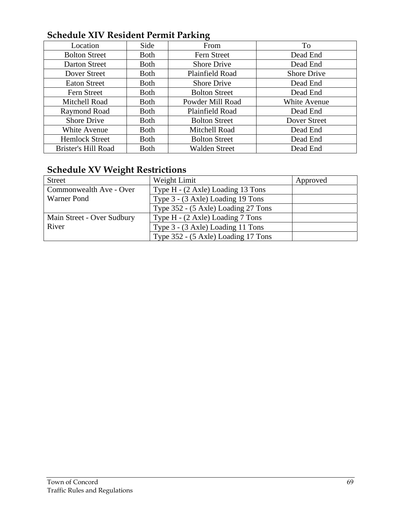## **Schedule XIV Resident Permit Parking**

|                       |              | $\epsilon$           |                     |
|-----------------------|--------------|----------------------|---------------------|
| Location              | Side         | From                 | To                  |
| <b>Bolton Street</b>  | <b>Both</b>  | Fern Street          | Dead End            |
| Darton Street         | <b>Both</b>  | <b>Shore Drive</b>   | Dead End            |
| Dover Street          | <b>Both</b>  | Plainfield Road      | <b>Shore Drive</b>  |
| <b>Eaton Street</b>   | <b>Both</b>  | <b>Shore Drive</b>   | Dead End            |
| Fern Street           | <b>Both</b>  | <b>Bolton Street</b> | Dead End            |
| Mitchell Road         | <b>Both</b>  | Powder Mill Road     | <b>White Avenue</b> |
| Raymond Road          | <b>Both</b>  | Plainfield Road      | Dead End            |
| <b>Shore Drive</b>    | <b>Both</b>  | <b>Bolton Street</b> | Dover Street        |
| White Avenue          | <b>Both</b>  | Mitchell Road        | Dead End            |
| <b>Hemlock Street</b> | <b>B</b> oth | <b>Bolton Street</b> | Dead End            |
| Brister's Hill Road   | <b>Both</b>  | <b>Walden Street</b> | Dead End            |

# **Schedule XV Weight Restrictions**

| <b>Street</b>              | Weight Limit                        | Approved |
|----------------------------|-------------------------------------|----------|
| Commonwealth Ave - Over    | Type H - (2 Axle) Loading 13 Tons   |          |
| Warner Pond                | Type 3 - (3 Axle) Loading 19 Tons   |          |
|                            | Type 352 - (5 Axle) Loading 27 Tons |          |
| Main Street - Over Sudbury | Type H - (2 Axle) Loading 7 Tons    |          |
| River                      | Type 3 - (3 Axle) Loading 11 Tons   |          |
|                            | Type 352 - (5 Axle) Loading 17 Tons |          |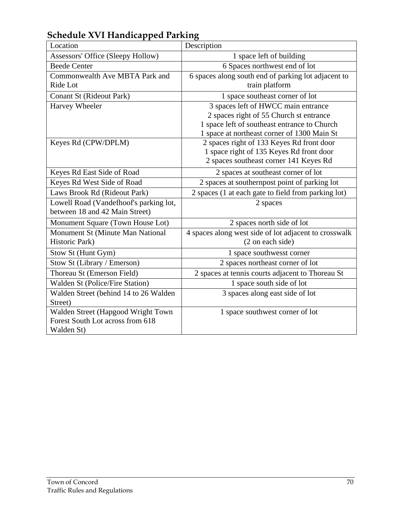| $\alpha$ and $\alpha$ is a set of $\alpha$ is a set of $\alpha$ is a set of $\alpha$<br>Location | Description                                                                                                                                                                   |  |
|--------------------------------------------------------------------------------------------------|-------------------------------------------------------------------------------------------------------------------------------------------------------------------------------|--|
| Assessors' Office (Sleepy Hollow)                                                                | 1 space left of building                                                                                                                                                      |  |
| <b>Beede Center</b>                                                                              | 6 Spaces northwest end of lot                                                                                                                                                 |  |
| Commonwealth Ave MBTA Park and<br>Ride Lot                                                       | 6 spaces along south end of parking lot adjacent to<br>train platform                                                                                                         |  |
| <b>Conant St (Rideout Park)</b>                                                                  | 1 space southeast corner of lot                                                                                                                                               |  |
| Harvey Wheeler                                                                                   | 3 spaces left of HWCC main entrance<br>2 spaces right of 55 Church st entrance<br>1 space left of southeast entrance to Church<br>1 space at northeast corner of 1300 Main St |  |
| Keyes Rd (CPW/DPLM)                                                                              | 2 spaces right of 133 Keyes Rd front door<br>1 space right of 135 Keyes Rd front door<br>2 spaces southeast corner 141 Keyes Rd                                               |  |
| Keyes Rd East Side of Road                                                                       | 2 spaces at southeast corner of lot                                                                                                                                           |  |
| Keyes Rd West Side of Road                                                                       | 2 spaces at southernpost point of parking lot                                                                                                                                 |  |
| Laws Brook Rd (Rideout Park)                                                                     | 2 spaces (1 at each gate to field from parking lot)                                                                                                                           |  |
| Lowell Road (Vandefhoof's parking lot,<br>between 18 and 42 Main Street)                         | 2 spaces                                                                                                                                                                      |  |
| Monument Square (Town House Lot)                                                                 | 2 spaces north side of lot                                                                                                                                                    |  |
| Monument St (Minute Man National<br>Historic Park)                                               | 4 spaces along west side of lot adjacent to crosswalk<br>(2 on each side)                                                                                                     |  |
| Stow St (Hunt Gym)                                                                               | 1 space southwesst corner                                                                                                                                                     |  |
| Stow St (Library / Emerson)                                                                      | 2 spaces northeast corner of lot                                                                                                                                              |  |
| Thoreau St (Emerson Field)                                                                       | 2 spaces at tennis courts adjacent to Thoreau St                                                                                                                              |  |
| Walden St (Police/Fire Station)                                                                  | 1 space south side of lot                                                                                                                                                     |  |
| Walden Street (behind 14 to 26 Walden<br>Street)                                                 | 3 spaces along east side of lot                                                                                                                                               |  |
| Walden Street (Hapgood Wright Town<br>Forest South Lot across from 618<br>Walden St)             | 1 space southwest corner of lot                                                                                                                                               |  |

**Schedule XVI Handicapped Parking**